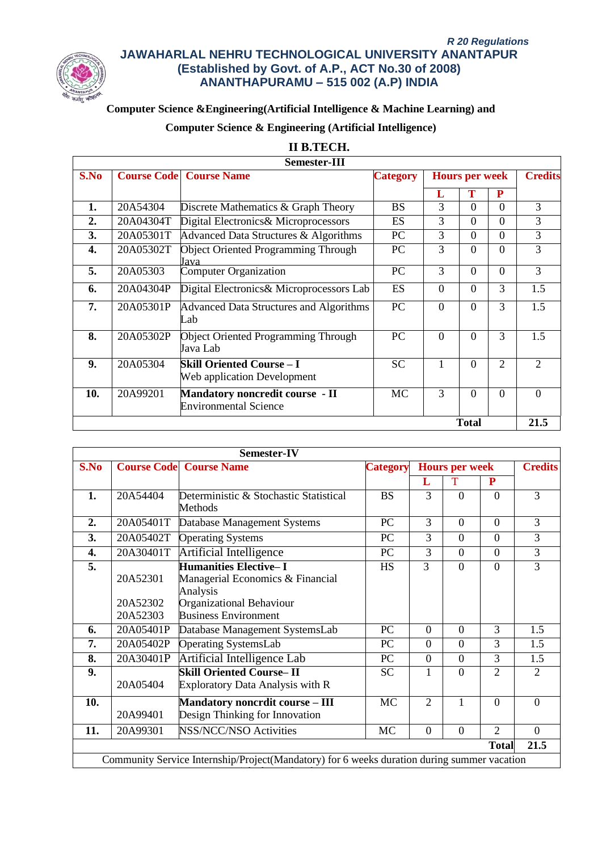

# **Computer Science &Engineering(Artificial Intelligence & Machine Learning) and**

# **Computer Science & Engineering (Artificial Intelligence)**

## **II B.TECH.**

|      | <b>Semester-III</b>  |                                                                        |                 |          |                       |           |                |  |
|------|----------------------|------------------------------------------------------------------------|-----------------|----------|-----------------------|-----------|----------------|--|
| S.No |                      | <b>Course Code   Course Name</b>                                       | <b>Category</b> |          | <b>Hours per week</b> |           | <b>Credits</b> |  |
|      |                      |                                                                        |                 | L        | Т                     | ${\bf P}$ |                |  |
| 1.   | 20A54304             | Discrete Mathematics & Graph Theory                                    | <b>BS</b>       | 3        | $\Omega$              | $\Omega$  | 3              |  |
| 2.   | 20A04304T            | Digital Electronics& Microprocessors                                   | ES              | 3        | $\Omega$              | $\Omega$  | 3              |  |
| 3.   | 20A05301T            | Advanced Data Structures & Algorithms                                  | <b>PC</b>       | 3        | $\Omega$              | $\Omega$  | 3              |  |
| 4.   | 20A05302T            | <b>Object Oriented Programming Through</b><br>Java                     | PC              | 3        | $\Omega$              | $\Omega$  | 3              |  |
| 5.   | 20A05303             | <b>Computer Organization</b>                                           | <b>PC</b>       | 3        | $\Omega$              | $\Omega$  | 3              |  |
| 6.   | 20A04304P            | Digital Electronics& Microprocessors Lab                               | <b>ES</b>       | $\Omega$ | $\Omega$              | 3         | 1.5            |  |
| 7.   | 20A05301P            | <b>Advanced Data Structures and Algorithms</b><br>Lab                  | <b>PC</b>       | $\Omega$ | $\Omega$              | 3         | 1.5            |  |
| 8.   | 20A05302P            | <b>Object Oriented Programming Through</b><br>Java Lab                 | PC              | $\Omega$ | $\Omega$              | 3         | 1.5            |  |
| 9.   | 20A05304             | <b>Skill Oriented Course – I</b><br>Web application Development        | <b>SC</b>       | 1        | $\Omega$              | 2         | $\overline{2}$ |  |
| 10.  | 20A99201             | <b>Mandatory noncredit course - II</b><br><b>Environmental Science</b> | MC              | 3        | $\Omega$              | $\Omega$  | $\theta$       |  |
|      | <b>Total</b><br>21.5 |                                                                        |                 |          |                       |           |                |  |

|                  |                      | Semester-IV                                                                                              |                 |                       |          |                             |                |
|------------------|----------------------|----------------------------------------------------------------------------------------------------------|-----------------|-----------------------|----------|-----------------------------|----------------|
| S.No             |                      | <b>Course Code Course Name</b>                                                                           | <b>Category</b> | <b>Hours per week</b> |          |                             | <b>Credits</b> |
|                  |                      |                                                                                                          |                 | L                     | Т        | P                           |                |
| 1.               | 20A54404             | Deterministic & Stochastic Statistical<br>Methods                                                        | <b>BS</b>       | 3                     | $\Omega$ | $\Omega$                    | 3              |
| $\overline{2}$ . | 20A05401T            | Database Management Systems                                                                              | <b>PC</b>       | 3                     | $\Omega$ | $\Omega$                    | 3              |
| 3.               | 20A05402T            | <b>Operating Systems</b>                                                                                 | PC              | 3                     | $\theta$ | $\Omega$                    | 3              |
| 4.               | 20A30401T            | Artificial Intelligence                                                                                  | <b>PC</b>       | 3                     | $\Omega$ | $\Omega$                    | 3              |
| 5.               | 20A52301<br>20A52302 | <b>Humanities Elective-I</b><br>Managerial Economics & Financial<br>Analysis<br>Organizational Behaviour | <b>HS</b>       | 3                     | $\Omega$ | $\Omega$                    | 3              |
|                  | 20A52303             | <b>Business Environment</b>                                                                              |                 |                       |          |                             |                |
| 6.               | 20A05401P            | Database Management SystemsLab                                                                           | PC.             | $\Omega$              | $\Omega$ | 3                           | 1.5            |
| 7.               | 20A05402P            | <b>Operating SystemsLab</b>                                                                              | <b>PC</b>       | $\Omega$              | $\Omega$ | 3                           | 1.5            |
| 8.               | 20A30401P            | Artificial Intelligence Lab                                                                              | PC              | $\theta$              | $\Omega$ | 3                           | 1.5            |
| 9.               | 20A05404             | <b>Skill Oriented Course-II</b><br>Exploratory Data Analysis with R                                      | <b>SC</b>       | 1                     | $\theta$ | $\mathcal{D}_{\mathcal{L}}$ | $\mathfrak{D}$ |
| 10.              | 20A99401             | <b>Mandatory noncrdit course - III</b><br>Design Thinking for Innovation                                 | <b>MC</b>       | $\overline{2}$        | 1        | $\Omega$                    | $\Omega$       |
| 11.              | 20A99301             | <b>NSS/NCC/NSO Activities</b>                                                                            | <b>MC</b>       | $\theta$              | $\theta$ | $\overline{2}$              | $\theta$       |
|                  |                      |                                                                                                          |                 |                       |          | <b>Total</b>                | 21.5           |
|                  |                      | Community Service Internship/Project(Mandatory) for 6 weeks duration during summer vacation              |                 |                       |          |                             |                |
|                  |                      |                                                                                                          |                 |                       |          |                             |                |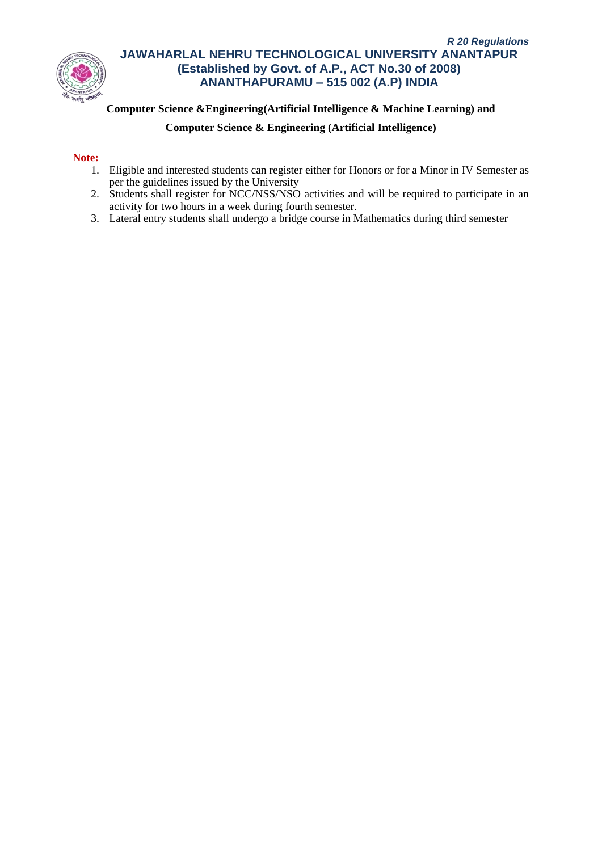

# **Computer Science &Engineering(Artificial Intelligence & Machine Learning) and**

## **Computer Science & Engineering (Artificial Intelligence)**

### **Note:**

- 1. Eligible and interested students can register either for Honors or for a Minor in IV Semester as per the guidelines issued by the University
- 2. Students shall register for NCC/NSS/NSO activities and will be required to participate in an activity for two hours in a week during fourth semester.
- 3. Lateral entry students shall undergo a bridge course in Mathematics during third semester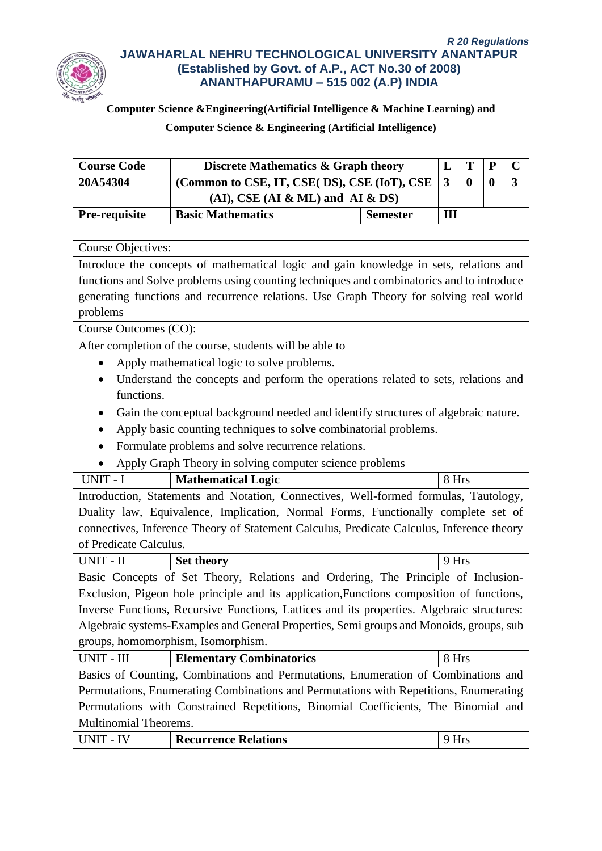

# **Computer Science &Engineering(Artificial Intelligence & Machine Learning) and**

| <b>Course Code</b>                                                                     | <b>Discrete Mathematics &amp; Graph theory</b>                                             |                 |       | T        | ${\bf P}$        | $\mathbf C$  |
|----------------------------------------------------------------------------------------|--------------------------------------------------------------------------------------------|-----------------|-------|----------|------------------|--------------|
| 20A54304                                                                               | (Common to CSE, IT, CSE(DS), CSE (IoT), CSE                                                |                 |       | $\bf{0}$ | $\boldsymbol{0}$ | $\mathbf{3}$ |
|                                                                                        | $(AI)$ , CSE $(AI & ML)$ and $AI & DS$                                                     |                 |       |          |                  |              |
| Pre-requisite                                                                          | <b>Basic Mathematics</b>                                                                   | <b>Semester</b> | III   |          |                  |              |
|                                                                                        |                                                                                            |                 |       |          |                  |              |
| <b>Course Objectives:</b>                                                              |                                                                                            |                 |       |          |                  |              |
| Introduce the concepts of mathematical logic and gain knowledge in sets, relations and |                                                                                            |                 |       |          |                  |              |
|                                                                                        | functions and Solve problems using counting techniques and combinatorics and to introduce  |                 |       |          |                  |              |
|                                                                                        | generating functions and recurrence relations. Use Graph Theory for solving real world     |                 |       |          |                  |              |
| problems                                                                               |                                                                                            |                 |       |          |                  |              |
| Course Outcomes (CO):                                                                  |                                                                                            |                 |       |          |                  |              |
| After completion of the course, students will be able to                               |                                                                                            |                 |       |          |                  |              |
|                                                                                        | Apply mathematical logic to solve problems.                                                |                 |       |          |                  |              |
|                                                                                        | Understand the concepts and perform the operations related to sets, relations and          |                 |       |          |                  |              |
| functions.                                                                             |                                                                                            |                 |       |          |                  |              |
|                                                                                        | Gain the conceptual background needed and identify structures of algebraic nature.         |                 |       |          |                  |              |
|                                                                                        | Apply basic counting techniques to solve combinatorial problems.                           |                 |       |          |                  |              |
|                                                                                        | Formulate problems and solve recurrence relations.                                         |                 |       |          |                  |              |
|                                                                                        | Apply Graph Theory in solving computer science problems                                    |                 |       |          |                  |              |
| UNIT - I                                                                               | <b>Mathematical Logic</b>                                                                  |                 | 8 Hrs |          |                  |              |
|                                                                                        | Introduction, Statements and Notation, Connectives, Well-formed formulas, Tautology,       |                 |       |          |                  |              |
|                                                                                        | Duality law, Equivalence, Implication, Normal Forms, Functionally complete set of          |                 |       |          |                  |              |
|                                                                                        | connectives, Inference Theory of Statement Calculus, Predicate Calculus, Inference theory  |                 |       |          |                  |              |
| of Predicate Calculus.                                                                 |                                                                                            |                 |       |          |                  |              |
| UNIT - II                                                                              | <b>Set theory</b>                                                                          |                 | 9 Hrs |          |                  |              |
|                                                                                        | Basic Concepts of Set Theory, Relations and Ordering, The Principle of Inclusion-          |                 |       |          |                  |              |
|                                                                                        | Exclusion, Pigeon hole principle and its application, Functions composition of functions,  |                 |       |          |                  |              |
|                                                                                        | Inverse Functions, Recursive Functions, Lattices and its properties. Algebraic structures: |                 |       |          |                  |              |
|                                                                                        | Algebraic systems-Examples and General Properties, Semi groups and Monoids, groups, sub    |                 |       |          |                  |              |
|                                                                                        | groups, homomorphism, Isomorphism.                                                         |                 |       |          |                  |              |
| UNIT - III                                                                             | <b>Elementary Combinatorics</b>                                                            |                 | 8 Hrs |          |                  |              |
|                                                                                        | Basics of Counting, Combinations and Permutations, Enumeration of Combinations and         |                 |       |          |                  |              |
|                                                                                        | Permutations, Enumerating Combinations and Permutations with Repetitions, Enumerating      |                 |       |          |                  |              |
|                                                                                        | Permutations with Constrained Repetitions, Binomial Coefficients, The Binomial and         |                 |       |          |                  |              |
| Multinomial Theorems.                                                                  |                                                                                            |                 |       |          |                  |              |
| UNIT - IV                                                                              | <b>Recurrence Relations</b>                                                                |                 | 9 Hrs |          |                  |              |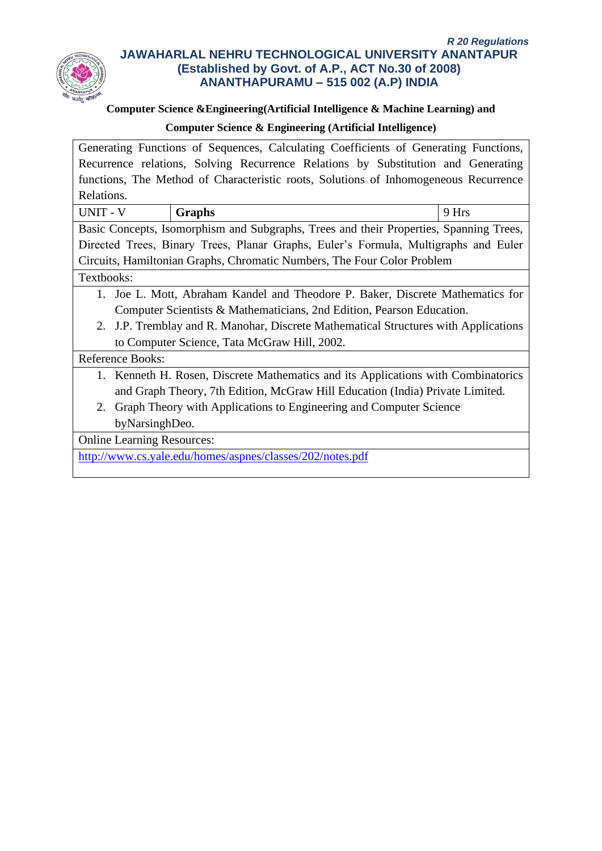

# **Computer Science &Engineering(Artificial Intelligence & Machine Learning) and**

# **Computer Science & Engineering (Artificial Intelligence)**

Generating Functions of Sequences, Calculating Coefficients of Generating Functions, Recurrence relations, Solving Recurrence Relations by Substitution and Generating functions, The Method of Characteristic roots, Solutions of Inhomogeneous Recurrence Relations.

UNIT - V **Graphs** 9 Hrs Basic Concepts, Isomorphism and Subgraphs, Trees and their Properties, Spanning Trees, Directed Trees, Binary Trees, Planar Graphs, Euler's Formula, Multigraphs and Euler Circuits, Hamiltonian Graphs, Chromatic Numbers, The Four Color Problem

# Textbooks:

- 1. Joe L. Mott, Abraham Kandel and Theodore P. Baker, Discrete Mathematics for Computer Scientists & Mathematicians, 2nd Edition, Pearson Education.
- 2. J.P. Tremblay and R. Manohar, Discrete Mathematical Structures with Applications to Computer Science, Tata McGraw Hill, 2002.

# Reference Books:

- 1. Kenneth H. Rosen, Discrete Mathematics and its Applications with Combinatorics and Graph Theory, 7th Edition, McGraw Hill Education (India) Private Limited.
- 2. Graph Theory with Applications to Engineering and Computer Science byNarsinghDeo.

Online Learning Resources:

<http://www.cs.yale.edu/homes/aspnes/classes/202/notes.pdf>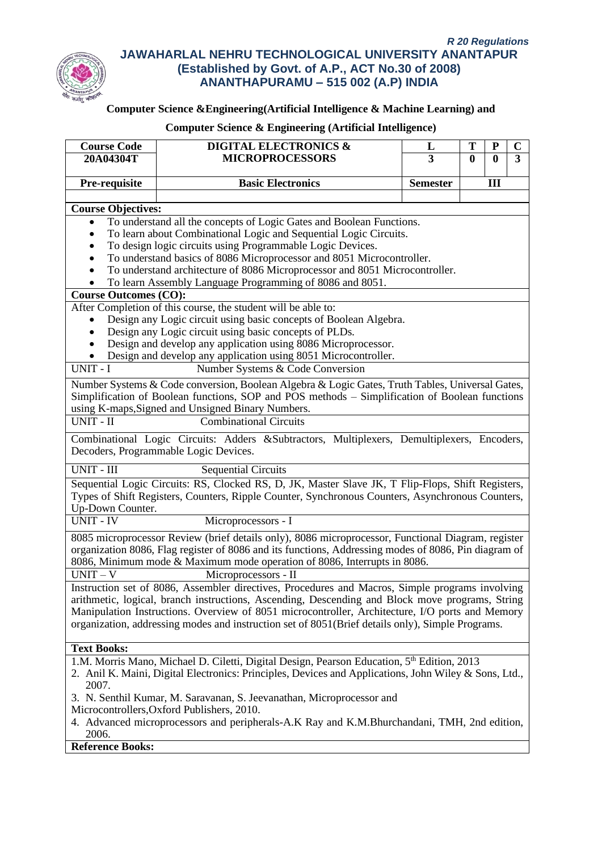

# **Computer Science &Engineering(Artificial Intelligence & Machine Learning) and**

| <b>Course Code</b>                                                          | <b>DIGITAL ELECTRONICS &amp;</b>                                                                       | L                               | T | ${\bf P}$ | $\mathbf C$             |  |  |
|-----------------------------------------------------------------------------|--------------------------------------------------------------------------------------------------------|---------------------------------|---|-----------|-------------------------|--|--|
| 20A04304T                                                                   | <b>MICROPROCESSORS</b>                                                                                 | $\overline{3}$<br>$\bf{0}$<br>0 |   |           | $\overline{\mathbf{3}}$ |  |  |
|                                                                             |                                                                                                        |                                 |   |           |                         |  |  |
| Pre-requisite                                                               | <b>Basic Electronics</b>                                                                               | <b>Semester</b>                 |   | Ш         |                         |  |  |
|                                                                             |                                                                                                        |                                 |   |           |                         |  |  |
| <b>Course Objectives:</b>                                                   |                                                                                                        |                                 |   |           |                         |  |  |
| $\bullet$                                                                   | To understand all the concepts of Logic Gates and Boolean Functions.                                   |                                 |   |           |                         |  |  |
|                                                                             | To learn about Combinational Logic and Sequential Logic Circuits.                                      |                                 |   |           |                         |  |  |
|                                                                             | To design logic circuits using Programmable Logic Devices.                                             |                                 |   |           |                         |  |  |
| To understand basics of 8086 Microprocessor and 8051 Microcontroller.       |                                                                                                        |                                 |   |           |                         |  |  |
| To understand architecture of 8086 Microprocessor and 8051 Microcontroller. |                                                                                                        |                                 |   |           |                         |  |  |
|                                                                             | To learn Assembly Language Programming of 8086 and 8051.                                               |                                 |   |           |                         |  |  |
| <b>Course Outcomes (CO):</b>                                                |                                                                                                        |                                 |   |           |                         |  |  |
|                                                                             | After Completion of this course, the student will be able to:                                          |                                 |   |           |                         |  |  |
|                                                                             | Design any Logic circuit using basic concepts of Boolean Algebra.                                      |                                 |   |           |                         |  |  |
|                                                                             | Design any Logic circuit using basic concepts of PLDs.                                                 |                                 |   |           |                         |  |  |
|                                                                             | Design and develop any application using 8086 Microprocessor.                                          |                                 |   |           |                         |  |  |
|                                                                             | Design and develop any application using 8051 Microcontroller.                                         |                                 |   |           |                         |  |  |
| UNIT - I                                                                    | Number Systems & Code Conversion                                                                       |                                 |   |           |                         |  |  |
|                                                                             | Number Systems & Code conversion, Boolean Algebra & Logic Gates, Truth Tables, Universal Gates,        |                                 |   |           |                         |  |  |
|                                                                             | Simplification of Boolean functions, SOP and POS methods - Simplification of Boolean functions         |                                 |   |           |                         |  |  |
|                                                                             | using K-maps, Signed and Unsigned Binary Numbers.                                                      |                                 |   |           |                         |  |  |
| UNIT - II                                                                   | <b>Combinational Circuits</b>                                                                          |                                 |   |           |                         |  |  |
|                                                                             | Combinational Logic Circuits: Adders &Subtractors, Multiplexers, Demultiplexers, Encoders,             |                                 |   |           |                         |  |  |
|                                                                             | Decoders, Programmable Logic Devices.                                                                  |                                 |   |           |                         |  |  |
|                                                                             |                                                                                                        |                                 |   |           |                         |  |  |
| UNIT - III                                                                  | <b>Sequential Circuits</b>                                                                             |                                 |   |           |                         |  |  |
|                                                                             | Sequential Logic Circuits: RS, Clocked RS, D, JK, Master Slave JK, T Flip-Flops, Shift Registers,      |                                 |   |           |                         |  |  |
|                                                                             | Types of Shift Registers, Counters, Ripple Counter, Synchronous Counters, Asynchronous Counters,       |                                 |   |           |                         |  |  |
| Up-Down Counter.                                                            |                                                                                                        |                                 |   |           |                         |  |  |
| <b>UNIT - IV</b>                                                            | Microprocessors - I                                                                                    |                                 |   |           |                         |  |  |
|                                                                             | 8085 microprocessor Review (brief details only), 8086 microprocessor, Functional Diagram, register     |                                 |   |           |                         |  |  |
|                                                                             | organization 8086, Flag register of 8086 and its functions, Addressing modes of 8086, Pin diagram of   |                                 |   |           |                         |  |  |
|                                                                             | 8086, Minimum mode & Maximum mode operation of 8086, Interrupts in 8086.                               |                                 |   |           |                         |  |  |
| $UNIT - V$                                                                  | Microprocessors - II                                                                                   |                                 |   |           |                         |  |  |
|                                                                             | Instruction set of 8086, Assembler directives, Procedures and Macros, Simple programs involving        |                                 |   |           |                         |  |  |
|                                                                             | arithmetic, logical, branch instructions, Ascending, Descending and Block move programs, String        |                                 |   |           |                         |  |  |
|                                                                             | Manipulation Instructions. Overview of 8051 microcontroller, Architecture, I/O ports and Memory        |                                 |   |           |                         |  |  |
|                                                                             | organization, addressing modes and instruction set of 8051(Brief details only), Simple Programs.       |                                 |   |           |                         |  |  |
|                                                                             |                                                                                                        |                                 |   |           |                         |  |  |
| <b>Text Books:</b>                                                          |                                                                                                        |                                 |   |           |                         |  |  |
|                                                                             | 1.M. Morris Mano, Michael D. Ciletti, Digital Design, Pearson Education, 5 <sup>th</sup> Edition, 2013 |                                 |   |           |                         |  |  |
|                                                                             | 2. Anil K. Maini, Digital Electronics: Principles, Devices and Applications, John Wiley & Sons, Ltd.,  |                                 |   |           |                         |  |  |
| 2007.                                                                       |                                                                                                        |                                 |   |           |                         |  |  |
|                                                                             | 3. N. Senthil Kumar, M. Saravanan, S. Jeevanathan, Microprocessor and                                  |                                 |   |           |                         |  |  |
|                                                                             | Microcontrollers, Oxford Publishers, 2010.                                                             |                                 |   |           |                         |  |  |
|                                                                             | 4. Advanced microprocessors and peripherals-A.K Ray and K.M.Bhurchandani, TMH, 2nd edition,            |                                 |   |           |                         |  |  |
| 2006.                                                                       |                                                                                                        |                                 |   |           |                         |  |  |
| <b>Reference Books:</b>                                                     |                                                                                                        |                                 |   |           |                         |  |  |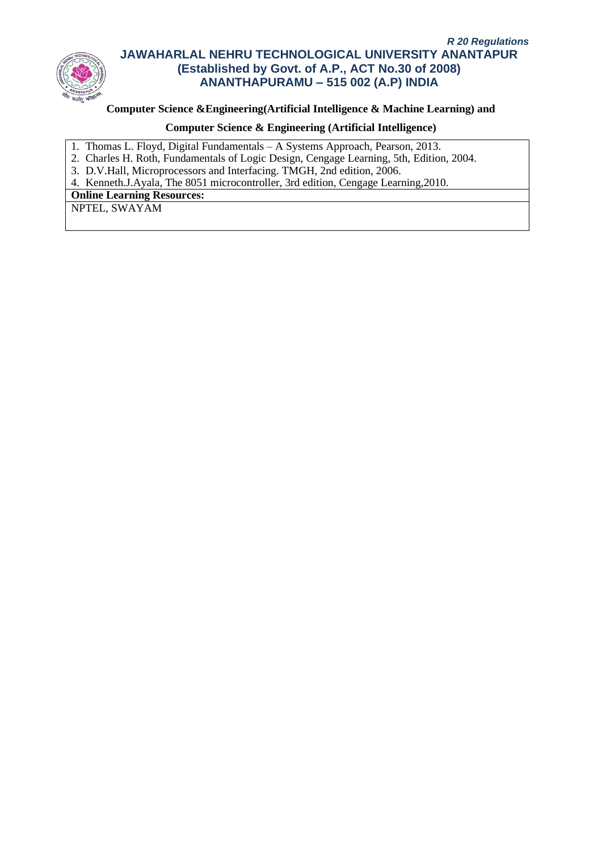

# **Computer Science &Engineering(Artificial Intelligence & Machine Learning) and**

# **Computer Science & Engineering (Artificial Intelligence)**

- 1. Thomas L. Floyd, Digital Fundamentals A Systems Approach, Pearson, 2013.
- 2. Charles H. Roth, Fundamentals of Logic Design, Cengage Learning, 5th, Edition, 2004.
- 3. D.V.Hall, Microprocessors and Interfacing. TMGH, 2nd edition, 2006.

4. Kenneth.J.Ayala, The 8051 microcontroller, 3rd edition, Cengage Learning,2010.

**Online Learning Resources:**

NPTEL, SWAYAM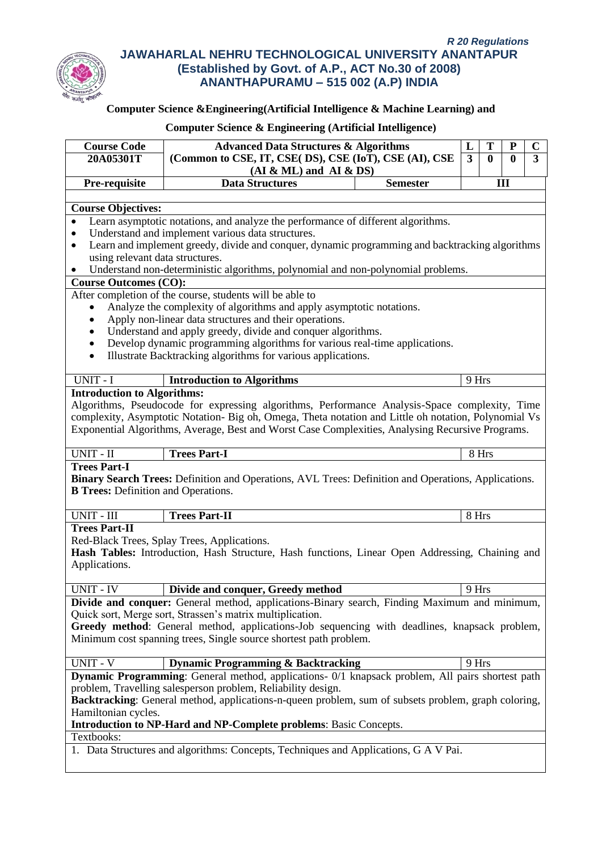

## **Computer Science &Engineering(Artificial Intelligence & Machine Learning) and**

# **Course Code Advanced Data Structures & Algorithms (Common to CSE, IT, CSE( DS), CSE (IoT), CSE (AI), CSE 20A05301T 3 0 0 3 (AI & ML) and AI & DS) L T P C Pre-requisite Data Structures Semester III Course Objectives:** • Learn asymptotic notations, and analyze the performance of different algorithms. • Understand and implement various data structures. • Learn and implement greedy, divide and conquer, dynamic programming and backtracking algorithms using relevant data structures. • Understand non-deterministic algorithms, polynomial and non-polynomial problems. **Course Outcomes (CO):** After completion of the course, students will be able to • Analyze the complexity of algorithms and apply asymptotic notations. • Apply non-linear data structures and their operations. Understand and apply greedy, divide and conquer algorithms. • Develop dynamic programming algorithms for various real-time applications. • Illustrate Backtracking algorithms for various applications. UNIT - I **Introduction to Algorithms** 9 Hrs **Introduction to Algorithms:** Algorithms, Pseudocode for expressing algorithms, Performance Analysis-Space complexity, Time complexity, Asymptotic Notation- Big oh, Omega, Theta notation and Little oh notation, Polynomial Vs Exponential Algorithms, Average, Best and Worst Case Complexities, Analysing Recursive Programs. UNIT - II **Trees Part-I** 8 Hrs **Trees Part-I Binary Search Trees:** Definition and Operations, AVL Trees: Definition and Operations, Applications. **B Trees:** Definition and Operations. UNIT - III **Trees Part-II** 8 Hrs **Trees Part-II** Red-Black Trees, Splay Trees, Applications. **Hash Tables:** Introduction, Hash Structure, Hash functions, Linear Open Addressing, Chaining and Applications. UNIT - IV **Divide and conquer, Greedy method** 9 Hrs **Divide and conquer:** General method, applications-Binary search, Finding Maximum and minimum, Quick sort, Merge sort, Strassen's matrix multiplication. **Greedy method**: General method, applications-Job sequencing with deadlines, knapsack problem, Minimum cost spanning trees, Single source shortest path problem. UNIT - V **Dynamic Programming & Backtracking** 9 Hrs **Dynamic Programming**: General method, applications-  $0/1$  knapsack problem, All pairs shortest path problem, Travelling salesperson problem, Reliability design. **Backtracking**: General method, applications-n-queen problem, sum of subsets problem, graph coloring, Hamiltonian cycles. **Introduction to NP-Hard and NP-Complete problems**: Basic Concepts. Textbooks: 1. Data Structures and algorithms: Concepts, Techniques and Applications, G A V Pai.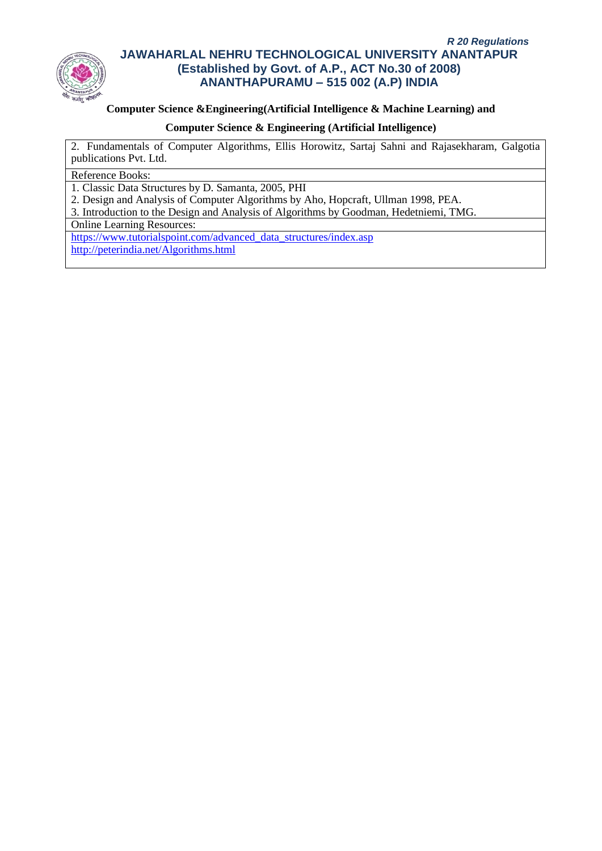

## **Computer Science &Engineering(Artificial Intelligence & Machine Learning) and**

### **Computer Science & Engineering (Artificial Intelligence)**

2. Fundamentals of Computer Algorithms, Ellis Horowitz, Sartaj Sahni and Rajasekharam, Galgotia publications Pvt. Ltd.

### Reference Books:

1. Classic Data Structures by D. Samanta, 2005, PHI

2. Design and Analysis of Computer Algorithms by Aho, Hopcraft, Ullman 1998, PEA.

3. Introduction to the Design and Analysis of Algorithms by Goodman, Hedetniemi, TMG.

Online Learning Resources:

[https://www.tutorialspoint.com/advanced\\_data\\_structures/index.asp](https://www.tutorialspoint.com/advanced_data_structures/index.asp) <http://peterindia.net/Algorithms.html>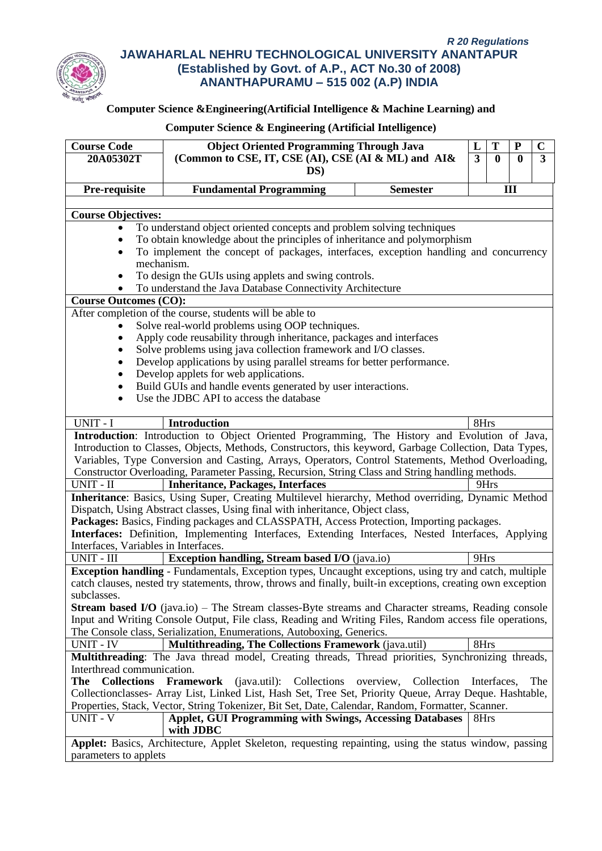

# **Computer Science &Engineering(Artificial Intelligence & Machine Learning) and**

| <b>Course Code</b>                                                                                                | <b>Object Oriented Programming Through Java</b>                                                               |                         | L                       | T           | ${\bf P}$ | $\mathbf C$ |
|-------------------------------------------------------------------------------------------------------------------|---------------------------------------------------------------------------------------------------------------|-------------------------|-------------------------|-------------|-----------|-------------|
| 20A05302T                                                                                                         | (Common to CSE, IT, CSE (AI), CSE (AI & ML) and AI&                                                           |                         | $\overline{\mathbf{3}}$ | $\mathbf 0$ | 0         | 3           |
|                                                                                                                   | DS)                                                                                                           |                         |                         |             |           |             |
|                                                                                                                   |                                                                                                               |                         |                         |             |           |             |
| Pre-requisite                                                                                                     | <b>Fundamental Programming</b>                                                                                | <b>Semester</b>         |                         |             | III       |             |
|                                                                                                                   |                                                                                                               |                         |                         |             |           |             |
| <b>Course Objectives:</b>                                                                                         |                                                                                                               |                         |                         |             |           |             |
|                                                                                                                   | To understand object oriented concepts and problem solving techniques                                         |                         |                         |             |           |             |
|                                                                                                                   | To obtain knowledge about the principles of inheritance and polymorphism                                      |                         |                         |             |           |             |
|                                                                                                                   | To implement the concept of packages, interfaces, exception handling and concurrency<br>mechanism.            |                         |                         |             |           |             |
|                                                                                                                   |                                                                                                               |                         |                         |             |           |             |
| To design the GUIs using applets and swing controls.<br>To understand the Java Database Connectivity Architecture |                                                                                                               |                         |                         |             |           |             |
| <b>Course Outcomes (CO):</b>                                                                                      |                                                                                                               |                         |                         |             |           |             |
|                                                                                                                   |                                                                                                               |                         |                         |             |           |             |
|                                                                                                                   | After completion of the course, students will be able to                                                      |                         |                         |             |           |             |
|                                                                                                                   | Solve real-world problems using OOP techniques.                                                               |                         |                         |             |           |             |
|                                                                                                                   | Apply code reusability through inheritance, packages and interfaces                                           |                         |                         |             |           |             |
|                                                                                                                   | Solve problems using java collection framework and I/O classes.                                               |                         |                         |             |           |             |
|                                                                                                                   | Develop applications by using parallel streams for better performance.                                        |                         |                         |             |           |             |
|                                                                                                                   | Develop applets for web applications.                                                                         |                         |                         |             |           |             |
|                                                                                                                   | Build GUIs and handle events generated by user interactions.<br>Use the JDBC API to access the database       |                         |                         |             |           |             |
|                                                                                                                   |                                                                                                               |                         |                         |             |           |             |
| UNIT - I                                                                                                          | <b>Introduction</b>                                                                                           |                         | 8Hrs                    |             |           |             |
|                                                                                                                   | Introduction: Introduction to Object Oriented Programming, The History and Evolution of Java,                 |                         |                         |             |           |             |
|                                                                                                                   | Introduction to Classes, Objects, Methods, Constructors, this keyword, Garbage Collection, Data Types,        |                         |                         |             |           |             |
|                                                                                                                   | Variables, Type Conversion and Casting, Arrays, Operators, Control Statements, Method Overloading,            |                         |                         |             |           |             |
|                                                                                                                   | Constructor Overloading, Parameter Passing, Recursion, String Class and String handling methods.              |                         |                         |             |           |             |
| UNIT - II                                                                                                         | <b>Inheritance, Packages, Interfaces</b>                                                                      |                         |                         | 9Hrs        |           |             |
|                                                                                                                   | Inheritance: Basics, Using Super, Creating Multilevel hierarchy, Method overriding, Dynamic Method            |                         |                         |             |           |             |
|                                                                                                                   | Dispatch, Using Abstract classes, Using final with inheritance, Object class,                                 |                         |                         |             |           |             |
|                                                                                                                   | Packages: Basics, Finding packages and CLASSPATH, Access Protection, Importing packages.                      |                         |                         |             |           |             |
|                                                                                                                   | Interfaces: Definition, Implementing Interfaces, Extending Interfaces, Nested Interfaces, Applying            |                         |                         |             |           |             |
| Interfaces, Variables in Interfaces.                                                                              |                                                                                                               |                         |                         |             |           |             |
| UNIT - III                                                                                                        | <b>Exception handling, Stream based I/O</b> (java.io)                                                         |                         | 9Hrs                    |             |           |             |
|                                                                                                                   | <b>Exception handling</b> - Fundamentals, Exception types, Uncaught exceptions, using try and catch, multiple |                         |                         |             |           |             |
|                                                                                                                   | catch clauses, nested try statements, throw, throws and finally, built-in exceptions, creating own exception  |                         |                         |             |           |             |
| subclasses.                                                                                                       |                                                                                                               |                         |                         |             |           |             |
|                                                                                                                   | <b>Stream based I/O</b> (java.io) – The Stream classes-Byte streams and Character streams, Reading console    |                         |                         |             |           |             |
|                                                                                                                   | Input and Writing Console Output, File class, Reading and Writing Files, Random access file operations,       |                         |                         |             |           |             |
|                                                                                                                   | The Console class, Serialization, Enumerations, Autoboxing, Generics.                                         |                         |                         |             |           |             |
| UNIT - IV                                                                                                         | Multithreading, The Collections Framework (java.util)                                                         |                         | 8Hrs                    |             |           |             |
|                                                                                                                   | Multithreading: The Java thread model, Creating threads, Thread priorities, Synchronizing threads,            |                         |                         |             |           |             |
| Interthread communication.                                                                                        |                                                                                                               |                         |                         |             |           |             |
| <b>Collections</b><br>The                                                                                         | Framework (java.util): Collections                                                                            | overview,<br>Collection |                         | Interfaces, |           | The         |
|                                                                                                                   | Collectionclasses- Array List, Linked List, Hash Set, Tree Set, Priority Queue, Array Deque. Hashtable,       |                         |                         |             |           |             |
|                                                                                                                   | Properties, Stack, Vector, String Tokenizer, Bit Set, Date, Calendar, Random, Formatter, Scanner.             |                         |                         |             |           |             |
| <b>UNIT - V</b>                                                                                                   | <b>Applet, GUI Programming with Swings, Accessing Databases</b>                                               |                         | 8Hrs                    |             |           |             |
|                                                                                                                   | with JDBC                                                                                                     |                         |                         |             |           |             |
|                                                                                                                   | Applet: Basics, Architecture, Applet Skeleton, requesting repainting, using the status window, passing        |                         |                         |             |           |             |
| parameters to applets                                                                                             |                                                                                                               |                         |                         |             |           |             |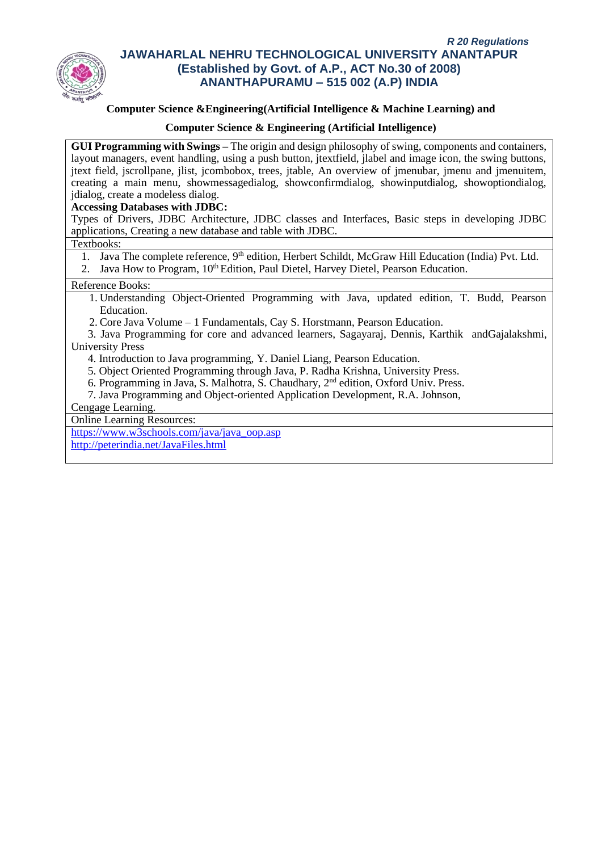

### **Computer Science &Engineering(Artificial Intelligence & Machine Learning) and**

### **Computer Science & Engineering (Artificial Intelligence)**

**GUI Programming with Swings –** The origin and design philosophy of swing, components and containers, layout managers, event handling, using a push button, jtextfield, jlabel and image icon, the swing buttons, jtext field, jscrollpane, jlist, jcombobox, trees, jtable, An overview of jmenubar, jmenu and jmenuitem, creating a main menu, showmessagedialog, showconfirmdialog, showinputdialog, showoptiondialog, jdialog, create a modeless dialog.

### **Accessing Databases with JDBC:**

Types of Drivers, JDBC Architecture, JDBC classes and Interfaces, Basic steps in developing JDBC applications, Creating a new database and table with JDBC.

### Textbooks:

1. Java The complete reference, 9<sup>th</sup> edition, Herbert Schildt, McGraw Hill Education (India) Pvt. Ltd.

2. Java How to Program,  $10<sup>th</sup>$  Edition, Paul Dietel, Harvey Dietel, Pearson Education.

### Reference Books:

- 1. Understanding Object-Oriented Programming with Java, updated edition, T. Budd, Pearson Education.
- 2. Core Java Volume 1 Fundamentals, Cay S. Horstmann, Pearson Education.

 3. Java Programming for core and advanced learners, Sagayaraj, Dennis, Karthik andGajalakshmi, University Press

- 4. Introduction to Java programming, Y. Daniel Liang, Pearson Education.
- 5. Object Oriented Programming through Java, P. Radha Krishna, University Press.
- 6. Programming in Java, S. Malhotra, S. Chaudhary, 2nd edition, Oxford Univ. Press.
- 7. Java Programming and Object-oriented Application Development, R.A. Johnson,

### Cengage Learning.

Online Learning Resources:

[https://www.w3schools.com/java/java\\_oop.asp](https://www.w3schools.com/java/java_oop.asp)

<http://peterindia.net/JavaFiles.html>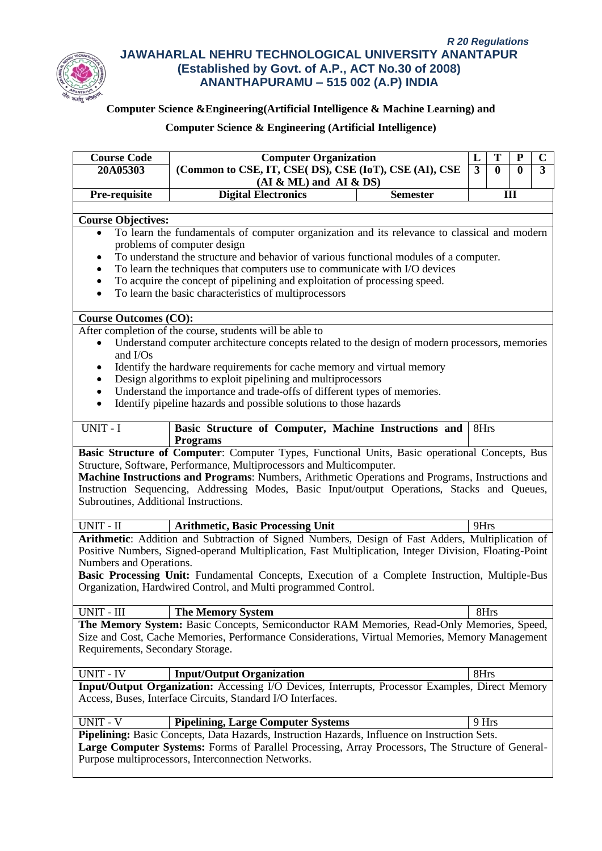

# **Computer Science &Engineering(Artificial Intelligence & Machine Learning) and**

# **Computer Science & Engineering (Artificial Intelligence)**

| <b>Course Code</b>                                                                      | <b>Computer Organization</b>                                                                                                               | L     | Т            | Р            | $\mathbf C$    |
|-----------------------------------------------------------------------------------------|--------------------------------------------------------------------------------------------------------------------------------------------|-------|--------------|--------------|----------------|
| 20A05303                                                                                | (Common to CSE, IT, CSE( DS), CSE (IoT), CSE (AI), CSE                                                                                     | 3     | $\mathbf{0}$ | $\mathbf{0}$ | $\overline{3}$ |
|                                                                                         | $(AI & ML)$ and $AI & DS)$                                                                                                                 |       |              |              |                |
| Pre-requisite                                                                           | <b>Digital Electronics</b><br><b>Semester</b>                                                                                              |       |              | III          |                |
|                                                                                         |                                                                                                                                            |       |              |              |                |
| <b>Course Objectives:</b>                                                               |                                                                                                                                            |       |              |              |                |
| $\bullet$                                                                               | To learn the fundamentals of computer organization and its relevance to classical and modern                                               |       |              |              |                |
|                                                                                         | problems of computer design                                                                                                                |       |              |              |                |
| ٠                                                                                       | To understand the structure and behavior of various functional modules of a computer.                                                      |       |              |              |                |
| To learn the techniques that computers use to communicate with I/O devices<br>$\bullet$ |                                                                                                                                            |       |              |              |                |
| $\bullet$                                                                               | To acquire the concept of pipelining and exploitation of processing speed.                                                                 |       |              |              |                |
| $\bullet$                                                                               | To learn the basic characteristics of multiprocessors                                                                                      |       |              |              |                |
|                                                                                         |                                                                                                                                            |       |              |              |                |
| <b>Course Outcomes (CO):</b>                                                            | After completion of the course, students will be able to                                                                                   |       |              |              |                |
|                                                                                         | Understand computer architecture concepts related to the design of modern processors, memories                                             |       |              |              |                |
| and I/Os                                                                                |                                                                                                                                            |       |              |              |                |
| ٠                                                                                       | Identify the hardware requirements for cache memory and virtual memory                                                                     |       |              |              |                |
| $\bullet$                                                                               | Design algorithms to exploit pipelining and multiprocessors                                                                                |       |              |              |                |
| $\bullet$                                                                               | Understand the importance and trade-offs of different types of memories.                                                                   |       |              |              |                |
| $\bullet$                                                                               | Identify pipeline hazards and possible solutions to those hazards                                                                          |       |              |              |                |
|                                                                                         |                                                                                                                                            |       |              |              |                |
| UNIT - I                                                                                | Basic Structure of Computer, Machine Instructions and                                                                                      | 8Hrs  |              |              |                |
|                                                                                         | <b>Programs</b>                                                                                                                            |       |              |              |                |
|                                                                                         | Basic Structure of Computer: Computer Types, Functional Units, Basic operational Concepts, Bus                                             |       |              |              |                |
|                                                                                         | Structure, Software, Performance, Multiprocessors and Multicomputer.                                                                       |       |              |              |                |
|                                                                                         | Machine Instructions and Programs: Numbers, Arithmetic Operations and Programs, Instructions and                                           |       |              |              |                |
|                                                                                         | Instruction Sequencing, Addressing Modes, Basic Input/output Operations, Stacks and Queues,                                                |       |              |              |                |
| Subroutines, Additional Instructions.                                                   |                                                                                                                                            |       |              |              |                |
| UNIT - II                                                                               | <b>Arithmetic, Basic Processing Unit</b>                                                                                                   | 9Hrs  |              |              |                |
|                                                                                         | Arithmetic: Addition and Subtraction of Signed Numbers, Design of Fast Adders, Multiplication of                                           |       |              |              |                |
|                                                                                         | Positive Numbers, Signed-operand Multiplication, Fast Multiplication, Integer Division, Floating-Point                                     |       |              |              |                |
| Numbers and Operations.                                                                 |                                                                                                                                            |       |              |              |                |
|                                                                                         | Basic Processing Unit: Fundamental Concepts, Execution of a Complete Instruction, Multiple-Bus                                             |       |              |              |                |
|                                                                                         | Organization, Hardwired Control, and Multi programmed Control.                                                                             |       |              |              |                |
|                                                                                         |                                                                                                                                            |       |              |              |                |
| UNIT - III                                                                              | <b>The Memory System</b>                                                                                                                   | 8Hrs  |              |              |                |
|                                                                                         | The Memory System: Basic Concepts, Semiconductor RAM Memories, Read-Only Memories, Speed,                                                  |       |              |              |                |
|                                                                                         | Size and Cost, Cache Memories, Performance Considerations, Virtual Memories, Memory Management                                             |       |              |              |                |
| Requirements, Secondary Storage.                                                        |                                                                                                                                            |       |              |              |                |
|                                                                                         |                                                                                                                                            |       |              |              |                |
| <b>UNIT - IV</b>                                                                        | <b>Input/Output Organization</b>                                                                                                           | 8Hrs  |              |              |                |
|                                                                                         | Input/Output Organization: Accessing I/O Devices, Interrupts, Processor Examples, Direct Memory                                            |       |              |              |                |
|                                                                                         | Access, Buses, Interface Circuits, Standard I/O Interfaces.                                                                                |       |              |              |                |
| <b>UNIT - V</b>                                                                         |                                                                                                                                            | 9 Hrs |              |              |                |
|                                                                                         | <b>Pipelining, Large Computer Systems</b><br>Pipelining: Basic Concepts, Data Hazards, Instruction Hazards, Influence on Instruction Sets. |       |              |              |                |
|                                                                                         | Large Computer Systems: Forms of Parallel Processing, Array Processors, The Structure of General-                                          |       |              |              |                |
|                                                                                         | Purpose multiprocessors, Interconnection Networks.                                                                                         |       |              |              |                |
|                                                                                         |                                                                                                                                            |       |              |              |                |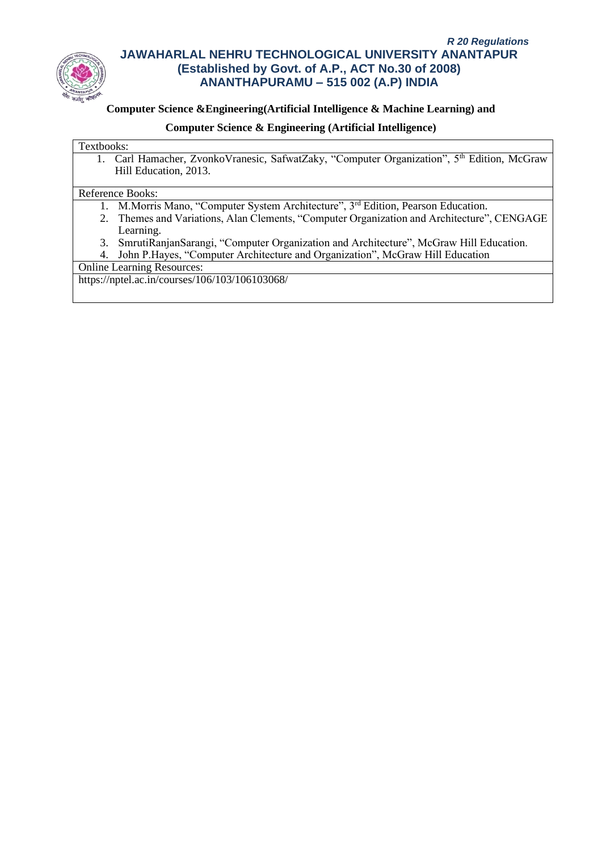

## **Computer Science &Engineering(Artificial Intelligence & Machine Learning) and**

### **Computer Science & Engineering (Artificial Intelligence)**

#### Textbooks:

1. Carl Hamacher, ZvonkoVranesic, SafwatZaky, "Computer Organization", 5<sup>th</sup> Edition, McGraw Hill Education, 2013.

### Reference Books:

- 1. M.Morris Mano, "Computer System Architecture", 3rd Edition, Pearson Education.
- 2. Themes and Variations, Alan Clements, "Computer Organization and Architecture", CENGAGE Learning.
- 3. SmrutiRanjanSarangi, "Computer Organization and Architecture", McGraw Hill Education.
- 4. John P.Hayes, "Computer Architecture and Organization", McGraw Hill Education

Online Learning Resources:

https://nptel.ac.in/courses/106/103/106103068/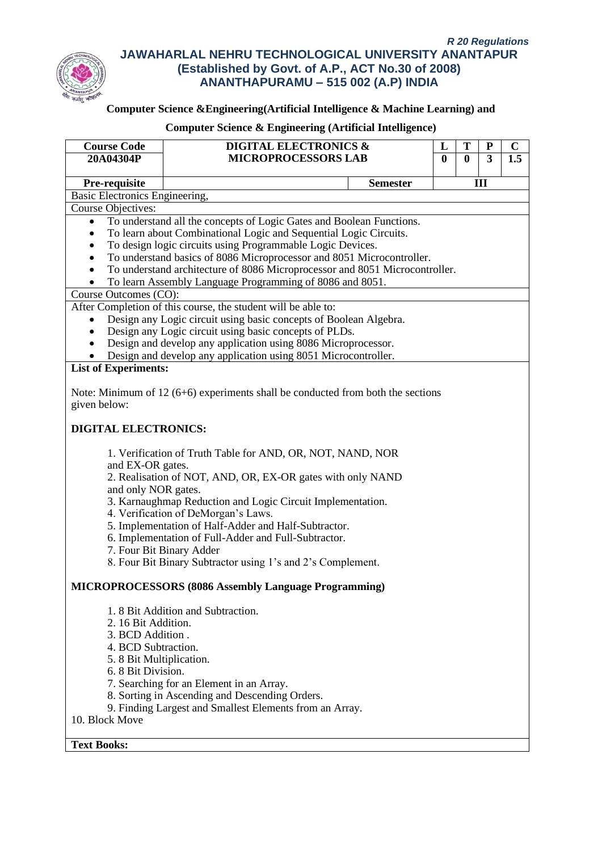

# **Computer Science &Engineering(Artificial Intelligence & Machine Learning) and**

| <b>Course Code</b>             | <b>DIGITAL ELECTRONICS &amp;</b>                                                    | L            | T           | P              | $\mathbf C$ |
|--------------------------------|-------------------------------------------------------------------------------------|--------------|-------------|----------------|-------------|
| 20A04304P                      | <b>MICROPROCESSORS LAB</b>                                                          | $\mathbf{0}$ | $\mathbf 0$ | $\overline{3}$ | 1.5         |
| Pre-requisite                  | <b>Semester</b>                                                                     |              |             | Ш              |             |
| Basic Electronics Engineering, |                                                                                     |              |             |                |             |
| <b>Course Objectives:</b>      |                                                                                     |              |             |                |             |
| $\bullet$                      | To understand all the concepts of Logic Gates and Boolean Functions.                |              |             |                |             |
|                                | To learn about Combinational Logic and Sequential Logic Circuits.                   |              |             |                |             |
|                                | To design logic circuits using Programmable Logic Devices.                          |              |             |                |             |
|                                | To understand basics of 8086 Microprocessor and 8051 Microcontroller.               |              |             |                |             |
|                                | To understand architecture of 8086 Microprocessor and 8051 Microcontroller.         |              |             |                |             |
|                                | To learn Assembly Language Programming of 8086 and 8051.                            |              |             |                |             |
| Course Outcomes (CO):          |                                                                                     |              |             |                |             |
|                                | After Completion of this course, the student will be able to:                       |              |             |                |             |
|                                | Design any Logic circuit using basic concepts of Boolean Algebra.                   |              |             |                |             |
|                                | Design any Logic circuit using basic concepts of PLDs.                              |              |             |                |             |
|                                | Design and develop any application using 8086 Microprocessor.                       |              |             |                |             |
|                                | Design and develop any application using 8051 Microcontroller.                      |              |             |                |             |
| <b>List of Experiments:</b>    |                                                                                     |              |             |                |             |
|                                |                                                                                     |              |             |                |             |
|                                | Note: Minimum of 12 ( $6+6$ ) experiments shall be conducted from both the sections |              |             |                |             |
| given below:                   |                                                                                     |              |             |                |             |
| <b>DIGITAL ELECTRONICS:</b>    |                                                                                     |              |             |                |             |
|                                | 1. Verification of Truth Table for AND, OR, NOT, NAND, NOR                          |              |             |                |             |
| and EX-OR gates.               | 2. Realisation of NOT, AND, OR, EX-OR gates with only NAND                          |              |             |                |             |
| and only NOR gates.            |                                                                                     |              |             |                |             |
|                                | 3. Karnaughmap Reduction and Logic Circuit Implementation.                          |              |             |                |             |
|                                | 4. Verification of DeMorgan's Laws.                                                 |              |             |                |             |
|                                | 5. Implementation of Half-Adder and Half-Subtractor.                                |              |             |                |             |
|                                | 6. Implementation of Full-Adder and Full-Subtractor.                                |              |             |                |             |
|                                | 7. Four Bit Binary Adder                                                            |              |             |                |             |
|                                | 8. Four Bit Binary Subtractor using 1's and 2's Complement.                         |              |             |                |             |
|                                | MICROPROCESSORS (8086 Assembly Language Programming)                                |              |             |                |             |
|                                | 1.8 Bit Addition and Subtraction.                                                   |              |             |                |             |
| 2. 16 Bit Addition.            |                                                                                     |              |             |                |             |
| 3. BCD Addition.               |                                                                                     |              |             |                |             |
| 4. BCD Subtraction.            |                                                                                     |              |             |                |             |
| 5.8 Bit Multiplication.        |                                                                                     |              |             |                |             |
| 6. 8 Bit Division.             |                                                                                     |              |             |                |             |
|                                | 7. Searching for an Element in an Array.                                            |              |             |                |             |
|                                | 8. Sorting in Ascending and Descending Orders.                                      |              |             |                |             |
|                                | 9. Finding Largest and Smallest Elements from an Array.                             |              |             |                |             |
| 10. Block Move                 |                                                                                     |              |             |                |             |
| <b>Text Books:</b>             |                                                                                     |              |             |                |             |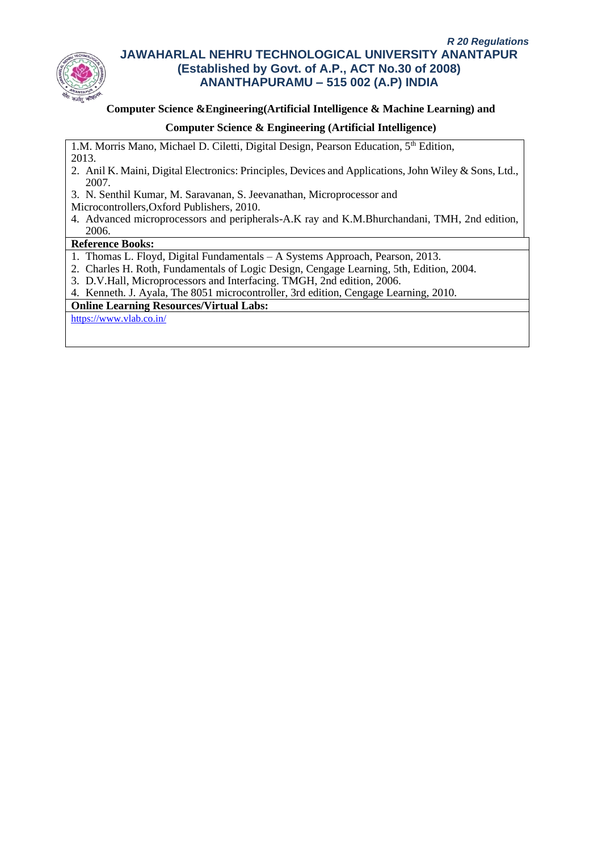

### **Computer Science &Engineering(Artificial Intelligence & Machine Learning) and**

### **Computer Science & Engineering (Artificial Intelligence)**

1.M. Morris Mano, Michael D. Ciletti, Digital Design, Pearson Education, 5<sup>th</sup> Edition, 2013.

- 2. Anil K. Maini, Digital Electronics: Principles, Devices and Applications, John Wiley & Sons, Ltd., 2007.
- 3. N. Senthil Kumar, M. Saravanan, S. Jeevanathan, Microprocessor and
- Microcontrollers,Oxford Publishers, 2010.
- 4. Advanced microprocessors and peripherals-A.K ray and K.M.Bhurchandani, TMH, 2nd edition, 2006.

### **Reference Books:**

- 1. Thomas L. Floyd, Digital Fundamentals A Systems Approach, Pearson, 2013.
- 2. Charles H. Roth, Fundamentals of Logic Design, Cengage Learning, 5th, Edition, 2004.
- 3. D.V.Hall, Microprocessors and Interfacing. TMGH, 2nd edition, 2006.

4. Kenneth. J. Ayala, The 8051 microcontroller, 3rd edition, Cengage Learning, 2010.

# **Online Learning Resources/Virtual Labs:**

<https://www.vlab.co.in/>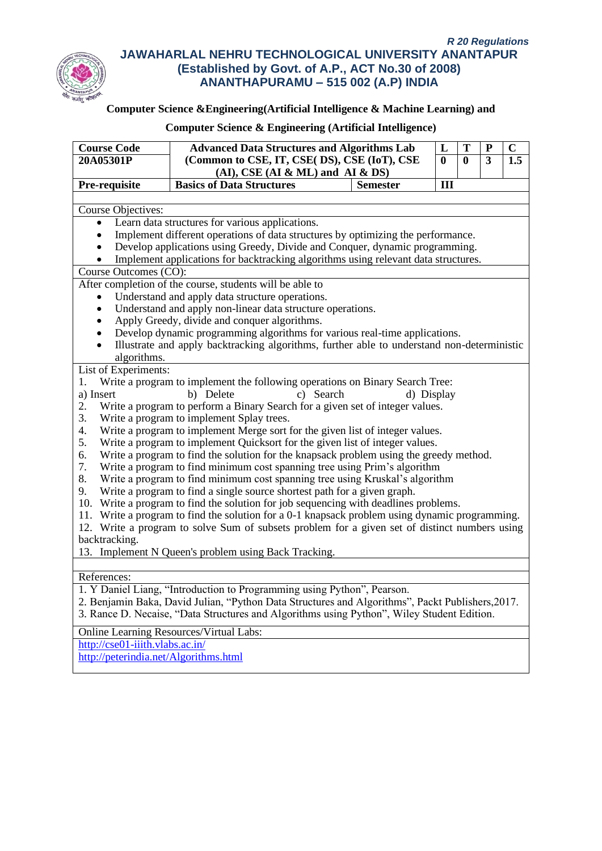

## **Computer Science &Engineering(Artificial Intelligence & Machine Learning) and**

## **Course Code Advanced Data Structures and Algorithms Lab**<br> **20A05301P** (Common to CSE, IT, CSE( DS), CSE (IoT), CSE **(Common to CSE, IT, CSE( DS), CSE (IoT), CSE 20A05301P 0 0 3 1.5 (AI), CSE (AI & ML) and AI & DS)**  $\begin{array}{|c|c|c|c|}\n\hline\nL & T & P & C \\
\hline\n0 & 0 & 3 & 1.\n\end{array}$ **Pre-requisite** Basics of Data Structures Semester III Course Objectives: • Learn data structures for various applications. • Implement different operations of data structures by optimizing the performance. • Develop applications using Greedy, Divide and Conquer, dynamic programming. • Implement applications for backtracking algorithms using relevant data structures. Course Outcomes (CO): After completion of the course, students will be able to Understand and apply data structure operations. Understand and apply non-linear data structure operations. • Apply Greedy, divide and conquer algorithms. • Develop dynamic programming algorithms for various real-time applications. • Illustrate and apply backtracking algorithms, further able to understand non-deterministic algorithms. List of Experiments: 1. Write a program to implement the following operations on Binary Search Tree: a) Insert b) Delete c) Search d) Display 2. Write a program to perform a Binary Search for a given set of integer values. 3. Write a program to implement Splay trees. 4. Write a program to implement Merge sort for the given list of integer values. 5. Write a program to implement Quicksort for the given list of integer values. 6. Write a program to find the solution for the knapsack problem using the greedy method. 7. Write a program to find minimum cost spanning tree using Prim's algorithm 8. Write a program to find minimum cost spanning tree using Kruskal's algorithm 9. Write a program to find a single source shortest path for a given graph. 10. Write a program to find the solution for job sequencing with deadlines problems. 11. Write a program to find the solution for a 0-1 knapsack problem using dynamic programming. 12. Write a program to solve Sum of subsets problem for a given set of distinct numbers using backtracking. 13. Implement N Queen's problem using Back Tracking. References: 1. Y Daniel Liang, "Introduction to Programming using Python", Pearson. 2. Benjamin Baka, David Julian, "Python Data Structures and Algorithms", Packt Publishers,2017. 3. Rance D. Necaise, "Data Structures and Algorithms using Python", Wiley Student Edition. Online Learning Resources/Virtual Labs:

**Computer Science & Engineering (Artificial Intelligence)**

<http://cse01-iiith.vlabs.ac.in/>

<http://peterindia.net/Algorithms.html>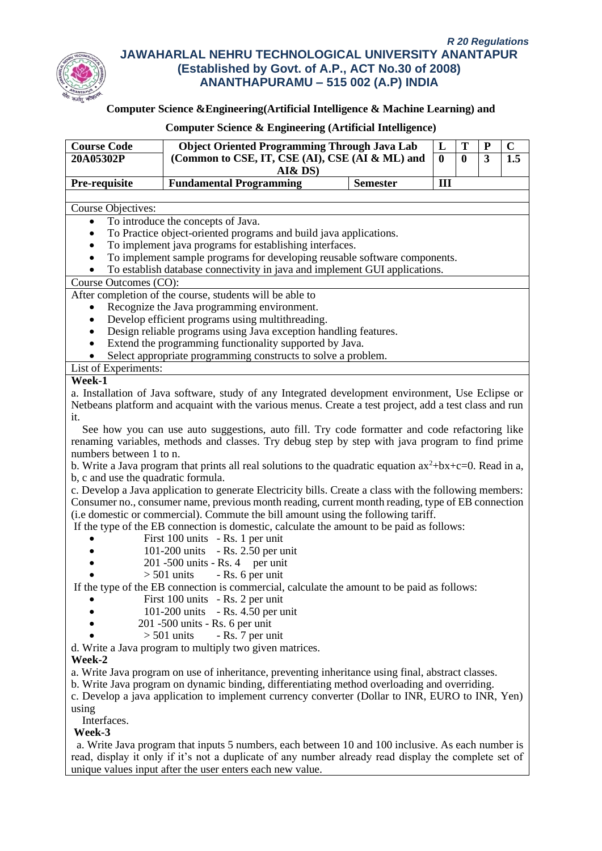

# **Computer Science &Engineering(Artificial Intelligence & Machine Learning) and**

| <b>Course Code</b>                  | <b>Object Oriented Programming Through Java Lab</b>                                                         |                 | L            | T                | $\bf P$ | $\mathbf C$ |
|-------------------------------------|-------------------------------------------------------------------------------------------------------------|-----------------|--------------|------------------|---------|-------------|
| 20A05302P                           | (Common to CSE, IT, CSE (AI), CSE (AI & ML) and                                                             |                 | $\mathbf{0}$ | $\boldsymbol{0}$ | 3       | 1.5         |
|                                     | AI& DS)<br><b>Fundamental Programming</b>                                                                   | <b>Semester</b> | III          |                  |         |             |
| Pre-requisite                       |                                                                                                             |                 |              |                  |         |             |
| <b>Course Objectives:</b>           |                                                                                                             |                 |              |                  |         |             |
| $\bullet$                           | To introduce the concepts of Java.                                                                          |                 |              |                  |         |             |
| $\bullet$                           | To Practice object-oriented programs and build java applications.                                           |                 |              |                  |         |             |
|                                     | To implement java programs for establishing interfaces.                                                     |                 |              |                  |         |             |
| $\bullet$                           | To implement sample programs for developing reusable software components.                                   |                 |              |                  |         |             |
| $\bullet$                           | To establish database connectivity in java and implement GUI applications.                                  |                 |              |                  |         |             |
| Course Outcomes (CO):               |                                                                                                             |                 |              |                  |         |             |
|                                     | After completion of the course, students will be able to                                                    |                 |              |                  |         |             |
|                                     | Recognize the Java programming environment.                                                                 |                 |              |                  |         |             |
| $\bullet$                           | Develop efficient programs using multithreading.                                                            |                 |              |                  |         |             |
|                                     | Design reliable programs using Java exception handling features.                                            |                 |              |                  |         |             |
|                                     | Extend the programming functionality supported by Java.                                                     |                 |              |                  |         |             |
|                                     | Select appropriate programming constructs to solve a problem.                                               |                 |              |                  |         |             |
| List of Experiments:                |                                                                                                             |                 |              |                  |         |             |
| Week-1                              |                                                                                                             |                 |              |                  |         |             |
|                                     | a. Installation of Java software, study of any Integrated development environment, Use Eclipse or           |                 |              |                  |         |             |
|                                     | Netbeans platform and acquaint with the various menus. Create a test project, add a test class and run      |                 |              |                  |         |             |
| it.                                 |                                                                                                             |                 |              |                  |         |             |
|                                     | See how you can use auto suggestions, auto fill. Try code formatter and code refactoring like               |                 |              |                  |         |             |
|                                     | renaming variables, methods and classes. Try debug step by step with java program to find prime             |                 |              |                  |         |             |
| numbers between 1 to n.             |                                                                                                             |                 |              |                  |         |             |
|                                     | b. Write a Java program that prints all real solutions to the quadratic equation $ax^2+bx+c=0$ . Read in a, |                 |              |                  |         |             |
| b, c and use the quadratic formula. |                                                                                                             |                 |              |                  |         |             |
|                                     | c. Develop a Java application to generate Electricity bills. Create a class with the following members:     |                 |              |                  |         |             |
|                                     | Consumer no., consumer name, previous month reading, current month reading, type of EB connection           |                 |              |                  |         |             |
|                                     | (i.e domestic or commercial). Commute the bill amount using the following tariff.                           |                 |              |                  |         |             |
|                                     | If the type of the EB connection is domestic, calculate the amount to be paid as follows:                   |                 |              |                  |         |             |
|                                     | First 100 units - Rs. 1 per unit                                                                            |                 |              |                  |         |             |
|                                     | 101-200 units - Rs. 2.50 per unit                                                                           |                 |              |                  |         |             |
|                                     | $201 - 500$ units - Rs. 4 per unit                                                                          |                 |              |                  |         |             |
|                                     | $> 501$ units - Rs. 6 per unit                                                                              |                 |              |                  |         |             |
|                                     | If the type of the EB connection is commercial, calculate the amount to be paid as follows:                 |                 |              |                  |         |             |
|                                     | First 100 units - Rs. 2 per unit                                                                            |                 |              |                  |         |             |
|                                     | 101-200 units - Rs. 4.50 per unit                                                                           |                 |              |                  |         |             |
|                                     | 201 -500 units - Rs. 6 per unit                                                                             |                 |              |                  |         |             |
|                                     | $>$ 501 units<br>- Rs. 7 per unit                                                                           |                 |              |                  |         |             |
|                                     | d. Write a Java program to multiply two given matrices.                                                     |                 |              |                  |         |             |
| Week-2                              |                                                                                                             |                 |              |                  |         |             |
|                                     | a. Write Java program on use of inheritance, preventing inheritance using final, abstract classes.          |                 |              |                  |         |             |
|                                     | b. Write Java program on dynamic binding, differentiating method overloading and overriding.                |                 |              |                  |         |             |
|                                     | c. Develop a java application to implement currency converter (Dollar to INR, EURO to INR, Yen)             |                 |              |                  |         |             |
| using                               |                                                                                                             |                 |              |                  |         |             |
| Interfaces.                         |                                                                                                             |                 |              |                  |         |             |
| Week-3                              |                                                                                                             |                 |              |                  |         |             |
|                                     | a. Write Java program that inputs 5 numbers, each between 10 and 100 inclusive. As each number is           |                 |              |                  |         |             |
|                                     | read, display it only if it's not a duplicate of any number already read display the complete set of        |                 |              |                  |         |             |
|                                     | unique values input after the user enters each new value.                                                   |                 |              |                  |         |             |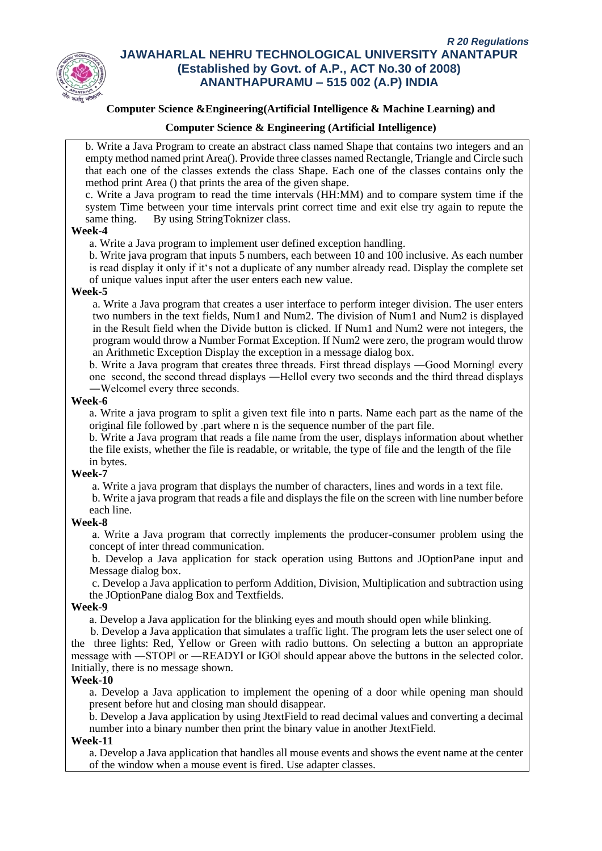

# **Computer Science &Engineering(Artificial Intelligence & Machine Learning) and**

#### **Computer Science & Engineering (Artificial Intelligence)**

b. Write a Java Program to create an abstract class named Shape that contains two integers and an empty method named print Area(). Provide three classes named Rectangle, Triangle and Circle such that each one of the classes extends the class Shape. Each one of the classes contains only the method print Area () that prints the area of the given shape.

c. Write a Java program to read the time intervals (HH:MM) and to compare system time if the system Time between your time intervals print correct time and exit else try again to repute the same thing. By using StringToknizer class.

#### **Week-4**

a. Write a Java program to implement user defined exception handling.

b. Write java program that inputs 5 numbers, each between 10 and 100 inclusive. As each number is read display it only if it's not a duplicate of any number already read. Display the complete set of unique values input after the user enters each new value.

#### **Week-5**

a. Write a Java program that creates a user interface to perform integer division. The user enters two numbers in the text fields, Num1 and Num2. The division of Num1 and Num2 is displayed in the Result field when the Divide button is clicked. If Num1 and Num2 were not integers, the program would throw a Number Format Exception. If Num2 were zero, the program would throw an Arithmetic Exception Display the exception in a message dialog box.

b. Write a Java program that creates three threads. First thread displays —Good Morningl every one second, the second thread displays ―Hello‖ every two seconds and the third thread displays ―Welcome‖ every three seconds.

#### **Week-6**

a. Write a java program to split a given text file into n parts. Name each part as the name of the original file followed by .part where n is the sequence number of the part file.

b. Write a Java program that reads a file name from the user, displays information about whether the file exists, whether the file is readable, or writable, the type of file and the length of the file in bytes.

#### **Week-7**

a. Write a java program that displays the number of characters, lines and words in a text file.

b. Write a java program that reads a file and displays the file on the screen with line number before each line.

#### **Week-8**

a. Write a Java program that correctly implements the producer-consumer problem using the concept of inter thread communication.

b. Develop a Java application for stack operation using Buttons and JOptionPane input and Message dialog box.

c. Develop a Java application to perform Addition, Division, Multiplication and subtraction using the JOptionPane dialog Box and Textfields.

#### **Week-9**

a. Develop a Java application for the blinking eyes and mouth should open while blinking.

 b. Develop a Java application that simulates a traffic light. The program lets the user select one of the three lights: Red, Yellow or Green with radio buttons. On selecting a button an appropriate message with ―STOP‖ or ―READY‖ or ‖GO‖ should appear above the buttons in the selected color. Initially, there is no message shown.

#### **Week-10**

a. Develop a Java application to implement the opening of a door while opening man should present before hut and closing man should disappear.

b. Develop a Java application by using JtextField to read decimal values and converting a decimal number into a binary number then print the binary value in another JtextField.

#### **Week-11**

a. Develop a Java application that handles all mouse events and shows the event name at the center of the window when a mouse event is fired. Use adapter classes.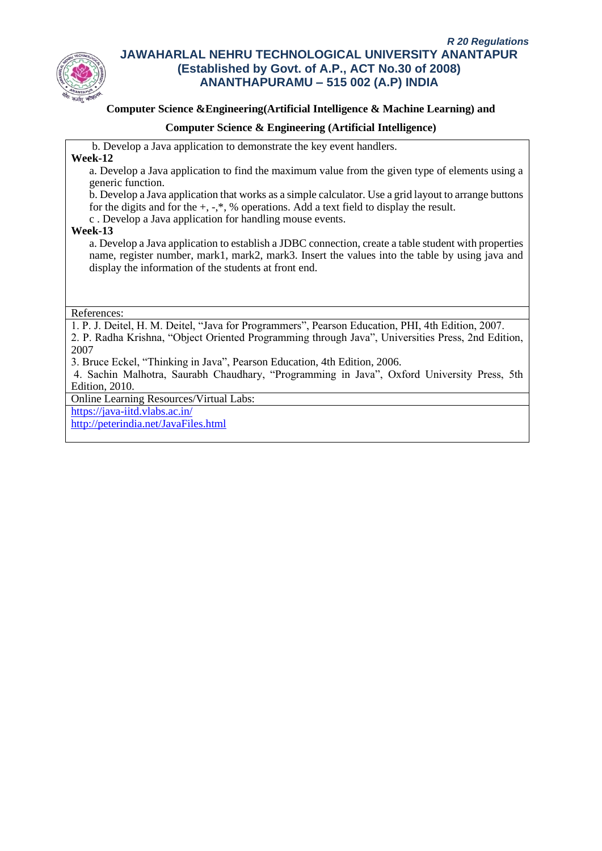

### **Computer Science &Engineering(Artificial Intelligence & Machine Learning) and**

### **Computer Science & Engineering (Artificial Intelligence)**

b. Develop a Java application to demonstrate the key event handlers.

**Week-12**

a. Develop a Java application to find the maximum value from the given type of elements using a generic function.

b. Develop a Java application that works as a simple calculator. Use a grid layout to arrange buttons for the digits and for the  $+, -$ \*, % operations. Add a text field to display the result.

c . Develop a Java application for handling mouse events.

#### **Week-13**

a. Develop a Java application to establish a JDBC connection, create a table student with properties name, register number, mark1, mark2, mark3. Insert the values into the table by using java and display the information of the students at front end.

References:

1. P. J. Deitel, H. M. Deitel, "Java for Programmers", Pearson Education, PHI, 4th Edition, 2007. 2. P. Radha Krishna, "Object Oriented Programming through Java", Universities Press, 2nd Edition, 2007

3. Bruce Eckel, "Thinking in Java", Pearson Education, 4th Edition, 2006.

4. Sachin Malhotra, Saurabh Chaudhary, "Programming in Java", Oxford University Press, 5th Edition, 2010.

Online Learning Resources/Virtual Labs:

<https://java-iitd.vlabs.ac.in/>

<http://peterindia.net/JavaFiles.html>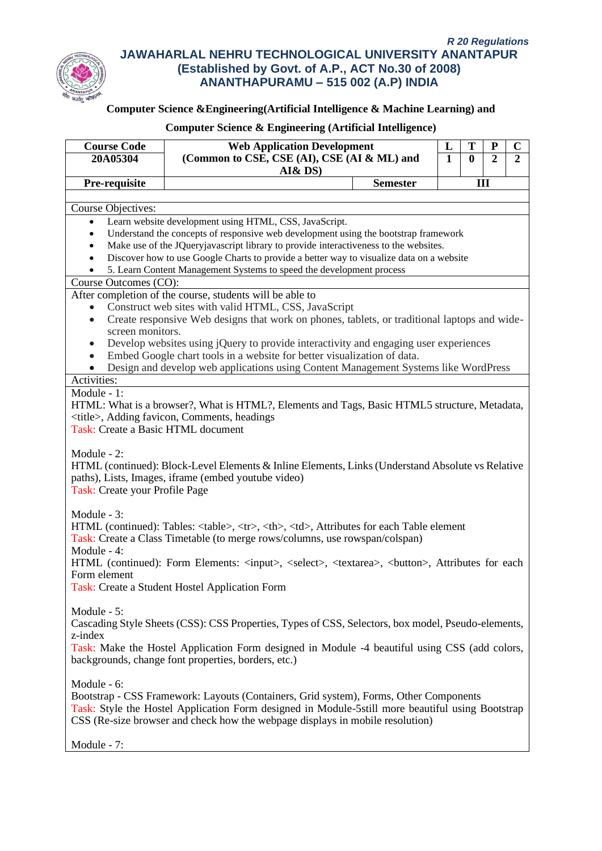

# **Computer Science &Engineering(Artificial Intelligence & Machine Learning) and**

| <b>Course Code</b>                                                                                                                                   | <b>Web Application Development</b><br>T<br>L<br>P                                                                                                                                                                                                                                                                                                                                                                                                                                                                                                                                                                                                                                                                                                                                                                                                                                                                                                                                                                                                                                                                                                                                                                                                                                                                                                                                                                                                                                                                                                                                                                                                                                                                                                                                                                                                                                                                                                                                                                                                                                                                                                                              |                                                |                                     |                |                |  |                                                                             |  |                                                                             |  |  |             |  |             |  |  |  |  |                                                                                                                                                                                             |  |                                                                                                                                                                                             |  |  |              |  |              |  |  |  |  |                                                |  |                                                |  |  |  |  |  |  |  |  |             |  |             |  |  |  |  |                                                                                                    |  |                                                                                                    |  |  |         |  |         |  |  |  |  |  |  |  |  |  |                                                                                                                                                      |  |                                                                                                                                                      |  |  |  |  |  |  |  |  |  |             |  |             |  |  |  |  |                                                                                       |  |                                                                                       |  |  |  |                                                                                                  |  |                                                                                                  |  |  |  |                                                                               |  |                                                                               |  |  |  |  |  |  |  |  |             |  |             |  |  |  |  |  |
|------------------------------------------------------------------------------------------------------------------------------------------------------|--------------------------------------------------------------------------------------------------------------------------------------------------------------------------------------------------------------------------------------------------------------------------------------------------------------------------------------------------------------------------------------------------------------------------------------------------------------------------------------------------------------------------------------------------------------------------------------------------------------------------------------------------------------------------------------------------------------------------------------------------------------------------------------------------------------------------------------------------------------------------------------------------------------------------------------------------------------------------------------------------------------------------------------------------------------------------------------------------------------------------------------------------------------------------------------------------------------------------------------------------------------------------------------------------------------------------------------------------------------------------------------------------------------------------------------------------------------------------------------------------------------------------------------------------------------------------------------------------------------------------------------------------------------------------------------------------------------------------------------------------------------------------------------------------------------------------------------------------------------------------------------------------------------------------------------------------------------------------------------------------------------------------------------------------------------------------------------------------------------------------------------------------------------------------------|------------------------------------------------|-------------------------------------|----------------|----------------|--|-----------------------------------------------------------------------------|--|-----------------------------------------------------------------------------|--|--|-------------|--|-------------|--|--|--|--|---------------------------------------------------------------------------------------------------------------------------------------------------------------------------------------------|--|---------------------------------------------------------------------------------------------------------------------------------------------------------------------------------------------|--|--|--------------|--|--------------|--|--|--|--|------------------------------------------------|--|------------------------------------------------|--|--|--|--|--|--|--|--|-------------|--|-------------|--|--|--|--|----------------------------------------------------------------------------------------------------|--|----------------------------------------------------------------------------------------------------|--|--|---------|--|---------|--|--|--|--|--|--|--|--|--|------------------------------------------------------------------------------------------------------------------------------------------------------|--|------------------------------------------------------------------------------------------------------------------------------------------------------|--|--|--|--|--|--|--|--|--|-------------|--|-------------|--|--|--|--|---------------------------------------------------------------------------------------|--|---------------------------------------------------------------------------------------|--|--|--|--------------------------------------------------------------------------------------------------|--|--------------------------------------------------------------------------------------------------|--|--|--|-------------------------------------------------------------------------------|--|-------------------------------------------------------------------------------|--|--|--|--|--|--|--|--|-------------|--|-------------|--|--|--|--|--|
| 20A05304                                                                                                                                             | (Common to CSE, CSE (AI), CSE (AI & ML) and                                                                                                                                                                                                                                                                                                                                                                                                                                                                                                                                                                                                                                                                                                                                                                                                                                                                                                                                                                                                                                                                                                                                                                                                                                                                                                                                                                                                                                                                                                                                                                                                                                                                                                                                                                                                                                                                                                                                                                                                                                                                                                                                    | $\overline{1}$                                 | $\mathbf 0$                         | $\overline{2}$ | $\overline{2}$ |  |                                                                             |  |                                                                             |  |  |             |  |             |  |  |  |  |                                                                                                                                                                                             |  |                                                                                                                                                                                             |  |  |              |  |              |  |  |  |  |                                                |  |                                                |  |  |  |  |  |  |  |  |             |  |             |  |  |  |  |                                                                                                    |  |                                                                                                    |  |  |         |  |         |  |  |  |  |  |  |  |  |  |                                                                                                                                                      |  |                                                                                                                                                      |  |  |  |  |  |  |  |  |  |             |  |             |  |  |  |  |                                                                                       |  |                                                                                       |  |  |  |                                                                                                  |  |                                                                                                  |  |  |  |                                                                               |  |                                                                               |  |  |  |  |  |  |  |  |             |  |             |  |  |  |  |  |
|                                                                                                                                                      | AI& DS)                                                                                                                                                                                                                                                                                                                                                                                                                                                                                                                                                                                                                                                                                                                                                                                                                                                                                                                                                                                                                                                                                                                                                                                                                                                                                                                                                                                                                                                                                                                                                                                                                                                                                                                                                                                                                                                                                                                                                                                                                                                                                                                                                                        |                                                |                                     |                |                |  |                                                                             |  |                                                                             |  |  |             |  |             |  |  |  |  |                                                                                                                                                                                             |  |                                                                                                                                                                                             |  |  |              |  |              |  |  |  |  |                                                |  |                                                |  |  |  |  |  |  |  |  |             |  |             |  |  |  |  |                                                                                                    |  |                                                                                                    |  |  |         |  |         |  |  |  |  |  |  |  |  |  |                                                                                                                                                      |  |                                                                                                                                                      |  |  |  |  |  |  |  |  |  |             |  |             |  |  |  |  |                                                                                       |  |                                                                                       |  |  |  |                                                                                                  |  |                                                                                                  |  |  |  |                                                                               |  |                                                                               |  |  |  |  |  |  |  |  |             |  |             |  |  |  |  |  |
| Pre-requisite                                                                                                                                        | <b>Semester</b>                                                                                                                                                                                                                                                                                                                                                                                                                                                                                                                                                                                                                                                                                                                                                                                                                                                                                                                                                                                                                                                                                                                                                                                                                                                                                                                                                                                                                                                                                                                                                                                                                                                                                                                                                                                                                                                                                                                                                                                                                                                                                                                                                                |                                                | III                                 |                |                |  |                                                                             |  |                                                                             |  |  |             |  |             |  |  |  |  |                                                                                                                                                                                             |  |                                                                                                                                                                                             |  |  |              |  |              |  |  |  |  |                                                |  |                                                |  |  |  |  |  |  |  |  |             |  |             |  |  |  |  |                                                                                                    |  |                                                                                                    |  |  |         |  |         |  |  |  |  |  |  |  |  |  |                                                                                                                                                      |  |                                                                                                                                                      |  |  |  |  |  |  |  |  |  |             |  |             |  |  |  |  |                                                                                       |  |                                                                                       |  |  |  |                                                                                                  |  |                                                                                                  |  |  |  |                                                                               |  |                                                                               |  |  |  |  |  |  |  |  |             |  |             |  |  |  |  |  |
|                                                                                                                                                      |                                                                                                                                                                                                                                                                                                                                                                                                                                                                                                                                                                                                                                                                                                                                                                                                                                                                                                                                                                                                                                                                                                                                                                                                                                                                                                                                                                                                                                                                                                                                                                                                                                                                                                                                                                                                                                                                                                                                                                                                                                                                                                                                                                                |                                                |                                     |                |                |  |                                                                             |  |                                                                             |  |  |             |  |             |  |  |  |  |                                                                                                                                                                                             |  |                                                                                                                                                                                             |  |  |              |  |              |  |  |  |  |                                                |  |                                                |  |  |  |  |  |  |  |  |             |  |             |  |  |  |  |                                                                                                    |  |                                                                                                    |  |  |         |  |         |  |  |  |  |  |  |  |  |  |                                                                                                                                                      |  |                                                                                                                                                      |  |  |  |  |  |  |  |  |  |             |  |             |  |  |  |  |                                                                                       |  |                                                                                       |  |  |  |                                                                                                  |  |                                                                                                  |  |  |  |                                                                               |  |                                                                               |  |  |  |  |  |  |  |  |             |  |             |  |  |  |  |  |
| Course Objectives:                                                                                                                                   | Learn website development using HTML, CSS, JavaScript.                                                                                                                                                                                                                                                                                                                                                                                                                                                                                                                                                                                                                                                                                                                                                                                                                                                                                                                                                                                                                                                                                                                                                                                                                                                                                                                                                                                                                                                                                                                                                                                                                                                                                                                                                                                                                                                                                                                                                                                                                                                                                                                         |                                                |                                     |                |                |  |                                                                             |  |                                                                             |  |  |             |  |             |  |  |  |  |                                                                                                                                                                                             |  |                                                                                                                                                                                             |  |  |              |  |              |  |  |  |  |                                                |  |                                                |  |  |  |  |  |  |  |  |             |  |             |  |  |  |  |                                                                                                    |  |                                                                                                    |  |  |         |  |         |  |  |  |  |  |  |  |  |  |                                                                                                                                                      |  |                                                                                                                                                      |  |  |  |  |  |  |  |  |  |             |  |             |  |  |  |  |                                                                                       |  |                                                                                       |  |  |  |                                                                                                  |  |                                                                                                  |  |  |  |                                                                               |  |                                                                               |  |  |  |  |  |  |  |  |             |  |             |  |  |  |  |  |
| $\bullet$<br>$\bullet$                                                                                                                               | Understand the concepts of responsive web development using the bootstrap framework                                                                                                                                                                                                                                                                                                                                                                                                                                                                                                                                                                                                                                                                                                                                                                                                                                                                                                                                                                                                                                                                                                                                                                                                                                                                                                                                                                                                                                                                                                                                                                                                                                                                                                                                                                                                                                                                                                                                                                                                                                                                                            |                                                |                                     |                |                |  |                                                                             |  |                                                                             |  |  |             |  |             |  |  |  |  |                                                                                                                                                                                             |  |                                                                                                                                                                                             |  |  |              |  |              |  |  |  |  |                                                |  |                                                |  |  |  |  |  |  |  |  |             |  |             |  |  |  |  |                                                                                                    |  |                                                                                                    |  |  |         |  |         |  |  |  |  |  |  |  |  |  |                                                                                                                                                      |  |                                                                                                                                                      |  |  |  |  |  |  |  |  |  |             |  |             |  |  |  |  |                                                                                       |  |                                                                                       |  |  |  |                                                                                                  |  |                                                                                                  |  |  |  |                                                                               |  |                                                                               |  |  |  |  |  |  |  |  |             |  |             |  |  |  |  |  |
| $\bullet$                                                                                                                                            | Make use of the JQueryjavascript library to provide interactiveness to the websites.                                                                                                                                                                                                                                                                                                                                                                                                                                                                                                                                                                                                                                                                                                                                                                                                                                                                                                                                                                                                                                                                                                                                                                                                                                                                                                                                                                                                                                                                                                                                                                                                                                                                                                                                                                                                                                                                                                                                                                                                                                                                                           |                                                |                                     |                |                |  |                                                                             |  |                                                                             |  |  |             |  |             |  |  |  |  |                                                                                                                                                                                             |  |                                                                                                                                                                                             |  |  |              |  |              |  |  |  |  |                                                |  |                                                |  |  |  |  |  |  |  |  |             |  |             |  |  |  |  |                                                                                                    |  |                                                                                                    |  |  |         |  |         |  |  |  |  |  |  |  |  |  |                                                                                                                                                      |  |                                                                                                                                                      |  |  |  |  |  |  |  |  |  |             |  |             |  |  |  |  |                                                                                       |  |                                                                                       |  |  |  |                                                                                                  |  |                                                                                                  |  |  |  |                                                                               |  |                                                                               |  |  |  |  |  |  |  |  |             |  |             |  |  |  |  |  |
| Discover how to use Google Charts to provide a better way to visualize data on a website<br>$\bullet$                                                |                                                                                                                                                                                                                                                                                                                                                                                                                                                                                                                                                                                                                                                                                                                                                                                                                                                                                                                                                                                                                                                                                                                                                                                                                                                                                                                                                                                                                                                                                                                                                                                                                                                                                                                                                                                                                                                                                                                                                                                                                                                                                                                                                                                |                                                |                                     |                |                |  |                                                                             |  |                                                                             |  |  |             |  |             |  |  |  |  |                                                                                                                                                                                             |  |                                                                                                                                                                                             |  |  |              |  |              |  |  |  |  |                                                |  |                                                |  |  |  |  |  |  |  |  |             |  |             |  |  |  |  |                                                                                                    |  |                                                                                                    |  |  |         |  |         |  |  |  |  |  |  |  |  |  |                                                                                                                                                      |  |                                                                                                                                                      |  |  |  |  |  |  |  |  |  |             |  |             |  |  |  |  |                                                                                       |  |                                                                                       |  |  |  |                                                                                                  |  |                                                                                                  |  |  |  |                                                                               |  |                                                                               |  |  |  |  |  |  |  |  |             |  |             |  |  |  |  |  |
|                                                                                                                                                      | 5. Learn Content Management Systems to speed the development process                                                                                                                                                                                                                                                                                                                                                                                                                                                                                                                                                                                                                                                                                                                                                                                                                                                                                                                                                                                                                                                                                                                                                                                                                                                                                                                                                                                                                                                                                                                                                                                                                                                                                                                                                                                                                                                                                                                                                                                                                                                                                                           |                                                |                                     |                |                |  |                                                                             |  |                                                                             |  |  |             |  |             |  |  |  |  |                                                                                                                                                                                             |  |                                                                                                                                                                                             |  |  |              |  |              |  |  |  |  |                                                |  |                                                |  |  |  |  |  |  |  |  |             |  |             |  |  |  |  |                                                                                                    |  |                                                                                                    |  |  |         |  |         |  |  |  |  |  |  |  |  |  |                                                                                                                                                      |  |                                                                                                                                                      |  |  |  |  |  |  |  |  |  |             |  |             |  |  |  |  |                                                                                       |  |                                                                                       |  |  |  |                                                                                                  |  |                                                                                                  |  |  |  |                                                                               |  |                                                                               |  |  |  |  |  |  |  |  |             |  |             |  |  |  |  |  |
| Course Outcomes (CO):                                                                                                                                |                                                                                                                                                                                                                                                                                                                                                                                                                                                                                                                                                                                                                                                                                                                                                                                                                                                                                                                                                                                                                                                                                                                                                                                                                                                                                                                                                                                                                                                                                                                                                                                                                                                                                                                                                                                                                                                                                                                                                                                                                                                                                                                                                                                |                                                |                                     |                |                |  |                                                                             |  |                                                                             |  |  |             |  |             |  |  |  |  |                                                                                                                                                                                             |  |                                                                                                                                                                                             |  |  |              |  |              |  |  |  |  |                                                |  |                                                |  |  |  |  |  |  |  |  |             |  |             |  |  |  |  |                                                                                                    |  |                                                                                                    |  |  |         |  |         |  |  |  |  |  |  |  |  |  |                                                                                                                                                      |  |                                                                                                                                                      |  |  |  |  |  |  |  |  |  |             |  |             |  |  |  |  |                                                                                       |  |                                                                                       |  |  |  |                                                                                                  |  |                                                                                                  |  |  |  |                                                                               |  |                                                                               |  |  |  |  |  |  |  |  |             |  |             |  |  |  |  |  |
|                                                                                                                                                      | After completion of the course, students will be able to                                                                                                                                                                                                                                                                                                                                                                                                                                                                                                                                                                                                                                                                                                                                                                                                                                                                                                                                                                                                                                                                                                                                                                                                                                                                                                                                                                                                                                                                                                                                                                                                                                                                                                                                                                                                                                                                                                                                                                                                                                                                                                                       |                                                |                                     |                |                |  |                                                                             |  |                                                                             |  |  |             |  |             |  |  |  |  |                                                                                                                                                                                             |  |                                                                                                                                                                                             |  |  |              |  |              |  |  |  |  |                                                |  |                                                |  |  |  |  |  |  |  |  |             |  |             |  |  |  |  |                                                                                                    |  |                                                                                                    |  |  |         |  |         |  |  |  |  |  |  |  |  |  |                                                                                                                                                      |  |                                                                                                                                                      |  |  |  |  |  |  |  |  |  |             |  |             |  |  |  |  |                                                                                       |  |                                                                                       |  |  |  |                                                                                                  |  |                                                                                                  |  |  |  |                                                                               |  |                                                                               |  |  |  |  |  |  |  |  |             |  |             |  |  |  |  |  |
| $\bullet$                                                                                                                                            | Construct web sites with valid HTML, CSS, JavaScript                                                                                                                                                                                                                                                                                                                                                                                                                                                                                                                                                                                                                                                                                                                                                                                                                                                                                                                                                                                                                                                                                                                                                                                                                                                                                                                                                                                                                                                                                                                                                                                                                                                                                                                                                                                                                                                                                                                                                                                                                                                                                                                           |                                                |                                     |                |                |  |                                                                             |  |                                                                             |  |  |             |  |             |  |  |  |  |                                                                                                                                                                                             |  |                                                                                                                                                                                             |  |  |              |  |              |  |  |  |  |                                                |  |                                                |  |  |  |  |  |  |  |  |             |  |             |  |  |  |  |                                                                                                    |  |                                                                                                    |  |  |         |  |         |  |  |  |  |  |  |  |  |  |                                                                                                                                                      |  |                                                                                                                                                      |  |  |  |  |  |  |  |  |  |             |  |             |  |  |  |  |                                                                                       |  |                                                                                       |  |  |  |                                                                                                  |  |                                                                                                  |  |  |  |                                                                               |  |                                                                               |  |  |  |  |  |  |  |  |             |  |             |  |  |  |  |  |
| $\bullet$                                                                                                                                            | Create responsive Web designs that work on phones, tablets, or traditional laptops and wide-                                                                                                                                                                                                                                                                                                                                                                                                                                                                                                                                                                                                                                                                                                                                                                                                                                                                                                                                                                                                                                                                                                                                                                                                                                                                                                                                                                                                                                                                                                                                                                                                                                                                                                                                                                                                                                                                                                                                                                                                                                                                                   |                                                |                                     |                |                |  |                                                                             |  |                                                                             |  |  |             |  |             |  |  |  |  |                                                                                                                                                                                             |  |                                                                                                                                                                                             |  |  |              |  |              |  |  |  |  |                                                |  |                                                |  |  |  |  |  |  |  |  |             |  |             |  |  |  |  |                                                                                                    |  |                                                                                                    |  |  |         |  |         |  |  |  |  |  |  |  |  |  |                                                                                                                                                      |  |                                                                                                                                                      |  |  |  |  |  |  |  |  |  |             |  |             |  |  |  |  |                                                                                       |  |                                                                                       |  |  |  |                                                                                                  |  |                                                                                                  |  |  |  |                                                                               |  |                                                                               |  |  |  |  |  |  |  |  |             |  |             |  |  |  |  |  |
| screen monitors.                                                                                                                                     |                                                                                                                                                                                                                                                                                                                                                                                                                                                                                                                                                                                                                                                                                                                                                                                                                                                                                                                                                                                                                                                                                                                                                                                                                                                                                                                                                                                                                                                                                                                                                                                                                                                                                                                                                                                                                                                                                                                                                                                                                                                                                                                                                                                |                                                |                                     |                |                |  |                                                                             |  |                                                                             |  |  |             |  |             |  |  |  |  |                                                                                                                                                                                             |  |                                                                                                                                                                                             |  |  |              |  |              |  |  |  |  |                                                |  |                                                |  |  |  |  |  |  |  |  |             |  |             |  |  |  |  |                                                                                                    |  |                                                                                                    |  |  |         |  |         |  |  |  |  |  |  |  |  |  |                                                                                                                                                      |  |                                                                                                                                                      |  |  |  |  |  |  |  |  |  |             |  |             |  |  |  |  |                                                                                       |  |                                                                                       |  |  |  |                                                                                                  |  |                                                                                                  |  |  |  |                                                                               |  |                                                                               |  |  |  |  |  |  |  |  |             |  |             |  |  |  |  |  |
|                                                                                                                                                      | Develop websites using jQuery to provide interactivity and engaging user experiences                                                                                                                                                                                                                                                                                                                                                                                                                                                                                                                                                                                                                                                                                                                                                                                                                                                                                                                                                                                                                                                                                                                                                                                                                                                                                                                                                                                                                                                                                                                                                                                                                                                                                                                                                                                                                                                                                                                                                                                                                                                                                           |                                                |                                     |                |                |  |                                                                             |  |                                                                             |  |  |             |  |             |  |  |  |  |                                                                                                                                                                                             |  |                                                                                                                                                                                             |  |  |              |  |              |  |  |  |  |                                                |  |                                                |  |  |  |  |  |  |  |  |             |  |             |  |  |  |  |                                                                                                    |  |                                                                                                    |  |  |         |  |         |  |  |  |  |  |  |  |  |  |                                                                                                                                                      |  |                                                                                                                                                      |  |  |  |  |  |  |  |  |  |             |  |             |  |  |  |  |                                                                                       |  |                                                                                       |  |  |  |                                                                                                  |  |                                                                                                  |  |  |  |                                                                               |  |                                                                               |  |  |  |  |  |  |  |  |             |  |             |  |  |  |  |  |
| $\bullet$                                                                                                                                            | Embed Google chart tools in a website for better visualization of data.                                                                                                                                                                                                                                                                                                                                                                                                                                                                                                                                                                                                                                                                                                                                                                                                                                                                                                                                                                                                                                                                                                                                                                                                                                                                                                                                                                                                                                                                                                                                                                                                                                                                                                                                                                                                                                                                                                                                                                                                                                                                                                        |                                                |                                     |                |                |  |                                                                             |  |                                                                             |  |  |             |  |             |  |  |  |  |                                                                                                                                                                                             |  |                                                                                                                                                                                             |  |  |              |  |              |  |  |  |  |                                                |  |                                                |  |  |  |  |  |  |  |  |             |  |             |  |  |  |  |                                                                                                    |  |                                                                                                    |  |  |         |  |         |  |  |  |  |  |  |  |  |  |                                                                                                                                                      |  |                                                                                                                                                      |  |  |  |  |  |  |  |  |  |             |  |             |  |  |  |  |                                                                                       |  |                                                                                       |  |  |  |                                                                                                  |  |                                                                                                  |  |  |  |                                                                               |  |                                                                               |  |  |  |  |  |  |  |  |             |  |             |  |  |  |  |  |
|                                                                                                                                                      | Design and develop web applications using Content Management Systems like WordPress                                                                                                                                                                                                                                                                                                                                                                                                                                                                                                                                                                                                                                                                                                                                                                                                                                                                                                                                                                                                                                                                                                                                                                                                                                                                                                                                                                                                                                                                                                                                                                                                                                                                                                                                                                                                                                                                                                                                                                                                                                                                                            |                                                |                                     |                |                |  |                                                                             |  |                                                                             |  |  |             |  |             |  |  |  |  |                                                                                                                                                                                             |  |                                                                                                                                                                                             |  |  |              |  |              |  |  |  |  |                                                |  |                                                |  |  |  |  |  |  |  |  |             |  |             |  |  |  |  |                                                                                                    |  |                                                                                                    |  |  |         |  |         |  |  |  |  |  |  |  |  |  |                                                                                                                                                      |  |                                                                                                                                                      |  |  |  |  |  |  |  |  |  |             |  |             |  |  |  |  |                                                                                       |  |                                                                                       |  |  |  |                                                                                                  |  |                                                                                                  |  |  |  |                                                                               |  |                                                                               |  |  |  |  |  |  |  |  |             |  |             |  |  |  |  |  |
| Activities:                                                                                                                                          |                                                                                                                                                                                                                                                                                                                                                                                                                                                                                                                                                                                                                                                                                                                                                                                                                                                                                                                                                                                                                                                                                                                                                                                                                                                                                                                                                                                                                                                                                                                                                                                                                                                                                                                                                                                                                                                                                                                                                                                                                                                                                                                                                                                |                                                |                                     |                |                |  |                                                                             |  |                                                                             |  |  |             |  |             |  |  |  |  |                                                                                                                                                                                             |  |                                                                                                                                                                                             |  |  |              |  |              |  |  |  |  |                                                |  |                                                |  |  |  |  |  |  |  |  |             |  |             |  |  |  |  |                                                                                                    |  |                                                                                                    |  |  |         |  |         |  |  |  |  |  |  |  |  |  |                                                                                                                                                      |  |                                                                                                                                                      |  |  |  |  |  |  |  |  |  |             |  |             |  |  |  |  |                                                                                       |  |                                                                                       |  |  |  |                                                                                                  |  |                                                                                                  |  |  |  |                                                                               |  |                                                                               |  |  |  |  |  |  |  |  |             |  |             |  |  |  |  |  |
| Module - 1:                                                                                                                                          |                                                                                                                                                                                                                                                                                                                                                                                                                                                                                                                                                                                                                                                                                                                                                                                                                                                                                                                                                                                                                                                                                                                                                                                                                                                                                                                                                                                                                                                                                                                                                                                                                                                                                                                                                                                                                                                                                                                                                                                                                                                                                                                                                                                |                                                |                                     |                |                |  |                                                                             |  |                                                                             |  |  |             |  |             |  |  |  |  |                                                                                                                                                                                             |  |                                                                                                                                                                                             |  |  |              |  |              |  |  |  |  |                                                |  |                                                |  |  |  |  |  |  |  |  |             |  |             |  |  |  |  |                                                                                                    |  |                                                                                                    |  |  |         |  |         |  |  |  |  |  |  |  |  |  |                                                                                                                                                      |  |                                                                                                                                                      |  |  |  |  |  |  |  |  |  |             |  |             |  |  |  |  |                                                                                       |  |                                                                                       |  |  |  |                                                                                                  |  |                                                                                                  |  |  |  |                                                                               |  |                                                                               |  |  |  |  |  |  |  |  |             |  |             |  |  |  |  |  |
|                                                                                                                                                      | HTML: What is a browser?, What is HTML?, Elements and Tags, Basic HTML5 structure, Metadata,                                                                                                                                                                                                                                                                                                                                                                                                                                                                                                                                                                                                                                                                                                                                                                                                                                                                                                                                                                                                                                                                                                                                                                                                                                                                                                                                                                                                                                                                                                                                                                                                                                                                                                                                                                                                                                                                                                                                                                                                                                                                                   |                                                |                                     |                |                |  |                                                                             |  |                                                                             |  |  |             |  |             |  |  |  |  |                                                                                                                                                                                             |  |                                                                                                                                                                                             |  |  |              |  |              |  |  |  |  |                                                |  |                                                |  |  |  |  |  |  |  |  |             |  |             |  |  |  |  |                                                                                                    |  |                                                                                                    |  |  |         |  |         |  |  |  |  |  |  |  |  |  |                                                                                                                                                      |  |                                                                                                                                                      |  |  |  |  |  |  |  |  |  |             |  |             |  |  |  |  |                                                                                       |  |                                                                                       |  |  |  |                                                                                                  |  |                                                                                                  |  |  |  |                                                                               |  |                                                                               |  |  |  |  |  |  |  |  |             |  |             |  |  |  |  |  |
|                                                                                                                                                      | <title>, Adding favicon, Comments, headings</title>                                                                                                                                                                                                                                                                                                                                                                                                                                                                                                                                                                                                                                                                                                                                                                                                                                                                                                                                                                                                                                                                                                                                                                                                                                                                                                                                                                                                                                                                                                                                                                                                                                                                                                                                                                                                                                                                                                                                                                                                                                                                                                                            |                                                |                                     |                |                |  |                                                                             |  |                                                                             |  |  |             |  |             |  |  |  |  |                                                                                                                                                                                             |  |                                                                                                                                                                                             |  |  |              |  |              |  |  |  |  |                                                |  |                                                |  |  |  |  |  |  |  |  |             |  |             |  |  |  |  |                                                                                                    |  |                                                                                                    |  |  |         |  |         |  |  |  |  |  |  |  |  |  |                                                                                                                                                      |  |                                                                                                                                                      |  |  |  |  |  |  |  |  |  |             |  |             |  |  |  |  |                                                                                       |  |                                                                                       |  |  |  |                                                                                                  |  |                                                                                                  |  |  |  |                                                                               |  |                                                                               |  |  |  |  |  |  |  |  |             |  |             |  |  |  |  |  |
| Task: Create a Basic HTML document                                                                                                                   |                                                                                                                                                                                                                                                                                                                                                                                                                                                                                                                                                                                                                                                                                                                                                                                                                                                                                                                                                                                                                                                                                                                                                                                                                                                                                                                                                                                                                                                                                                                                                                                                                                                                                                                                                                                                                                                                                                                                                                                                                                                                                                                                                                                |                                                |                                     |                |                |  |                                                                             |  |                                                                             |  |  |             |  |             |  |  |  |  |                                                                                                                                                                                             |  |                                                                                                                                                                                             |  |  |              |  |              |  |  |  |  |                                                |  |                                                |  |  |  |  |  |  |  |  |             |  |             |  |  |  |  |                                                                                                    |  |                                                                                                    |  |  |         |  |         |  |  |  |  |  |  |  |  |  |                                                                                                                                                      |  |                                                                                                                                                      |  |  |  |  |  |  |  |  |  |             |  |             |  |  |  |  |                                                                                       |  |                                                                                       |  |  |  |                                                                                                  |  |                                                                                                  |  |  |  |                                                                               |  |                                                                               |  |  |  |  |  |  |  |  |             |  |             |  |  |  |  |  |
|                                                                                                                                                      |                                                                                                                                                                                                                                                                                                                                                                                                                                                                                                                                                                                                                                                                                                                                                                                                                                                                                                                                                                                                                                                                                                                                                                                                                                                                                                                                                                                                                                                                                                                                                                                                                                                                                                                                                                                                                                                                                                                                                                                                                                                                                                                                                                                |                                                |                                     |                |                |  |                                                                             |  |                                                                             |  |  |             |  |             |  |  |  |  |                                                                                                                                                                                             |  |                                                                                                                                                                                             |  |  |              |  |              |  |  |  |  |                                                |  |                                                |  |  |  |  |  |  |  |  |             |  |             |  |  |  |  |                                                                                                    |  |                                                                                                    |  |  |         |  |         |  |  |  |  |  |  |  |  |  |                                                                                                                                                      |  |                                                                                                                                                      |  |  |  |  |  |  |  |  |  |             |  |             |  |  |  |  |                                                                                       |  |                                                                                       |  |  |  |                                                                                                  |  |                                                                                                  |  |  |  |                                                                               |  |                                                                               |  |  |  |  |  |  |  |  |             |  |             |  |  |  |  |  |
| Module - 2:                                                                                                                                          |                                                                                                                                                                                                                                                                                                                                                                                                                                                                                                                                                                                                                                                                                                                                                                                                                                                                                                                                                                                                                                                                                                                                                                                                                                                                                                                                                                                                                                                                                                                                                                                                                                                                                                                                                                                                                                                                                                                                                                                                                                                                                                                                                                                |                                                |                                     |                |                |  |                                                                             |  |                                                                             |  |  |             |  |             |  |  |  |  |                                                                                                                                                                                             |  |                                                                                                                                                                                             |  |  |              |  |              |  |  |  |  |                                                |  |                                                |  |  |  |  |  |  |  |  |             |  |             |  |  |  |  |                                                                                                    |  |                                                                                                    |  |  |         |  |         |  |  |  |  |  |  |  |  |  |                                                                                                                                                      |  |                                                                                                                                                      |  |  |  |  |  |  |  |  |  |             |  |             |  |  |  |  |                                                                                       |  |                                                                                       |  |  |  |                                                                                                  |  |                                                                                                  |  |  |  |                                                                               |  |                                                                               |  |  |  |  |  |  |  |  |             |  |             |  |  |  |  |  |
|                                                                                                                                                      | HTML (continued): Block-Level Elements & Inline Elements, Links (Understand Absolute vs Relative                                                                                                                                                                                                                                                                                                                                                                                                                                                                                                                                                                                                                                                                                                                                                                                                                                                                                                                                                                                                                                                                                                                                                                                                                                                                                                                                                                                                                                                                                                                                                                                                                                                                                                                                                                                                                                                                                                                                                                                                                                                                               |                                                |                                     |                |                |  |                                                                             |  |                                                                             |  |  |             |  |             |  |  |  |  |                                                                                                                                                                                             |  |                                                                                                                                                                                             |  |  |              |  |              |  |  |  |  |                                                |  |                                                |  |  |  |  |  |  |  |  |             |  |             |  |  |  |  |                                                                                                    |  |                                                                                                    |  |  |         |  |         |  |  |  |  |  |  |  |  |  |                                                                                                                                                      |  |                                                                                                                                                      |  |  |  |  |  |  |  |  |  |             |  |             |  |  |  |  |                                                                                       |  |                                                                                       |  |  |  |                                                                                                  |  |                                                                                                  |  |  |  |                                                                               |  |                                                                               |  |  |  |  |  |  |  |  |             |  |             |  |  |  |  |  |
|                                                                                                                                                      | paths), Lists, Images, iframe (embed youtube video)                                                                                                                                                                                                                                                                                                                                                                                                                                                                                                                                                                                                                                                                                                                                                                                                                                                                                                                                                                                                                                                                                                                                                                                                                                                                                                                                                                                                                                                                                                                                                                                                                                                                                                                                                                                                                                                                                                                                                                                                                                                                                                                            |                                                |                                     |                |                |  |                                                                             |  |                                                                             |  |  |             |  |             |  |  |  |  |                                                                                                                                                                                             |  |                                                                                                                                                                                             |  |  |              |  |              |  |  |  |  |                                                |  |                                                |  |  |  |  |  |  |  |  |             |  |             |  |  |  |  |                                                                                                    |  |                                                                                                    |  |  |         |  |         |  |  |  |  |  |  |  |  |  |                                                                                                                                                      |  |                                                                                                                                                      |  |  |  |  |  |  |  |  |  |             |  |             |  |  |  |  |                                                                                       |  |                                                                                       |  |  |  |                                                                                                  |  |                                                                                                  |  |  |  |                                                                               |  |                                                                               |  |  |  |  |  |  |  |  |             |  |             |  |  |  |  |  |
| Task: Create your Profile Page                                                                                                                       |                                                                                                                                                                                                                                                                                                                                                                                                                                                                                                                                                                                                                                                                                                                                                                                                                                                                                                                                                                                                                                                                                                                                                                                                                                                                                                                                                                                                                                                                                                                                                                                                                                                                                                                                                                                                                                                                                                                                                                                                                                                                                                                                                                                |                                                |                                     |                |                |  |                                                                             |  |                                                                             |  |  |             |  |             |  |  |  |  |                                                                                                                                                                                             |  |                                                                                                                                                                                             |  |  |              |  |              |  |  |  |  |                                                |  |                                                |  |  |  |  |  |  |  |  |             |  |             |  |  |  |  |                                                                                                    |  |                                                                                                    |  |  |         |  |         |  |  |  |  |  |  |  |  |  |                                                                                                                                                      |  |                                                                                                                                                      |  |  |  |  |  |  |  |  |  |             |  |             |  |  |  |  |                                                                                       |  |                                                                                       |  |  |  |                                                                                                  |  |                                                                                                  |  |  |  |                                                                               |  |                                                                               |  |  |  |  |  |  |  |  |             |  |             |  |  |  |  |  |
|                                                                                                                                                      |                                                                                                                                                                                                                                                                                                                                                                                                                                                                                                                                                                                                                                                                                                                                                                                                                                                                                                                                                                                                                                                                                                                                                                                                                                                                                                                                                                                                                                                                                                                                                                                                                                                                                                                                                                                                                                                                                                                                                                                                                                                                                                                                                                                |                                                |                                     |                |                |  |                                                                             |  |                                                                             |  |  |             |  |             |  |  |  |  |                                                                                                                                                                                             |  |                                                                                                                                                                                             |  |  |              |  |              |  |  |  |  |                                                |  |                                                |  |  |  |  |  |  |  |  |             |  |             |  |  |  |  |                                                                                                    |  |                                                                                                    |  |  |         |  |         |  |  |  |  |  |  |  |  |  |                                                                                                                                                      |  |                                                                                                                                                      |  |  |  |  |  |  |  |  |  |             |  |             |  |  |  |  |                                                                                       |  |                                                                                       |  |  |  |                                                                                                  |  |                                                                                                  |  |  |  |                                                                               |  |                                                                               |  |  |  |  |  |  |  |  |             |  |             |  |  |  |  |  |
| Module - 3:                                                                                                                                          |                                                                                                                                                                                                                                                                                                                                                                                                                                                                                                                                                                                                                                                                                                                                                                                                                                                                                                                                                                                                                                                                                                                                                                                                                                                                                                                                                                                                                                                                                                                                                                                                                                                                                                                                                                                                                                                                                                                                                                                                                                                                                                                                                                                |                                                |                                     |                |                |  |                                                                             |  |                                                                             |  |  |             |  |             |  |  |  |  |                                                                                                                                                                                             |  |                                                                                                                                                                                             |  |  |              |  |              |  |  |  |  |                                                |  |                                                |  |  |  |  |  |  |  |  |             |  |             |  |  |  |  |                                                                                                    |  |                                                                                                    |  |  |         |  |         |  |  |  |  |  |  |  |  |  |                                                                                                                                                      |  |                                                                                                                                                      |  |  |  |  |  |  |  |  |  |             |  |             |  |  |  |  |                                                                                       |  |                                                                                       |  |  |  |                                                                                                  |  |                                                                                                  |  |  |  |                                                                               |  |                                                                               |  |  |  |  |  |  |  |  |             |  |             |  |  |  |  |  |
|                                                                                                                                                      | HTML (continued): Tables: <table>, <tr><tr>, <th>, <td>, Attributes for each Table element</td></th><td></td><th></th><th></th><th></th></tr><tr><td></td><th>Task: Create a Class Timetable (to merge rows/columns, use rowspan/colspan)</th><td></td><th></th><th></th><th></th></tr><tr><td>Module - 4:</td><th></th><td></td><th></th><th></th><th></th></tr><tr><td></td><th>HTML (continued): Form Elements: <input/>, <select>, <textarea>, <br/> <br/> <br/> <http: th="" www.html<="" www.http:=""><td></td><th></th><th></th><th></th></http:></textarea></select></th></tr><tr><td>Form element</td><th></th><td></td><th></th><th></th><th></th></tr><tr><td></td><th>Task: Create a Student Hostel Application Form</th><td></td><th></th><th></th><th></th></tr><tr><td></td><th></th><td></td><th></th><th></th><th></th></tr><tr><td>Module - 5:</td><th></th><td></td><th></th><th></th><th></th></tr><tr><td></td><th>Cascading Style Sheets (CSS): CSS Properties, Types of CSS, Selectors, box model, Pseudo-elements,</th><td></td><th></th><th></th><th></th></tr><tr><td>z-index</td><th></th><td></td><th></th><th></th><th></th></tr><tr><td></td><th></th><td></td><th></th><th></th><th></th></tr><tr><td colspan="6">Task: Make the Hostel Application Form designed in Module -4 beautiful using CSS (add colors,<br/>backgrounds, change font properties, borders, etc.)</td></tr><tr><td></td><th></th><td></td><th></th><th></th><th></th></tr><tr><td>Module - 6:</td><th></th><td></td><th></th><th></th><th></th></tr><tr><td></td><th>Bootstrap - CSS Framework: Layouts (Containers, Grid system), Forms, Other Components</th><td></td><th></th><th></th><th></th></tr><tr><td></td><th>Task: Style the Hostel Application Form designed in Module-5still more beautiful using Bootstrap</th><td></td><th></th><th></th><th></th></tr><tr><td></td><th>CSS (Re-size browser and check how the webpage displays in mobile resolution)</th><td></td><th></th><th></th><th></th></tr><tr><td></td><th></th><td></td><th></th><th></th><th></th></tr><tr><td>Module - 7:</td><th></th><td></td><th></th><th></th><th></th></tr></tr></table> | , <td>, Attributes for each Table element</td> | , Attributes for each Table element |                |                |  |                                                                             |  | Task: Create a Class Timetable (to merge rows/columns, use rowspan/colspan) |  |  |             |  | Module - 4: |  |  |  |  |                                                                                                                                                                                             |  | HTML (continued): Form Elements: <input/> , <select>, <textarea>, <br/> <br/> <br/> <http: th="" www.html<="" www.http:=""><td></td><th></th><th></th><th></th></http:></textarea></select> |  |  |              |  | Form element |  |  |  |  |                                                |  | Task: Create a Student Hostel Application Form |  |  |  |  |  |  |  |  |             |  | Module - 5: |  |  |  |  |                                                                                                    |  | Cascading Style Sheets (CSS): CSS Properties, Types of CSS, Selectors, box model, Pseudo-elements, |  |  |         |  | z-index |  |  |  |  |  |  |  |  |  |                                                                                                                                                      |  | Task: Make the Hostel Application Form designed in Module -4 beautiful using CSS (add colors,<br>backgrounds, change font properties, borders, etc.) |  |  |  |  |  |  |  |  |  |             |  | Module - 6: |  |  |  |  |                                                                                       |  | Bootstrap - CSS Framework: Layouts (Containers, Grid system), Forms, Other Components |  |  |  |                                                                                                  |  | Task: Style the Hostel Application Form designed in Module-5still more beautiful using Bootstrap |  |  |  |                                                                               |  | CSS (Re-size browser and check how the webpage displays in mobile resolution) |  |  |  |  |  |  |  |  |             |  | Module - 7: |  |  |  |  |  |
| , <td>, Attributes for each Table element</td>                                                                                                       | , Attributes for each Table element                                                                                                                                                                                                                                                                                                                                                                                                                                                                                                                                                                                                                                                                                                                                                                                                                                                                                                                                                                                                                                                                                                                                                                                                                                                                                                                                                                                                                                                                                                                                                                                                                                                                                                                                                                                                                                                                                                                                                                                                                                                                                                                                            |                                                |                                     |                |                |  | Task: Create a Class Timetable (to merge rows/columns, use rowspan/colspan) |  |                                                                             |  |  | Module - 4: |  |             |  |  |  |  | HTML (continued): Form Elements: <input/> , <select>, <textarea>, <br/> <br/> <br/> <http: th="" www.html<="" www.http:=""><td></td><th></th><th></th><th></th></http:></textarea></select> |  |                                                                                                                                                                                             |  |  | Form element |  |              |  |  |  |  | Task: Create a Student Hostel Application Form |  |                                                |  |  |  |  |  |  |  |  | Module - 5: |  |             |  |  |  |  | Cascading Style Sheets (CSS): CSS Properties, Types of CSS, Selectors, box model, Pseudo-elements, |  |                                                                                                    |  |  | z-index |  |         |  |  |  |  |  |  |  |  |  | Task: Make the Hostel Application Form designed in Module -4 beautiful using CSS (add colors,<br>backgrounds, change font properties, borders, etc.) |  |                                                                                                                                                      |  |  |  |  |  |  |  |  |  | Module - 6: |  |             |  |  |  |  | Bootstrap - CSS Framework: Layouts (Containers, Grid system), Forms, Other Components |  |                                                                                       |  |  |  | Task: Style the Hostel Application Form designed in Module-5still more beautiful using Bootstrap |  |                                                                                                  |  |  |  | CSS (Re-size browser and check how the webpage displays in mobile resolution) |  |                                                                               |  |  |  |  |  |  |  |  | Module - 7: |  |             |  |  |  |  |  |
| , <td>, Attributes for each Table element</td>                                                                                                       | , Attributes for each Table element                                                                                                                                                                                                                                                                                                                                                                                                                                                                                                                                                                                                                                                                                                                                                                                                                                                                                                                                                                                                                                                                                                                                                                                                                                                                                                                                                                                                                                                                                                                                                                                                                                                                                                                                                                                                                                                                                                                                                                                                                                                                                                                                            |                                                |                                     |                |                |  |                                                                             |  |                                                                             |  |  |             |  |             |  |  |  |  |                                                                                                                                                                                             |  |                                                                                                                                                                                             |  |  |              |  |              |  |  |  |  |                                                |  |                                                |  |  |  |  |  |  |  |  |             |  |             |  |  |  |  |                                                                                                    |  |                                                                                                    |  |  |         |  |         |  |  |  |  |  |  |  |  |  |                                                                                                                                                      |  |                                                                                                                                                      |  |  |  |  |  |  |  |  |  |             |  |             |  |  |  |  |                                                                                       |  |                                                                                       |  |  |  |                                                                                                  |  |                                                                                                  |  |  |  |                                                                               |  |                                                                               |  |  |  |  |  |  |  |  |             |  |             |  |  |  |  |  |
|                                                                                                                                                      | Task: Create a Class Timetable (to merge rows/columns, use rowspan/colspan)                                                                                                                                                                                                                                                                                                                                                                                                                                                                                                                                                                                                                                                                                                                                                                                                                                                                                                                                                                                                                                                                                                                                                                                                                                                                                                                                                                                                                                                                                                                                                                                                                                                                                                                                                                                                                                                                                                                                                                                                                                                                                                    |                                                |                                     |                |                |  |                                                                             |  |                                                                             |  |  |             |  |             |  |  |  |  |                                                                                                                                                                                             |  |                                                                                                                                                                                             |  |  |              |  |              |  |  |  |  |                                                |  |                                                |  |  |  |  |  |  |  |  |             |  |             |  |  |  |  |                                                                                                    |  |                                                                                                    |  |  |         |  |         |  |  |  |  |  |  |  |  |  |                                                                                                                                                      |  |                                                                                                                                                      |  |  |  |  |  |  |  |  |  |             |  |             |  |  |  |  |                                                                                       |  |                                                                                       |  |  |  |                                                                                                  |  |                                                                                                  |  |  |  |                                                                               |  |                                                                               |  |  |  |  |  |  |  |  |             |  |             |  |  |  |  |  |
| Module - 4:                                                                                                                                          |                                                                                                                                                                                                                                                                                                                                                                                                                                                                                                                                                                                                                                                                                                                                                                                                                                                                                                                                                                                                                                                                                                                                                                                                                                                                                                                                                                                                                                                                                                                                                                                                                                                                                                                                                                                                                                                                                                                                                                                                                                                                                                                                                                                |                                                |                                     |                |                |  |                                                                             |  |                                                                             |  |  |             |  |             |  |  |  |  |                                                                                                                                                                                             |  |                                                                                                                                                                                             |  |  |              |  |              |  |  |  |  |                                                |  |                                                |  |  |  |  |  |  |  |  |             |  |             |  |  |  |  |                                                                                                    |  |                                                                                                    |  |  |         |  |         |  |  |  |  |  |  |  |  |  |                                                                                                                                                      |  |                                                                                                                                                      |  |  |  |  |  |  |  |  |  |             |  |             |  |  |  |  |                                                                                       |  |                                                                                       |  |  |  |                                                                                                  |  |                                                                                                  |  |  |  |                                                                               |  |                                                                               |  |  |  |  |  |  |  |  |             |  |             |  |  |  |  |  |
|                                                                                                                                                      | HTML (continued): Form Elements: <input/> , <select>, <textarea>, <br/> <br/> <br/> <http: th="" www.html<="" www.http:=""><td></td><th></th><th></th><th></th></http:></textarea></select>                                                                                                                                                                                                                                                                                                                                                                                                                                                                                                                                                                                                                                                                                                                                                                                                                                                                                                                                                                                                                                                                                                                                                                                                                                                                                                                                                                                                                                                                                                                                                                                                                                                                                                                                                                                                                                                                                                                                                                                    |                                                |                                     |                |                |  |                                                                             |  |                                                                             |  |  |             |  |             |  |  |  |  |                                                                                                                                                                                             |  |                                                                                                                                                                                             |  |  |              |  |              |  |  |  |  |                                                |  |                                                |  |  |  |  |  |  |  |  |             |  |             |  |  |  |  |                                                                                                    |  |                                                                                                    |  |  |         |  |         |  |  |  |  |  |  |  |  |  |                                                                                                                                                      |  |                                                                                                                                                      |  |  |  |  |  |  |  |  |  |             |  |             |  |  |  |  |                                                                                       |  |                                                                                       |  |  |  |                                                                                                  |  |                                                                                                  |  |  |  |                                                                               |  |                                                                               |  |  |  |  |  |  |  |  |             |  |             |  |  |  |  |  |
| Form element                                                                                                                                         |                                                                                                                                                                                                                                                                                                                                                                                                                                                                                                                                                                                                                                                                                                                                                                                                                                                                                                                                                                                                                                                                                                                                                                                                                                                                                                                                                                                                                                                                                                                                                                                                                                                                                                                                                                                                                                                                                                                                                                                                                                                                                                                                                                                |                                                |                                     |                |                |  |                                                                             |  |                                                                             |  |  |             |  |             |  |  |  |  |                                                                                                                                                                                             |  |                                                                                                                                                                                             |  |  |              |  |              |  |  |  |  |                                                |  |                                                |  |  |  |  |  |  |  |  |             |  |             |  |  |  |  |                                                                                                    |  |                                                                                                    |  |  |         |  |         |  |  |  |  |  |  |  |  |  |                                                                                                                                                      |  |                                                                                                                                                      |  |  |  |  |  |  |  |  |  |             |  |             |  |  |  |  |                                                                                       |  |                                                                                       |  |  |  |                                                                                                  |  |                                                                                                  |  |  |  |                                                                               |  |                                                                               |  |  |  |  |  |  |  |  |             |  |             |  |  |  |  |  |
|                                                                                                                                                      | Task: Create a Student Hostel Application Form                                                                                                                                                                                                                                                                                                                                                                                                                                                                                                                                                                                                                                                                                                                                                                                                                                                                                                                                                                                                                                                                                                                                                                                                                                                                                                                                                                                                                                                                                                                                                                                                                                                                                                                                                                                                                                                                                                                                                                                                                                                                                                                                 |                                                |                                     |                |                |  |                                                                             |  |                                                                             |  |  |             |  |             |  |  |  |  |                                                                                                                                                                                             |  |                                                                                                                                                                                             |  |  |              |  |              |  |  |  |  |                                                |  |                                                |  |  |  |  |  |  |  |  |             |  |             |  |  |  |  |                                                                                                    |  |                                                                                                    |  |  |         |  |         |  |  |  |  |  |  |  |  |  |                                                                                                                                                      |  |                                                                                                                                                      |  |  |  |  |  |  |  |  |  |             |  |             |  |  |  |  |                                                                                       |  |                                                                                       |  |  |  |                                                                                                  |  |                                                                                                  |  |  |  |                                                                               |  |                                                                               |  |  |  |  |  |  |  |  |             |  |             |  |  |  |  |  |
|                                                                                                                                                      |                                                                                                                                                                                                                                                                                                                                                                                                                                                                                                                                                                                                                                                                                                                                                                                                                                                                                                                                                                                                                                                                                                                                                                                                                                                                                                                                                                                                                                                                                                                                                                                                                                                                                                                                                                                                                                                                                                                                                                                                                                                                                                                                                                                |                                                |                                     |                |                |  |                                                                             |  |                                                                             |  |  |             |  |             |  |  |  |  |                                                                                                                                                                                             |  |                                                                                                                                                                                             |  |  |              |  |              |  |  |  |  |                                                |  |                                                |  |  |  |  |  |  |  |  |             |  |             |  |  |  |  |                                                                                                    |  |                                                                                                    |  |  |         |  |         |  |  |  |  |  |  |  |  |  |                                                                                                                                                      |  |                                                                                                                                                      |  |  |  |  |  |  |  |  |  |             |  |             |  |  |  |  |                                                                                       |  |                                                                                       |  |  |  |                                                                                                  |  |                                                                                                  |  |  |  |                                                                               |  |                                                                               |  |  |  |  |  |  |  |  |             |  |             |  |  |  |  |  |
| Module - 5:                                                                                                                                          |                                                                                                                                                                                                                                                                                                                                                                                                                                                                                                                                                                                                                                                                                                                                                                                                                                                                                                                                                                                                                                                                                                                                                                                                                                                                                                                                                                                                                                                                                                                                                                                                                                                                                                                                                                                                                                                                                                                                                                                                                                                                                                                                                                                |                                                |                                     |                |                |  |                                                                             |  |                                                                             |  |  |             |  |             |  |  |  |  |                                                                                                                                                                                             |  |                                                                                                                                                                                             |  |  |              |  |              |  |  |  |  |                                                |  |                                                |  |  |  |  |  |  |  |  |             |  |             |  |  |  |  |                                                                                                    |  |                                                                                                    |  |  |         |  |         |  |  |  |  |  |  |  |  |  |                                                                                                                                                      |  |                                                                                                                                                      |  |  |  |  |  |  |  |  |  |             |  |             |  |  |  |  |                                                                                       |  |                                                                                       |  |  |  |                                                                                                  |  |                                                                                                  |  |  |  |                                                                               |  |                                                                               |  |  |  |  |  |  |  |  |             |  |             |  |  |  |  |  |
|                                                                                                                                                      | Cascading Style Sheets (CSS): CSS Properties, Types of CSS, Selectors, box model, Pseudo-elements,                                                                                                                                                                                                                                                                                                                                                                                                                                                                                                                                                                                                                                                                                                                                                                                                                                                                                                                                                                                                                                                                                                                                                                                                                                                                                                                                                                                                                                                                                                                                                                                                                                                                                                                                                                                                                                                                                                                                                                                                                                                                             |                                                |                                     |                |                |  |                                                                             |  |                                                                             |  |  |             |  |             |  |  |  |  |                                                                                                                                                                                             |  |                                                                                                                                                                                             |  |  |              |  |              |  |  |  |  |                                                |  |                                                |  |  |  |  |  |  |  |  |             |  |             |  |  |  |  |                                                                                                    |  |                                                                                                    |  |  |         |  |         |  |  |  |  |  |  |  |  |  |                                                                                                                                                      |  |                                                                                                                                                      |  |  |  |  |  |  |  |  |  |             |  |             |  |  |  |  |                                                                                       |  |                                                                                       |  |  |  |                                                                                                  |  |                                                                                                  |  |  |  |                                                                               |  |                                                                               |  |  |  |  |  |  |  |  |             |  |             |  |  |  |  |  |
| z-index                                                                                                                                              |                                                                                                                                                                                                                                                                                                                                                                                                                                                                                                                                                                                                                                                                                                                                                                                                                                                                                                                                                                                                                                                                                                                                                                                                                                                                                                                                                                                                                                                                                                                                                                                                                                                                                                                                                                                                                                                                                                                                                                                                                                                                                                                                                                                |                                                |                                     |                |                |  |                                                                             |  |                                                                             |  |  |             |  |             |  |  |  |  |                                                                                                                                                                                             |  |                                                                                                                                                                                             |  |  |              |  |              |  |  |  |  |                                                |  |                                                |  |  |  |  |  |  |  |  |             |  |             |  |  |  |  |                                                                                                    |  |                                                                                                    |  |  |         |  |         |  |  |  |  |  |  |  |  |  |                                                                                                                                                      |  |                                                                                                                                                      |  |  |  |  |  |  |  |  |  |             |  |             |  |  |  |  |                                                                                       |  |                                                                                       |  |  |  |                                                                                                  |  |                                                                                                  |  |  |  |                                                                               |  |                                                                               |  |  |  |  |  |  |  |  |             |  |             |  |  |  |  |  |
|                                                                                                                                                      |                                                                                                                                                                                                                                                                                                                                                                                                                                                                                                                                                                                                                                                                                                                                                                                                                                                                                                                                                                                                                                                                                                                                                                                                                                                                                                                                                                                                                                                                                                                                                                                                                                                                                                                                                                                                                                                                                                                                                                                                                                                                                                                                                                                |                                                |                                     |                |                |  |                                                                             |  |                                                                             |  |  |             |  |             |  |  |  |  |                                                                                                                                                                                             |  |                                                                                                                                                                                             |  |  |              |  |              |  |  |  |  |                                                |  |                                                |  |  |  |  |  |  |  |  |             |  |             |  |  |  |  |                                                                                                    |  |                                                                                                    |  |  |         |  |         |  |  |  |  |  |  |  |  |  |                                                                                                                                                      |  |                                                                                                                                                      |  |  |  |  |  |  |  |  |  |             |  |             |  |  |  |  |                                                                                       |  |                                                                                       |  |  |  |                                                                                                  |  |                                                                                                  |  |  |  |                                                                               |  |                                                                               |  |  |  |  |  |  |  |  |             |  |             |  |  |  |  |  |
| Task: Make the Hostel Application Form designed in Module -4 beautiful using CSS (add colors,<br>backgrounds, change font properties, borders, etc.) |                                                                                                                                                                                                                                                                                                                                                                                                                                                                                                                                                                                                                                                                                                                                                                                                                                                                                                                                                                                                                                                                                                                                                                                                                                                                                                                                                                                                                                                                                                                                                                                                                                                                                                                                                                                                                                                                                                                                                                                                                                                                                                                                                                                |                                                |                                     |                |                |  |                                                                             |  |                                                                             |  |  |             |  |             |  |  |  |  |                                                                                                                                                                                             |  |                                                                                                                                                                                             |  |  |              |  |              |  |  |  |  |                                                |  |                                                |  |  |  |  |  |  |  |  |             |  |             |  |  |  |  |                                                                                                    |  |                                                                                                    |  |  |         |  |         |  |  |  |  |  |  |  |  |  |                                                                                                                                                      |  |                                                                                                                                                      |  |  |  |  |  |  |  |  |  |             |  |             |  |  |  |  |                                                                                       |  |                                                                                       |  |  |  |                                                                                                  |  |                                                                                                  |  |  |  |                                                                               |  |                                                                               |  |  |  |  |  |  |  |  |             |  |             |  |  |  |  |  |
|                                                                                                                                                      |                                                                                                                                                                                                                                                                                                                                                                                                                                                                                                                                                                                                                                                                                                                                                                                                                                                                                                                                                                                                                                                                                                                                                                                                                                                                                                                                                                                                                                                                                                                                                                                                                                                                                                                                                                                                                                                                                                                                                                                                                                                                                                                                                                                |                                                |                                     |                |                |  |                                                                             |  |                                                                             |  |  |             |  |             |  |  |  |  |                                                                                                                                                                                             |  |                                                                                                                                                                                             |  |  |              |  |              |  |  |  |  |                                                |  |                                                |  |  |  |  |  |  |  |  |             |  |             |  |  |  |  |                                                                                                    |  |                                                                                                    |  |  |         |  |         |  |  |  |  |  |  |  |  |  |                                                                                                                                                      |  |                                                                                                                                                      |  |  |  |  |  |  |  |  |  |             |  |             |  |  |  |  |                                                                                       |  |                                                                                       |  |  |  |                                                                                                  |  |                                                                                                  |  |  |  |                                                                               |  |                                                                               |  |  |  |  |  |  |  |  |             |  |             |  |  |  |  |  |
| Module - 6:                                                                                                                                          |                                                                                                                                                                                                                                                                                                                                                                                                                                                                                                                                                                                                                                                                                                                                                                                                                                                                                                                                                                                                                                                                                                                                                                                                                                                                                                                                                                                                                                                                                                                                                                                                                                                                                                                                                                                                                                                                                                                                                                                                                                                                                                                                                                                |                                                |                                     |                |                |  |                                                                             |  |                                                                             |  |  |             |  |             |  |  |  |  |                                                                                                                                                                                             |  |                                                                                                                                                                                             |  |  |              |  |              |  |  |  |  |                                                |  |                                                |  |  |  |  |  |  |  |  |             |  |             |  |  |  |  |                                                                                                    |  |                                                                                                    |  |  |         |  |         |  |  |  |  |  |  |  |  |  |                                                                                                                                                      |  |                                                                                                                                                      |  |  |  |  |  |  |  |  |  |             |  |             |  |  |  |  |                                                                                       |  |                                                                                       |  |  |  |                                                                                                  |  |                                                                                                  |  |  |  |                                                                               |  |                                                                               |  |  |  |  |  |  |  |  |             |  |             |  |  |  |  |  |
|                                                                                                                                                      | Bootstrap - CSS Framework: Layouts (Containers, Grid system), Forms, Other Components                                                                                                                                                                                                                                                                                                                                                                                                                                                                                                                                                                                                                                                                                                                                                                                                                                                                                                                                                                                                                                                                                                                                                                                                                                                                                                                                                                                                                                                                                                                                                                                                                                                                                                                                                                                                                                                                                                                                                                                                                                                                                          |                                                |                                     |                |                |  |                                                                             |  |                                                                             |  |  |             |  |             |  |  |  |  |                                                                                                                                                                                             |  |                                                                                                                                                                                             |  |  |              |  |              |  |  |  |  |                                                |  |                                                |  |  |  |  |  |  |  |  |             |  |             |  |  |  |  |                                                                                                    |  |                                                                                                    |  |  |         |  |         |  |  |  |  |  |  |  |  |  |                                                                                                                                                      |  |                                                                                                                                                      |  |  |  |  |  |  |  |  |  |             |  |             |  |  |  |  |                                                                                       |  |                                                                                       |  |  |  |                                                                                                  |  |                                                                                                  |  |  |  |                                                                               |  |                                                                               |  |  |  |  |  |  |  |  |             |  |             |  |  |  |  |  |
|                                                                                                                                                      | Task: Style the Hostel Application Form designed in Module-5still more beautiful using Bootstrap                                                                                                                                                                                                                                                                                                                                                                                                                                                                                                                                                                                                                                                                                                                                                                                                                                                                                                                                                                                                                                                                                                                                                                                                                                                                                                                                                                                                                                                                                                                                                                                                                                                                                                                                                                                                                                                                                                                                                                                                                                                                               |                                                |                                     |                |                |  |                                                                             |  |                                                                             |  |  |             |  |             |  |  |  |  |                                                                                                                                                                                             |  |                                                                                                                                                                                             |  |  |              |  |              |  |  |  |  |                                                |  |                                                |  |  |  |  |  |  |  |  |             |  |             |  |  |  |  |                                                                                                    |  |                                                                                                    |  |  |         |  |         |  |  |  |  |  |  |  |  |  |                                                                                                                                                      |  |                                                                                                                                                      |  |  |  |  |  |  |  |  |  |             |  |             |  |  |  |  |                                                                                       |  |                                                                                       |  |  |  |                                                                                                  |  |                                                                                                  |  |  |  |                                                                               |  |                                                                               |  |  |  |  |  |  |  |  |             |  |             |  |  |  |  |  |
|                                                                                                                                                      | CSS (Re-size browser and check how the webpage displays in mobile resolution)                                                                                                                                                                                                                                                                                                                                                                                                                                                                                                                                                                                                                                                                                                                                                                                                                                                                                                                                                                                                                                                                                                                                                                                                                                                                                                                                                                                                                                                                                                                                                                                                                                                                                                                                                                                                                                                                                                                                                                                                                                                                                                  |                                                |                                     |                |                |  |                                                                             |  |                                                                             |  |  |             |  |             |  |  |  |  |                                                                                                                                                                                             |  |                                                                                                                                                                                             |  |  |              |  |              |  |  |  |  |                                                |  |                                                |  |  |  |  |  |  |  |  |             |  |             |  |  |  |  |                                                                                                    |  |                                                                                                    |  |  |         |  |         |  |  |  |  |  |  |  |  |  |                                                                                                                                                      |  |                                                                                                                                                      |  |  |  |  |  |  |  |  |  |             |  |             |  |  |  |  |                                                                                       |  |                                                                                       |  |  |  |                                                                                                  |  |                                                                                                  |  |  |  |                                                                               |  |                                                                               |  |  |  |  |  |  |  |  |             |  |             |  |  |  |  |  |
|                                                                                                                                                      |                                                                                                                                                                                                                                                                                                                                                                                                                                                                                                                                                                                                                                                                                                                                                                                                                                                                                                                                                                                                                                                                                                                                                                                                                                                                                                                                                                                                                                                                                                                                                                                                                                                                                                                                                                                                                                                                                                                                                                                                                                                                                                                                                                                |                                                |                                     |                |                |  |                                                                             |  |                                                                             |  |  |             |  |             |  |  |  |  |                                                                                                                                                                                             |  |                                                                                                                                                                                             |  |  |              |  |              |  |  |  |  |                                                |  |                                                |  |  |  |  |  |  |  |  |             |  |             |  |  |  |  |                                                                                                    |  |                                                                                                    |  |  |         |  |         |  |  |  |  |  |  |  |  |  |                                                                                                                                                      |  |                                                                                                                                                      |  |  |  |  |  |  |  |  |  |             |  |             |  |  |  |  |                                                                                       |  |                                                                                       |  |  |  |                                                                                                  |  |                                                                                                  |  |  |  |                                                                               |  |                                                                               |  |  |  |  |  |  |  |  |             |  |             |  |  |  |  |  |
| Module - 7:                                                                                                                                          |                                                                                                                                                                                                                                                                                                                                                                                                                                                                                                                                                                                                                                                                                                                                                                                                                                                                                                                                                                                                                                                                                                                                                                                                                                                                                                                                                                                                                                                                                                                                                                                                                                                                                                                                                                                                                                                                                                                                                                                                                                                                                                                                                                                |                                                |                                     |                |                |  |                                                                             |  |                                                                             |  |  |             |  |             |  |  |  |  |                                                                                                                                                                                             |  |                                                                                                                                                                                             |  |  |              |  |              |  |  |  |  |                                                |  |                                                |  |  |  |  |  |  |  |  |             |  |             |  |  |  |  |                                                                                                    |  |                                                                                                    |  |  |         |  |         |  |  |  |  |  |  |  |  |  |                                                                                                                                                      |  |                                                                                                                                                      |  |  |  |  |  |  |  |  |  |             |  |             |  |  |  |  |                                                                                       |  |                                                                                       |  |  |  |                                                                                                  |  |                                                                                                  |  |  |  |                                                                               |  |                                                                               |  |  |  |  |  |  |  |  |             |  |             |  |  |  |  |  |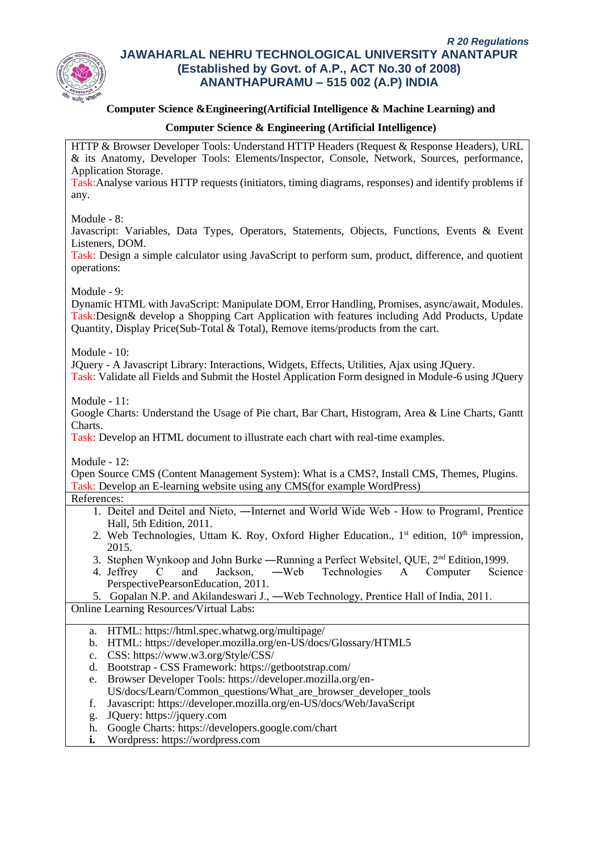

## **Computer Science &Engineering(Artificial Intelligence & Machine Learning) and**

## **Computer Science & Engineering (Artificial Intelligence)**

HTTP & Browser Developer Tools: Understand HTTP Headers (Request & Response Headers), URL & its Anatomy, Developer Tools: Elements/Inspector, Console, Network, Sources, performance, Application Storage.

Task:Analyse various HTTP requests (initiators, timing diagrams, responses) and identify problems if any.

Module - 8:

Javascript: Variables, Data Types, Operators, Statements, Objects, Functions, Events & Event Listeners, DOM.

Task: Design a simple calculator using JavaScript to perform sum, product, difference, and quotient operations:

Module - 9:

Dynamic HTML with JavaScript: Manipulate DOM, Error Handling, Promises, async/await, Modules. Task:Design& develop a Shopping Cart Application with features including Add Products, Update Quantity, Display Price(Sub-Total & Total), Remove items/products from the cart.

Module - 10:

JQuery - A Javascript Library: Interactions, Widgets, Effects, Utilities, Ajax using JQuery.

Task: Validate all Fields and Submit the Hostel Application Form designed in Module-6 using JQuery

Module - 11:

Google Charts: Understand the Usage of Pie chart, Bar Chart, Histogram, Area & Line Charts, Gantt Charts.

Task: Develop an HTML document to illustrate each chart with real-time examples.

Module - 12:

Open Source CMS (Content Management System): What is a CMS?, Install CMS, Themes, Plugins. Task: Develop an E-learning website using any CMS(for example WordPress)

References:

- 1. Deitel and Deitel and Nieto, ―Internet and World Wide Web How to Program‖, Prentice Hall, 5th Edition, 2011.
- 2. Web Technologies, Uttam K. Roy, Oxford Higher Education., 1<sup>st</sup> edition, 10<sup>th</sup> impression, 2015.
- 3. Stephen Wynkoop and John Burke ―Running a Perfect Website‖, QUE, 2nd Edition,1999.
- 4. Jeffrey C and Jackson, ―Web Technologies A Computer Science PerspectivePearsonEducation, 2011.

5. Gopalan N.P. and Akilandeswari J., ―Web Technology, Prentice Hall of India, 2011. Online Learning Resources/Virtual Labs:

- a. HTML: https://html.spec.whatwg.org/multipage/
- b. HTML: https://developer.mozilla.org/en-US/docs/Glossary/HTML5
- c. CSS: https://www.w3.org/Style/CSS/
- d. Bootstrap CSS Framework: https://getbootstrap.com/
- e. Browser Developer Tools: https://developer.mozilla.org/en-US/docs/Learn/Common\_questions/What\_are\_browser\_developer\_tools
- 
- f. Javascript: https://developer.mozilla.org/en-US/docs/Web/JavaScript
- g. JQuery: https://jquery.com
- h. Google Charts: https://developers.google.com/chart
- **i.** Wordpress: https://wordpress.com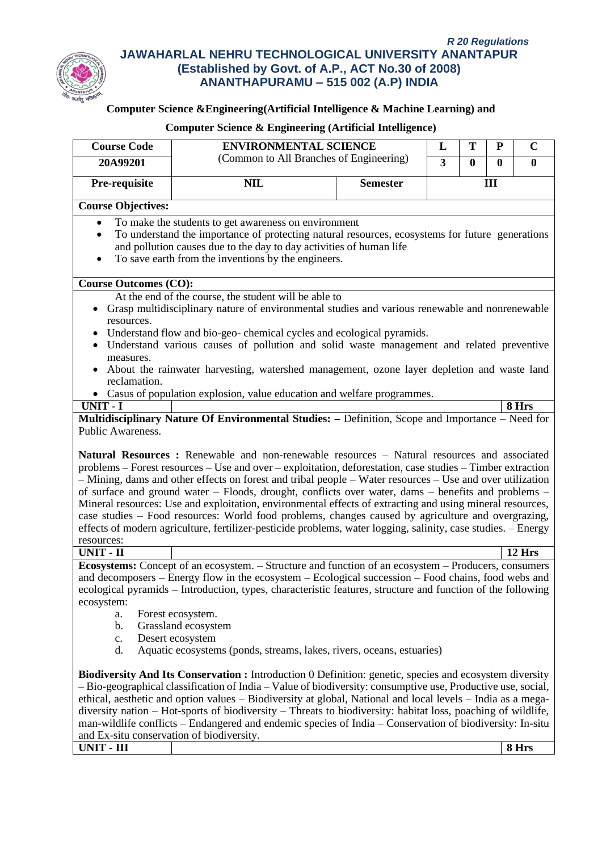

# **Computer Science &Engineering(Artificial Intelligence & Machine Learning) and**

| <b>Course Code</b>                                                  | <b>ENVIRONMENTAL SCIENCE</b>                                                                                                                                                                                                                                                                                                                                                                                                                                                                                                                                                                                                                                                                                                                                       |                 | $\mathbf C$<br>T<br>${\bf P}$<br>L |             |              |          |  |
|---------------------------------------------------------------------|--------------------------------------------------------------------------------------------------------------------------------------------------------------------------------------------------------------------------------------------------------------------------------------------------------------------------------------------------------------------------------------------------------------------------------------------------------------------------------------------------------------------------------------------------------------------------------------------------------------------------------------------------------------------------------------------------------------------------------------------------------------------|-----------------|------------------------------------|-------------|--------------|----------|--|
| 20A99201                                                            | (Common to All Branches of Engineering)                                                                                                                                                                                                                                                                                                                                                                                                                                                                                                                                                                                                                                                                                                                            |                 | $\overline{3}$                     | $\mathbf 0$ | $\mathbf{0}$ | $\bf{0}$ |  |
| Pre-requisite                                                       | <b>NIL</b>                                                                                                                                                                                                                                                                                                                                                                                                                                                                                                                                                                                                                                                                                                                                                         | <b>Semester</b> |                                    |             | III          |          |  |
|                                                                     |                                                                                                                                                                                                                                                                                                                                                                                                                                                                                                                                                                                                                                                                                                                                                                    |                 |                                    |             |              |          |  |
| <b>Course Objectives:</b>                                           |                                                                                                                                                                                                                                                                                                                                                                                                                                                                                                                                                                                                                                                                                                                                                                    |                 |                                    |             |              |          |  |
|                                                                     | To make the students to get awareness on environment                                                                                                                                                                                                                                                                                                                                                                                                                                                                                                                                                                                                                                                                                                               |                 |                                    |             |              |          |  |
| $\bullet$                                                           | To understand the importance of protecting natural resources, ecosystems for future generations                                                                                                                                                                                                                                                                                                                                                                                                                                                                                                                                                                                                                                                                    |                 |                                    |             |              |          |  |
| and pollution causes due to the day to day activities of human life |                                                                                                                                                                                                                                                                                                                                                                                                                                                                                                                                                                                                                                                                                                                                                                    |                 |                                    |             |              |          |  |
| To save earth from the inventions by the engineers.<br>$\bullet$    |                                                                                                                                                                                                                                                                                                                                                                                                                                                                                                                                                                                                                                                                                                                                                                    |                 |                                    |             |              |          |  |
| <b>Course Outcomes (CO):</b>                                        |                                                                                                                                                                                                                                                                                                                                                                                                                                                                                                                                                                                                                                                                                                                                                                    |                 |                                    |             |              |          |  |
|                                                                     | At the end of the course, the student will be able to                                                                                                                                                                                                                                                                                                                                                                                                                                                                                                                                                                                                                                                                                                              |                 |                                    |             |              |          |  |
|                                                                     | Grasp multidisciplinary nature of environmental studies and various renewable and nonrenewable                                                                                                                                                                                                                                                                                                                                                                                                                                                                                                                                                                                                                                                                     |                 |                                    |             |              |          |  |
| resources.                                                          |                                                                                                                                                                                                                                                                                                                                                                                                                                                                                                                                                                                                                                                                                                                                                                    |                 |                                    |             |              |          |  |
|                                                                     | Understand flow and bio-geo-chemical cycles and ecological pyramids.                                                                                                                                                                                                                                                                                                                                                                                                                                                                                                                                                                                                                                                                                               |                 |                                    |             |              |          |  |
|                                                                     | Understand various causes of pollution and solid waste management and related preventive                                                                                                                                                                                                                                                                                                                                                                                                                                                                                                                                                                                                                                                                           |                 |                                    |             |              |          |  |
| measures.                                                           |                                                                                                                                                                                                                                                                                                                                                                                                                                                                                                                                                                                                                                                                                                                                                                    |                 |                                    |             |              |          |  |
|                                                                     | About the rainwater harvesting, watershed management, ozone layer depletion and waste land                                                                                                                                                                                                                                                                                                                                                                                                                                                                                                                                                                                                                                                                         |                 |                                    |             |              |          |  |
| reclamation.                                                        |                                                                                                                                                                                                                                                                                                                                                                                                                                                                                                                                                                                                                                                                                                                                                                    |                 |                                    |             |              |          |  |
| UNIT - I                                                            | • Casus of population explosion, value education and welfare programmes.                                                                                                                                                                                                                                                                                                                                                                                                                                                                                                                                                                                                                                                                                           |                 |                                    |             |              | 8 Hrs    |  |
|                                                                     | Multidisciplinary Nature Of Environmental Studies: - Definition, Scope and Importance - Need for                                                                                                                                                                                                                                                                                                                                                                                                                                                                                                                                                                                                                                                                   |                 |                                    |             |              |          |  |
| Public Awareness.                                                   |                                                                                                                                                                                                                                                                                                                                                                                                                                                                                                                                                                                                                                                                                                                                                                    |                 |                                    |             |              |          |  |
|                                                                     | Natural Resources : Renewable and non-renewable resources – Natural resources and associated<br>problems – Forest resources – Use and over – exploitation, deforestation, case studies – Timber extraction<br>- Mining, dams and other effects on forest and tribal people - Water resources - Use and over utilization<br>of surface and ground water – Floods, drought, conflicts over water, dams – benefits and problems –<br>Mineral resources: Use and exploitation, environmental effects of extracting and using mineral resources,<br>case studies – Food resources: World food problems, changes caused by agriculture and overgrazing,<br>effects of modern agriculture, fertilizer-pesticide problems, water logging, salinity, case studies. - Energy |                 |                                    |             |              |          |  |
| resources:<br><b>UNIT - II</b>                                      |                                                                                                                                                                                                                                                                                                                                                                                                                                                                                                                                                                                                                                                                                                                                                                    |                 |                                    |             |              | 12 Hrs   |  |
|                                                                     | Ecosystems: Concept of an ecosystem. - Structure and function of an ecosystem - Producers, consumers                                                                                                                                                                                                                                                                                                                                                                                                                                                                                                                                                                                                                                                               |                 |                                    |             |              |          |  |
|                                                                     | and decomposers – Energy flow in the ecosystem – Ecological succession – Food chains, food webs and                                                                                                                                                                                                                                                                                                                                                                                                                                                                                                                                                                                                                                                                |                 |                                    |             |              |          |  |
|                                                                     | ecological pyramids - Introduction, types, characteristic features, structure and function of the following                                                                                                                                                                                                                                                                                                                                                                                                                                                                                                                                                                                                                                                        |                 |                                    |             |              |          |  |
| ecosystem:                                                          |                                                                                                                                                                                                                                                                                                                                                                                                                                                                                                                                                                                                                                                                                                                                                                    |                 |                                    |             |              |          |  |
| a.                                                                  | Forest ecosystem.                                                                                                                                                                                                                                                                                                                                                                                                                                                                                                                                                                                                                                                                                                                                                  |                 |                                    |             |              |          |  |
| b.                                                                  | Grassland ecosystem                                                                                                                                                                                                                                                                                                                                                                                                                                                                                                                                                                                                                                                                                                                                                |                 |                                    |             |              |          |  |
| c.                                                                  | Desert ecosystem                                                                                                                                                                                                                                                                                                                                                                                                                                                                                                                                                                                                                                                                                                                                                   |                 |                                    |             |              |          |  |
| d.                                                                  | Aquatic ecosystems (ponds, streams, lakes, rivers, oceans, estuaries)                                                                                                                                                                                                                                                                                                                                                                                                                                                                                                                                                                                                                                                                                              |                 |                                    |             |              |          |  |
|                                                                     | <b>Biodiversity And Its Conservation :</b> Introduction 0 Definition: genetic, species and ecosystem diversity                                                                                                                                                                                                                                                                                                                                                                                                                                                                                                                                                                                                                                                     |                 |                                    |             |              |          |  |
|                                                                     | $-$ Bio-geographical classification of India $-$ Value of biodiversity: consumptive use, Productive use, social,                                                                                                                                                                                                                                                                                                                                                                                                                                                                                                                                                                                                                                                   |                 |                                    |             |              |          |  |
|                                                                     | ethical, aesthetic and option values – Biodiversity at global, National and local levels – India as a mega-                                                                                                                                                                                                                                                                                                                                                                                                                                                                                                                                                                                                                                                        |                 |                                    |             |              |          |  |
|                                                                     | diversity nation – Hot-sports of biodiversity – Threats to biodiversity: habitat loss, poaching of wildlife,                                                                                                                                                                                                                                                                                                                                                                                                                                                                                                                                                                                                                                                       |                 |                                    |             |              |          |  |
|                                                                     | man-wildlife conflicts – Endangered and endemic species of India – Conservation of biodiversity: In-situ                                                                                                                                                                                                                                                                                                                                                                                                                                                                                                                                                                                                                                                           |                 |                                    |             |              |          |  |
| and Ex-situ conservation of biodiversity.                           |                                                                                                                                                                                                                                                                                                                                                                                                                                                                                                                                                                                                                                                                                                                                                                    |                 |                                    |             |              |          |  |
| UNIT - III                                                          |                                                                                                                                                                                                                                                                                                                                                                                                                                                                                                                                                                                                                                                                                                                                                                    |                 |                                    |             |              | 8 Hrs    |  |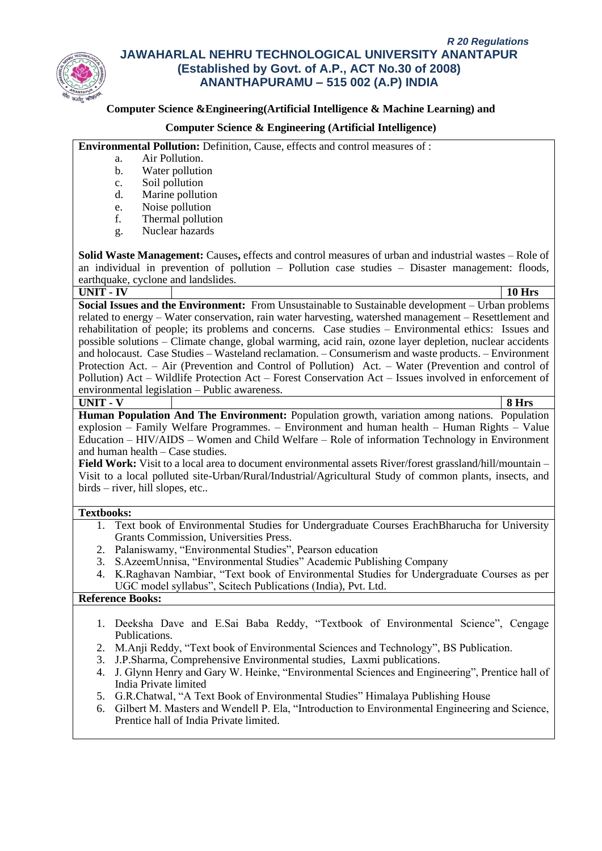

### **Computer Science &Engineering(Artificial Intelligence & Machine Learning) and**

### **Computer Science & Engineering (Artificial Intelligence)**

**Environmental Pollution:** Definition, Cause, effects and control measures of :

- a. Air Pollution.
- b. Water pollution
- c. Soil pollution
- d. Marine pollution
- e. Noise pollution
- f. Thermal pollution
- g. Nuclear hazards

**Solid Waste Management:** Causes**,** effects and control measures of urban and industrial wastes – Role of an individual in prevention of pollution – Pollution case studies – Disaster management: floods, earthquake, cyclone and landslides.

**UNIT - IV 10 Hrs Social Issues and the Environment:** From Unsustainable to Sustainable development – Urban problems related to energy – Water conservation, rain water harvesting, watershed management – Resettlement and rehabilitation of people; its problems and concerns. Case studies – Environmental ethics: Issues and possible solutions – Climate change, global warming, acid rain, ozone layer depletion, nuclear accidents and holocaust. Case Studies – Wasteland reclamation. – Consumerism and waste products. – Environment Protection Act. – Air (Prevention and Control of Pollution) Act. – Water (Prevention and control of Pollution) Act – Wildlife Protection Act – Forest Conservation Act – Issues involved in enforcement of environmental legislation – Public awareness. **UNIT - V 8 Hrs**

**Human Population And The Environment:** Population growth, variation among nations. Population explosion – Family Welfare Programmes. – Environment and human health – Human Rights – Value Education – HIV/AIDS – Women and Child Welfare – Role of information Technology in Environment and human health – Case studies.

**Field Work:** Visit to a local area to document environmental assets River/forest grassland/hill/mountain – Visit to a local polluted site-Urban/Rural/Industrial/Agricultural Study of common plants, insects, and birds – river, hill slopes, etc..

#### **Textbooks:**

- 1. Text book of Environmental Studies for Undergraduate Courses ErachBharucha for University Grants Commission, Universities Press.
- 2. Palaniswamy, "Environmental Studies", Pearson education
- 3. S.AzeemUnnisa, "Environmental Studies" Academic Publishing Company
- 4. K.Raghavan Nambiar, "Text book of Environmental Studies for Undergraduate Courses as per UGC model syllabus", Scitech Publications (India), Pvt. Ltd.

#### **Reference Books:**

- 1. Deeksha Dave and E.Sai Baba Reddy, "Textbook of Environmental Science", Cengage Publications.
- 2. M.Anji Reddy, "Text book of Environmental Sciences and Technology", BS Publication.
- 3. J.P.Sharma, Comprehensive Environmental studies, Laxmi publications.
- 4. J. Glynn Henry and Gary W. Heinke, "Environmental Sciences and Engineering", Prentice hall of India Private limited
- 5. G.R.Chatwal, "A Text Book of Environmental Studies" Himalaya Publishing House
- 6. Gilbert M. Masters and Wendell P. Ela, "Introduction to Environmental Engineering and Science, Prentice hall of India Private limited.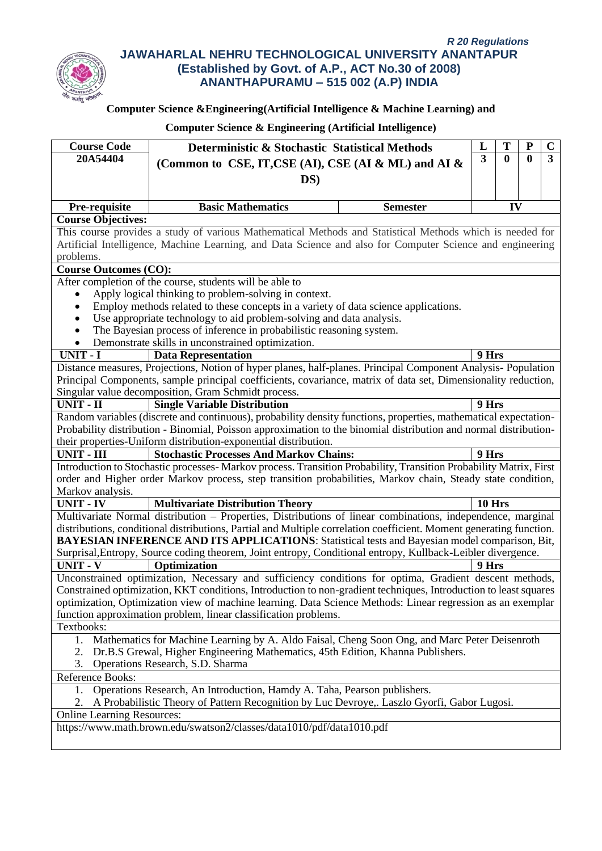

# **Computer Science &Engineering(Artificial Intelligence & Machine Learning) and**

| <b>Course Code</b>                                                                    | Deterministic & Stochastic Statistical Methods                                                                      | L                       | Т            | P | $\mathbf C$ |
|---------------------------------------------------------------------------------------|---------------------------------------------------------------------------------------------------------------------|-------------------------|--------------|---|-------------|
| 20A54404                                                                              | (Common to CSE, IT, CSE (AI), CSE (AI & ML) and AI &                                                                | $\overline{\mathbf{3}}$ | $\mathbf{0}$ | 0 | 3           |
|                                                                                       |                                                                                                                     |                         |              |   |             |
|                                                                                       | DS)                                                                                                                 |                         |              |   |             |
|                                                                                       |                                                                                                                     |                         |              |   |             |
| Pre-requisite                                                                         | <b>Basic Mathematics</b><br><b>Semester</b>                                                                         |                         | IV           |   |             |
| <b>Course Objectives:</b>                                                             |                                                                                                                     |                         |              |   |             |
|                                                                                       | This course provides a study of various Mathematical Methods and Statistical Methods which is needed for            |                         |              |   |             |
|                                                                                       | Artificial Intelligence, Machine Learning, and Data Science and also for Computer Science and engineering           |                         |              |   |             |
| problems.<br><b>Course Outcomes (CO):</b>                                             |                                                                                                                     |                         |              |   |             |
|                                                                                       | After completion of the course, students will be able to                                                            |                         |              |   |             |
|                                                                                       | Apply logical thinking to problem-solving in context.                                                               |                         |              |   |             |
| $\bullet$                                                                             | Employ methods related to these concepts in a variety of data science applications.                                 |                         |              |   |             |
| $\bullet$                                                                             | Use appropriate technology to aid problem-solving and data analysis.                                                |                         |              |   |             |
| $\bullet$                                                                             | The Bayesian process of inference in probabilistic reasoning system.                                                |                         |              |   |             |
| $\bullet$                                                                             | Demonstrate skills in unconstrained optimization.                                                                   |                         |              |   |             |
| UNIT - I                                                                              | <b>Data Representation</b>                                                                                          | 9 Hrs                   |              |   |             |
|                                                                                       | Distance measures, Projections, Notion of hyper planes, half-planes. Principal Component Analysis-Population        |                         |              |   |             |
|                                                                                       | Principal Components, sample principal coefficients, covariance, matrix of data set, Dimensionality reduction,      |                         |              |   |             |
|                                                                                       | Singular value decomposition, Gram Schmidt process.                                                                 |                         |              |   |             |
| UNIT - II                                                                             | <b>Single Variable Distribution</b>                                                                                 | 9 Hrs                   |              |   |             |
|                                                                                       | Random variables (discrete and continuous), probability density functions, properties, mathematical expectation-    |                         |              |   |             |
|                                                                                       | Probability distribution - Binomial, Poisson approximation to the binomial distribution and normal distribution-    |                         |              |   |             |
|                                                                                       | their properties-Uniform distribution-exponential distribution.                                                     |                         |              |   |             |
| $UNIT - III$                                                                          | <b>Stochastic Processes And Markov Chains:</b>                                                                      | 9 Hrs                   |              |   |             |
|                                                                                       | Introduction to Stochastic processes- Markov process. Transition Probability, Transition Probability Matrix, First  |                         |              |   |             |
|                                                                                       | order and Higher order Markov process, step transition probabilities, Markov chain, Steady state condition,         |                         |              |   |             |
| Markov analysis.                                                                      |                                                                                                                     |                         |              |   |             |
| <b>UNIT - IV</b>                                                                      | <b>Multivariate Distribution Theory</b>                                                                             | 10 Hrs                  |              |   |             |
|                                                                                       | Multivariate Normal distribution - Properties, Distributions of linear combinations, independence, marginal         |                         |              |   |             |
|                                                                                       | distributions, conditional distributions, Partial and Multiple correlation coefficient. Moment generating function. |                         |              |   |             |
|                                                                                       | <b>BAYESIAN INFERENCE AND ITS APPLICATIONS:</b> Statistical tests and Bayesian model comparison, Bit,               |                         |              |   |             |
|                                                                                       | Surprisal, Entropy, Source coding theorem, Joint entropy, Conditional entropy, Kullback-Leibler divergence.         |                         |              |   |             |
| <b>UNIT - V</b>                                                                       | Optimization                                                                                                        | 9 Hrs                   |              |   |             |
|                                                                                       | Unconstrained optimization, Necessary and sufficiency conditions for optima, Gradient descent methods,              |                         |              |   |             |
|                                                                                       | Constrained optimization, KKT conditions, Introduction to non-gradient techniques, Introduction to least squares    |                         |              |   |             |
|                                                                                       | optimization, Optimization view of machine learning. Data Science Methods: Linear regression as an exemplar         |                         |              |   |             |
|                                                                                       | function approximation problem, linear classification problems.                                                     |                         |              |   |             |
| Textbooks:                                                                            |                                                                                                                     |                         |              |   |             |
| 1.                                                                                    | Mathematics for Machine Learning by A. Aldo Faisal, Cheng Soon Ong, and Marc Peter Deisenroth                       |                         |              |   |             |
| Dr.B.S Grewal, Higher Engineering Mathematics, 45th Edition, Khanna Publishers.<br>2. |                                                                                                                     |                         |              |   |             |
| 3.                                                                                    | Operations Research, S.D. Sharma                                                                                    |                         |              |   |             |
| Reference Books:                                                                      |                                                                                                                     |                         |              |   |             |
| 1.                                                                                    | Operations Research, An Introduction, Hamdy A. Taha, Pearson publishers.                                            |                         |              |   |             |
| 2.                                                                                    | A Probabilistic Theory of Pattern Recognition by Luc Devroye,. Laszlo Gyorfi, Gabor Lugosi.                         |                         |              |   |             |
| <b>Online Learning Resources:</b>                                                     |                                                                                                                     |                         |              |   |             |
|                                                                                       | https://www.math.brown.edu/swatson2/classes/data1010/pdf/data1010.pdf                                               |                         |              |   |             |
|                                                                                       |                                                                                                                     |                         |              |   |             |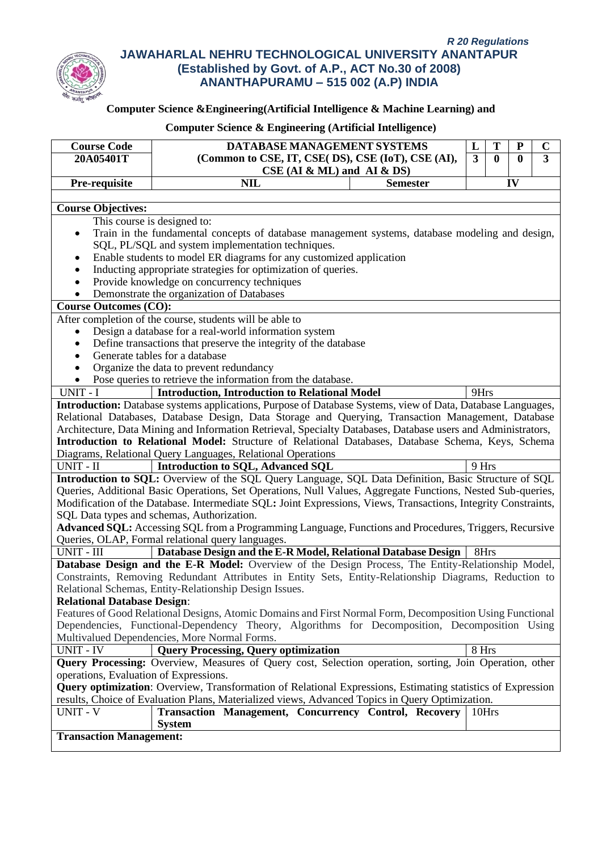

# **Computer Science &Engineering(Artificial Intelligence & Machine Learning) and**

| DATABASE MANAGEMENT SYSTEMS<br><b>Course Code</b>                                                                                                            | L              | T            | P            | $\mathbf C$    |  |  |  |  |
|--------------------------------------------------------------------------------------------------------------------------------------------------------------|----------------|--------------|--------------|----------------|--|--|--|--|
| 20A05401T<br>(Common to CSE, IT, CSE(DS), CSE (IoT), CSE (AI),                                                                                               | $\overline{3}$ | $\mathbf{0}$ | $\mathbf{0}$ | $\overline{3}$ |  |  |  |  |
| $CSE$ (AI & ML) and AI & DS)                                                                                                                                 |                |              |              |                |  |  |  |  |
| Pre-requisite<br><b>NIL</b><br><b>Semester</b>                                                                                                               |                |              | IV           |                |  |  |  |  |
|                                                                                                                                                              |                |              |              |                |  |  |  |  |
| <b>Course Objectives:</b>                                                                                                                                    |                |              |              |                |  |  |  |  |
| This course is designed to:                                                                                                                                  |                |              |              |                |  |  |  |  |
| Train in the fundamental concepts of database management systems, database modeling and design,<br>٠                                                         |                |              |              |                |  |  |  |  |
| SQL, PL/SQL and system implementation techniques.                                                                                                            |                |              |              |                |  |  |  |  |
| Enable students to model ER diagrams for any customized application<br>٠                                                                                     |                |              |              |                |  |  |  |  |
| Inducting appropriate strategies for optimization of queries.<br>$\bullet$                                                                                   |                |              |              |                |  |  |  |  |
| Provide knowledge on concurrency techniques<br>$\bullet$                                                                                                     |                |              |              |                |  |  |  |  |
| Demonstrate the organization of Databases                                                                                                                    |                |              |              |                |  |  |  |  |
| <b>Course Outcomes (CO):</b>                                                                                                                                 |                |              |              |                |  |  |  |  |
| After completion of the course, students will be able to                                                                                                     |                |              |              |                |  |  |  |  |
| Design a database for a real-world information system<br>$\bullet$                                                                                           |                |              |              |                |  |  |  |  |
| Define transactions that preserve the integrity of the database<br>$\bullet$                                                                                 |                |              |              |                |  |  |  |  |
| Generate tables for a database<br>$\bullet$                                                                                                                  |                |              |              |                |  |  |  |  |
| Organize the data to prevent redundancy<br>$\bullet$                                                                                                         |                |              |              |                |  |  |  |  |
| Pose queries to retrieve the information from the database.<br>$\bullet$                                                                                     |                |              |              |                |  |  |  |  |
| <b>Introduction, Introduction to Relational Model</b><br>UNIT - I                                                                                            | 9Hrs           |              |              |                |  |  |  |  |
| Introduction: Database systems applications, Purpose of Database Systems, view of Data, Database Languages,                                                  |                |              |              |                |  |  |  |  |
| Relational Databases, Database Design, Data Storage and Querying, Transaction Management, Database                                                           |                |              |              |                |  |  |  |  |
| Architecture, Data Mining and Information Retrieval, Specialty Databases, Database users and Administrators,                                                 |                |              |              |                |  |  |  |  |
| Introduction to Relational Model: Structure of Relational Databases, Database Schema, Keys, Schema                                                           |                |              |              |                |  |  |  |  |
| Diagrams, Relational Query Languages, Relational Operations                                                                                                  |                |              |              |                |  |  |  |  |
| UNIT - II<br><b>Introduction to SQL, Advanced SQL</b>                                                                                                        | 9 Hrs          |              |              |                |  |  |  |  |
| Introduction to SQL: Overview of the SQL Query Language, SQL Data Definition, Basic Structure of SQL                                                         |                |              |              |                |  |  |  |  |
| Queries, Additional Basic Operations, Set Operations, Null Values, Aggregate Functions, Nested Sub-queries,                                                  |                |              |              |                |  |  |  |  |
| Modification of the Database. Intermediate SQL: Joint Expressions, Views, Transactions, Integrity Constraints,                                               |                |              |              |                |  |  |  |  |
| SQL Data types and schemas, Authorization.                                                                                                                   |                |              |              |                |  |  |  |  |
| Advanced SQL: Accessing SQL from a Programming Language, Functions and Procedures, Triggers, Recursive                                                       |                |              |              |                |  |  |  |  |
| Queries, OLAP, Formal relational query languages.                                                                                                            |                |              |              |                |  |  |  |  |
| UNIT - III<br>Database Design and the E-R Model, Relational Database Design                                                                                  | 8Hrs           |              |              |                |  |  |  |  |
| Database Design and the E-R Model: Overview of the Design Process, The Entity-Relationship Model,                                                            |                |              |              |                |  |  |  |  |
| Constraints, Removing Redundant Attributes in Entity Sets, Entity-Relationship Diagrams, Reduction to                                                        |                |              |              |                |  |  |  |  |
| Relational Schemas, Entity-Relationship Design Issues.                                                                                                       |                |              |              |                |  |  |  |  |
| <b>Relational Database Design:</b>                                                                                                                           |                |              |              |                |  |  |  |  |
| Features of Good Relational Designs, Atomic Domains and First Normal Form, Decomposition Using Functional                                                    |                |              |              |                |  |  |  |  |
| Dependencies, Functional-Dependency Theory, Algorithms for Decomposition, Decomposition Using                                                                |                |              |              |                |  |  |  |  |
| Multivalued Dependencies, More Normal Forms.                                                                                                                 |                |              |              |                |  |  |  |  |
| <b>Query Processing, Query optimization</b><br><b>UNIT - IV</b>                                                                                              | 8 Hrs          |              |              |                |  |  |  |  |
| Query Processing: Overview, Measures of Query cost, Selection operation, sorting, Join Operation, other                                                      |                |              |              |                |  |  |  |  |
| operations, Evaluation of Expressions.<br><b>Query optimization:</b> Overview, Transformation of Relational Expressions, Estimating statistics of Expression |                |              |              |                |  |  |  |  |
|                                                                                                                                                              |                |              |              |                |  |  |  |  |
| results, Choice of Evaluation Plans, Materialized views, Advanced Topics in Query Optimization.<br><b>UNIT - V</b>                                           |                |              |              |                |  |  |  |  |
| Transaction Management, Concurrency Control, Recovery<br><b>System</b>                                                                                       | 10Hrs          |              |              |                |  |  |  |  |
| <b>Transaction Management:</b>                                                                                                                               |                |              |              |                |  |  |  |  |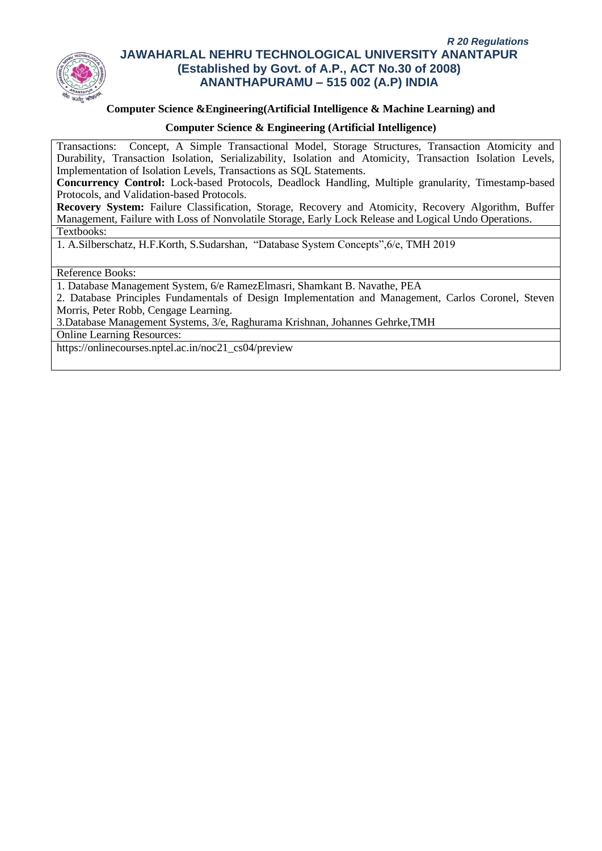

### **Computer Science &Engineering(Artificial Intelligence & Machine Learning) and**

### **Computer Science & Engineering (Artificial Intelligence)**

Transactions: Concept, A Simple Transactional Model, Storage Structures, Transaction Atomicity and Durability, Transaction Isolation, Serializability, Isolation and Atomicity, Transaction Isolation Levels, Implementation of Isolation Levels, Transactions as SQL Statements.

**Concurrency Control:** Lock-based Protocols, Deadlock Handling, Multiple granularity, Timestamp-based Protocols, and Validation-based Protocols.

**Recovery System:** Failure Classification, Storage, Recovery and Atomicity, Recovery Algorithm, Buffer Management, Failure with Loss of Nonvolatile Storage, Early Lock Release and Logical Undo Operations. Textbooks:

1. A.Silberschatz, H.F.Korth, S.Sudarshan, "Database System Concepts",6/e, TMH 2019

Reference Books:

1. Database Management System, 6/e RamezElmasri, Shamkant B. Navathe, PEA

2. Database Principles Fundamentals of Design Implementation and Management, Carlos Coronel, Steven Morris, Peter Robb, Cengage Learning.

3.Database Management Systems, 3/e, Raghurama Krishnan, Johannes Gehrke,TMH

Online Learning Resources:

https://onlinecourses.nptel.ac.in/noc21\_cs04/preview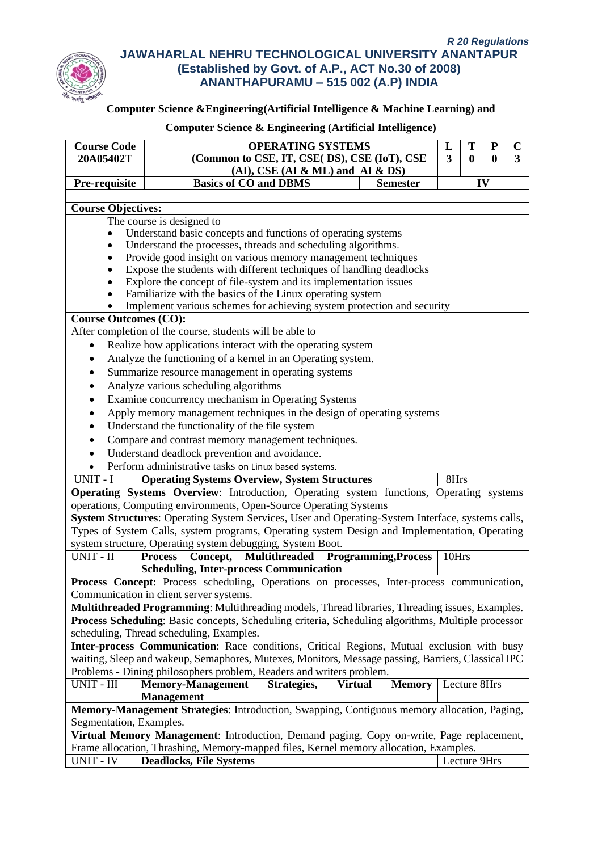

# **Computer Science &Engineering(Artificial Intelligence & Machine Learning) and**

| <b>Course Code</b>                                                                       | <b>OPERATING SYSTEMS</b>                                                                                                                                                                         |       |              | ${\bf P}$    | $\mathbf C$  |  |  |  |  |
|------------------------------------------------------------------------------------------|--------------------------------------------------------------------------------------------------------------------------------------------------------------------------------------------------|-------|--------------|--------------|--------------|--|--|--|--|
| 20A05402T                                                                                | (Common to CSE, IT, CSE(DS), CSE (IoT), CSE                                                                                                                                                      |       |              | $\mathbf{0}$ | $\mathbf{3}$ |  |  |  |  |
|                                                                                          | $(AI)$ , CSE $(AI & ML)$ and $AI & DS$                                                                                                                                                           |       |              |              |              |  |  |  |  |
| Pre-requisite                                                                            | <b>Basics of CO and DBMS</b><br><b>Semester</b>                                                                                                                                                  |       | IV           |              |              |  |  |  |  |
|                                                                                          |                                                                                                                                                                                                  |       |              |              |              |  |  |  |  |
| <b>Course Objectives:</b>                                                                |                                                                                                                                                                                                  |       |              |              |              |  |  |  |  |
|                                                                                          | The course is designed to                                                                                                                                                                        |       |              |              |              |  |  |  |  |
|                                                                                          | Understand basic concepts and functions of operating systems<br>Understand the processes, threads and scheduling algorithms.                                                                     |       |              |              |              |  |  |  |  |
| ٠<br>٠                                                                                   | Provide good insight on various memory management techniques                                                                                                                                     |       |              |              |              |  |  |  |  |
|                                                                                          | Expose the students with different techniques of handling deadlocks                                                                                                                              |       |              |              |              |  |  |  |  |
|                                                                                          | Explore the concept of file-system and its implementation issues                                                                                                                                 |       |              |              |              |  |  |  |  |
|                                                                                          | Familiarize with the basics of the Linux operating system                                                                                                                                        |       |              |              |              |  |  |  |  |
|                                                                                          | Implement various schemes for achieving system protection and security                                                                                                                           |       |              |              |              |  |  |  |  |
| <b>Course Outcomes (CO):</b>                                                             |                                                                                                                                                                                                  |       |              |              |              |  |  |  |  |
|                                                                                          | After completion of the course, students will be able to                                                                                                                                         |       |              |              |              |  |  |  |  |
| $\bullet$                                                                                | Realize how applications interact with the operating system                                                                                                                                      |       |              |              |              |  |  |  |  |
|                                                                                          | Analyze the functioning of a kernel in an Operating system.                                                                                                                                      |       |              |              |              |  |  |  |  |
|                                                                                          | Summarize resource management in operating systems                                                                                                                                               |       |              |              |              |  |  |  |  |
|                                                                                          | Analyze various scheduling algorithms                                                                                                                                                            |       |              |              |              |  |  |  |  |
|                                                                                          | Examine concurrency mechanism in Operating Systems                                                                                                                                               |       |              |              |              |  |  |  |  |
|                                                                                          | Apply memory management techniques in the design of operating systems                                                                                                                            |       |              |              |              |  |  |  |  |
|                                                                                          | Understand the functionality of the file system                                                                                                                                                  |       |              |              |              |  |  |  |  |
|                                                                                          | Compare and contrast memory management techniques.                                                                                                                                               |       |              |              |              |  |  |  |  |
| $\bullet$                                                                                | Understand deadlock prevention and avoidance.                                                                                                                                                    |       |              |              |              |  |  |  |  |
|                                                                                          | Perform administrative tasks on Linux based systems.                                                                                                                                             |       |              |              |              |  |  |  |  |
| $UNIT - \overline{I}$                                                                    | <b>Operating Systems Overview, System Structures</b>                                                                                                                                             | 8Hrs  |              |              |              |  |  |  |  |
|                                                                                          | Operating Systems Overview: Introduction, Operating system functions, Operating systems                                                                                                          |       |              |              |              |  |  |  |  |
|                                                                                          | operations, Computing environments, Open-Source Operating Systems                                                                                                                                |       |              |              |              |  |  |  |  |
|                                                                                          | System Structures: Operating System Services, User and Operating-System Interface, systems calls,                                                                                                |       |              |              |              |  |  |  |  |
|                                                                                          | Types of System Calls, system programs, Operating system Design and Implementation, Operating                                                                                                    |       |              |              |              |  |  |  |  |
|                                                                                          | system structure, Operating system debugging, System Boot.                                                                                                                                       |       |              |              |              |  |  |  |  |
| UNIT - II                                                                                | Concept, Multithreaded Programming, Process<br><b>Process</b>                                                                                                                                    | 10Hrs |              |              |              |  |  |  |  |
|                                                                                          | <b>Scheduling, Inter-process Communication</b>                                                                                                                                                   |       |              |              |              |  |  |  |  |
|                                                                                          | Process Concept: Process scheduling, Operations on processes, Inter-process communication,                                                                                                       |       |              |              |              |  |  |  |  |
|                                                                                          | Communication in client server systems.                                                                                                                                                          |       |              |              |              |  |  |  |  |
|                                                                                          | Multithreaded Programming: Multithreading models, Thread libraries, Threading issues, Examples.                                                                                                  |       |              |              |              |  |  |  |  |
|                                                                                          | Process Scheduling: Basic concepts, Scheduling criteria, Scheduling algorithms, Multiple processor                                                                                               |       |              |              |              |  |  |  |  |
|                                                                                          | scheduling, Thread scheduling, Examples.                                                                                                                                                         |       |              |              |              |  |  |  |  |
|                                                                                          | Inter-process Communication: Race conditions, Critical Regions, Mutual exclusion with busy<br>waiting, Sleep and wakeup, Semaphores, Mutexes, Monitors, Message passing, Barriers, Classical IPC |       |              |              |              |  |  |  |  |
|                                                                                          | Problems - Dining philosophers problem, Readers and writers problem.                                                                                                                             |       |              |              |              |  |  |  |  |
| UNIT - III                                                                               | <b>Memory-Management</b><br>Strategies,<br><b>Memory</b><br><b>Virtual</b>                                                                                                                       |       | Lecture 8Hrs |              |              |  |  |  |  |
|                                                                                          | <b>Management</b>                                                                                                                                                                                |       |              |              |              |  |  |  |  |
|                                                                                          | Memory-Management Strategies: Introduction, Swapping, Contiguous memory allocation, Paging,                                                                                                      |       |              |              |              |  |  |  |  |
| Segmentation, Examples.                                                                  |                                                                                                                                                                                                  |       |              |              |              |  |  |  |  |
| Virtual Memory Management: Introduction, Demand paging, Copy on-write, Page replacement, |                                                                                                                                                                                                  |       |              |              |              |  |  |  |  |
|                                                                                          | Frame allocation, Thrashing, Memory-mapped files, Kernel memory allocation, Examples.                                                                                                            |       |              |              |              |  |  |  |  |
| UNIT - IV                                                                                | <b>Deadlocks, File Systems</b>                                                                                                                                                                   |       | Lecture 9Hrs |              |              |  |  |  |  |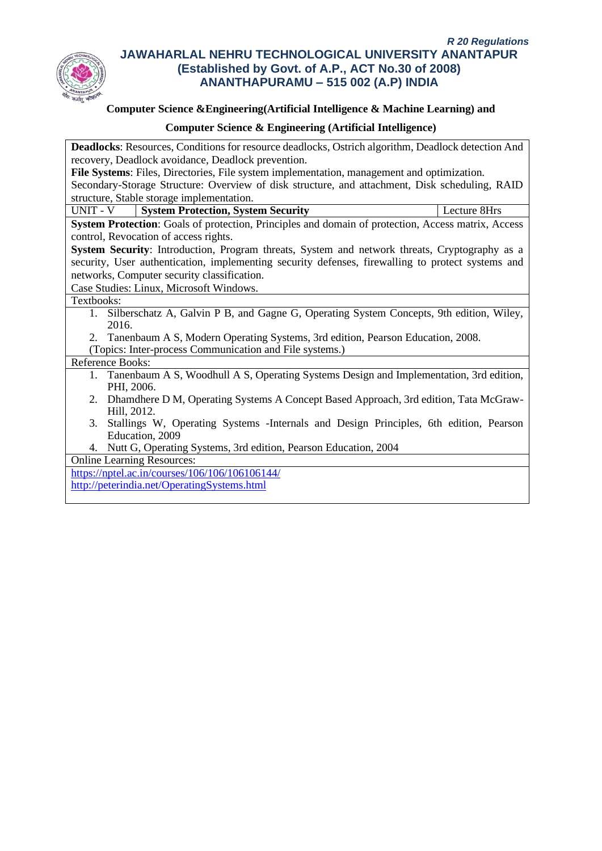

# **Computer Science &Engineering(Artificial Intelligence & Machine Learning) and**

## **Computer Science & Engineering (Artificial Intelligence)**

| <b>Deadlocks:</b> Resources, Conditions for resource deadlocks, Ostrich algorithm, Deadlock detection And |
|-----------------------------------------------------------------------------------------------------------|
|                                                                                                           |
| recovery, Deadlock avoidance, Deadlock prevention.                                                        |
| File Systems: Files, Directories, File system implementation, management and optimization.                |
| Secondary-Storage Structure: Overview of disk structure, and attachment, Disk scheduling, RAID            |
| structure, Stable storage implementation.                                                                 |
| UNIT - V<br><b>System Protection, System Security</b><br>Lecture 8Hrs                                     |
| System Protection: Goals of protection, Principles and domain of protection, Access matrix, Access        |
| control, Revocation of access rights.                                                                     |
| System Security: Introduction, Program threats, System and network threats, Cryptography as a             |
| security, User authentication, implementing security defenses, firewalling to protect systems and         |
| networks, Computer security classification.                                                               |
| Case Studies: Linux, Microsoft Windows.                                                                   |
| Textbooks:                                                                                                |
| Silberschatz A, Galvin P B, and Gagne G, Operating System Concepts, 9th edition, Wiley,<br>$1_{\cdot}$    |
| 2016.                                                                                                     |
| 2. Tanenbaum A S, Modern Operating Systems, 3rd edition, Pearson Education, 2008.                         |
| (Topics: Inter-process Communication and File systems.)                                                   |
| Reference Books:                                                                                          |
| 1. Tanenbaum A S, Woodhull A S, Operating Systems Design and Implementation, 3rd edition,                 |
| PHI, 2006.                                                                                                |
| Dhamdhere D M, Operating Systems A Concept Based Approach, 3rd edition, Tata McGraw-<br>2.                |
| Hill, 2012.                                                                                               |
| Stallings W, Operating Systems - Internals and Design Principles, 6th edition, Pearson<br>3.              |
| Education, 2009                                                                                           |
| Nutt G, Operating Systems, 3rd edition, Pearson Education, 2004<br>4.                                     |
| <b>Online Learning Resources:</b>                                                                         |
| https://nptel.ac.in/courses/106/106/106106144/                                                            |

<http://peterindia.net/OperatingSystems.html>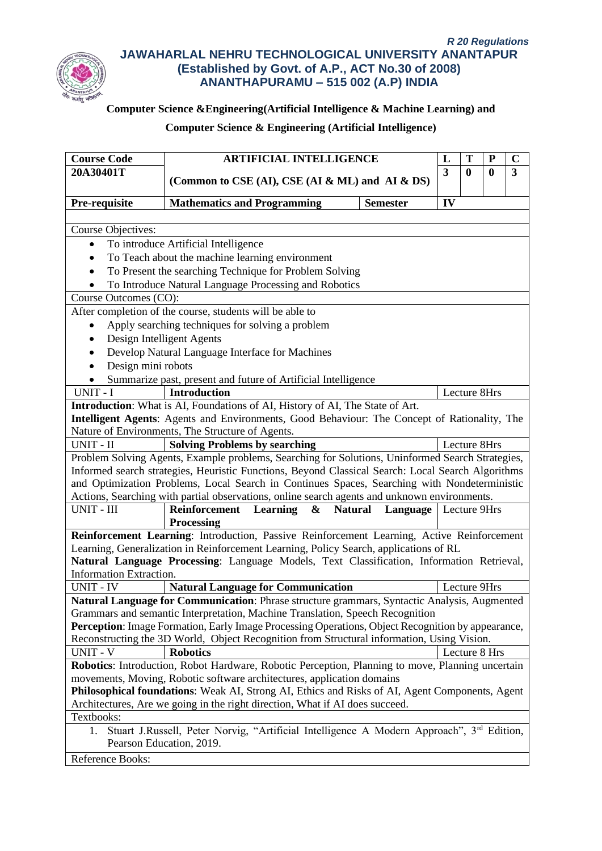

# **Computer Science &Engineering(Artificial Intelligence & Machine Learning) and**

| <b>Course Code</b><br><b>ARTIFICIAL INTELLIGENCE</b><br>T<br>${\bf P}$<br>L                                                                                                    |                                                                                                                                                                                     |                                |                         |              |               | $\mathbf C$  |  |
|--------------------------------------------------------------------------------------------------------------------------------------------------------------------------------|-------------------------------------------------------------------------------------------------------------------------------------------------------------------------------------|--------------------------------|-------------------------|--------------|---------------|--------------|--|
| 20A30401T                                                                                                                                                                      |                                                                                                                                                                                     |                                | $\overline{\mathbf{3}}$ | $\mathbf{0}$ | $\mathbf{0}$  | $\mathbf{3}$ |  |
|                                                                                                                                                                                | (Common to CSE (AI), CSE (AI & ML) and AI & DS)                                                                                                                                     |                                |                         |              |               |              |  |
| Pre-requisite                                                                                                                                                                  | <b>Mathematics and Programming</b>                                                                                                                                                  | <b>Semester</b>                | IV                      |              |               |              |  |
|                                                                                                                                                                                |                                                                                                                                                                                     |                                |                         |              |               |              |  |
| <b>Course Objectives:</b>                                                                                                                                                      |                                                                                                                                                                                     |                                |                         |              |               |              |  |
| $\bullet$                                                                                                                                                                      | To introduce Artificial Intelligence                                                                                                                                                |                                |                         |              |               |              |  |
| To Teach about the machine learning environment                                                                                                                                |                                                                                                                                                                                     |                                |                         |              |               |              |  |
| To Present the searching Technique for Problem Solving                                                                                                                         |                                                                                                                                                                                     |                                |                         |              |               |              |  |
|                                                                                                                                                                                | To Introduce Natural Language Processing and Robotics                                                                                                                               |                                |                         |              |               |              |  |
| Course Outcomes (CO):                                                                                                                                                          |                                                                                                                                                                                     |                                |                         |              |               |              |  |
|                                                                                                                                                                                | After completion of the course, students will be able to                                                                                                                            |                                |                         |              |               |              |  |
|                                                                                                                                                                                | Apply searching techniques for solving a problem                                                                                                                                    |                                |                         |              |               |              |  |
|                                                                                                                                                                                | Design Intelligent Agents                                                                                                                                                           |                                |                         |              |               |              |  |
|                                                                                                                                                                                | Develop Natural Language Interface for Machines                                                                                                                                     |                                |                         |              |               |              |  |
| Design mini robots<br>$\bullet$                                                                                                                                                |                                                                                                                                                                                     |                                |                         |              |               |              |  |
|                                                                                                                                                                                | Summarize past, present and future of Artificial Intelligence                                                                                                                       |                                |                         |              |               |              |  |
| UNIT - I                                                                                                                                                                       | <b>Introduction</b><br>Introduction: What is AI, Foundations of AI, History of AI, The State of Art.                                                                                |                                |                         | Lecture 8Hrs |               |              |  |
|                                                                                                                                                                                | Intelligent Agents: Agents and Environments, Good Behaviour: The Concept of Rationality, The                                                                                        |                                |                         |              |               |              |  |
|                                                                                                                                                                                | Nature of Environments, The Structure of Agents.                                                                                                                                    |                                |                         |              |               |              |  |
| UNIT - II                                                                                                                                                                      | <b>Solving Problems by searching</b>                                                                                                                                                |                                |                         | Lecture 8Hrs |               |              |  |
|                                                                                                                                                                                | Problem Solving Agents, Example problems, Searching for Solutions, Uninformed Search Strategies,                                                                                    |                                |                         |              |               |              |  |
|                                                                                                                                                                                | Informed search strategies, Heuristic Functions, Beyond Classical Search: Local Search Algorithms                                                                                   |                                |                         |              |               |              |  |
|                                                                                                                                                                                | and Optimization Problems, Local Search in Continues Spaces, Searching with Nondeterministic                                                                                        |                                |                         |              |               |              |  |
|                                                                                                                                                                                | Actions, Searching with partial observations, online search agents and unknown environments.                                                                                        |                                |                         |              |               |              |  |
| UNIT - III                                                                                                                                                                     | Learning<br><b>Natural</b><br>Reinforcement<br>$\mathbf{\&}$                                                                                                                        | <b>Language</b>   Lecture 9Hrs |                         |              |               |              |  |
|                                                                                                                                                                                | <b>Processing</b>                                                                                                                                                                   |                                |                         |              |               |              |  |
|                                                                                                                                                                                | Reinforcement Learning: Introduction, Passive Reinforcement Learning, Active Reinforcement<br>Learning, Generalization in Reinforcement Learning, Policy Search, applications of RL |                                |                         |              |               |              |  |
|                                                                                                                                                                                | Natural Language Processing: Language Models, Text Classification, Information Retrieval,                                                                                           |                                |                         |              |               |              |  |
| Information Extraction.                                                                                                                                                        |                                                                                                                                                                                     |                                |                         |              |               |              |  |
| <b>UNIT - IV</b>                                                                                                                                                               | <b>Natural Language for Communication</b>                                                                                                                                           |                                |                         | Lecture 9Hrs |               |              |  |
|                                                                                                                                                                                | Natural Language for Communication: Phrase structure grammars, Syntactic Analysis, Augmented                                                                                        |                                |                         |              |               |              |  |
|                                                                                                                                                                                | Grammars and semantic Interpretation, Machine Translation, Speech Recognition                                                                                                       |                                |                         |              |               |              |  |
|                                                                                                                                                                                | Perception: Image Formation, Early Image Processing Operations, Object Recognition by appearance,                                                                                   |                                |                         |              |               |              |  |
| Reconstructing the 3D World, Object Recognition from Structural information, Using Vision.                                                                                     |                                                                                                                                                                                     |                                |                         |              |               |              |  |
| UNIT - V                                                                                                                                                                       | <b>Robotics</b>                                                                                                                                                                     |                                |                         |              | Lecture 8 Hrs |              |  |
| Robotics: Introduction, Robot Hardware, Robotic Perception, Planning to move, Planning uncertain                                                                               |                                                                                                                                                                                     |                                |                         |              |               |              |  |
| movements, Moving, Robotic software architectures, application domains                                                                                                         |                                                                                                                                                                                     |                                |                         |              |               |              |  |
| Philosophical foundations: Weak AI, Strong AI, Ethics and Risks of AI, Agent Components, Agent<br>Architectures, Are we going in the right direction, What if AI does succeed. |                                                                                                                                                                                     |                                |                         |              |               |              |  |
| Textbooks:                                                                                                                                                                     |                                                                                                                                                                                     |                                |                         |              |               |              |  |
| Stuart J.Russell, Peter Norvig, "Artificial Intelligence A Modern Approach", 3 <sup>rd</sup> Edition,<br>1.                                                                    |                                                                                                                                                                                     |                                |                         |              |               |              |  |
|                                                                                                                                                                                | Pearson Education, 2019.                                                                                                                                                            |                                |                         |              |               |              |  |
|                                                                                                                                                                                | Reference Books:                                                                                                                                                                    |                                |                         |              |               |              |  |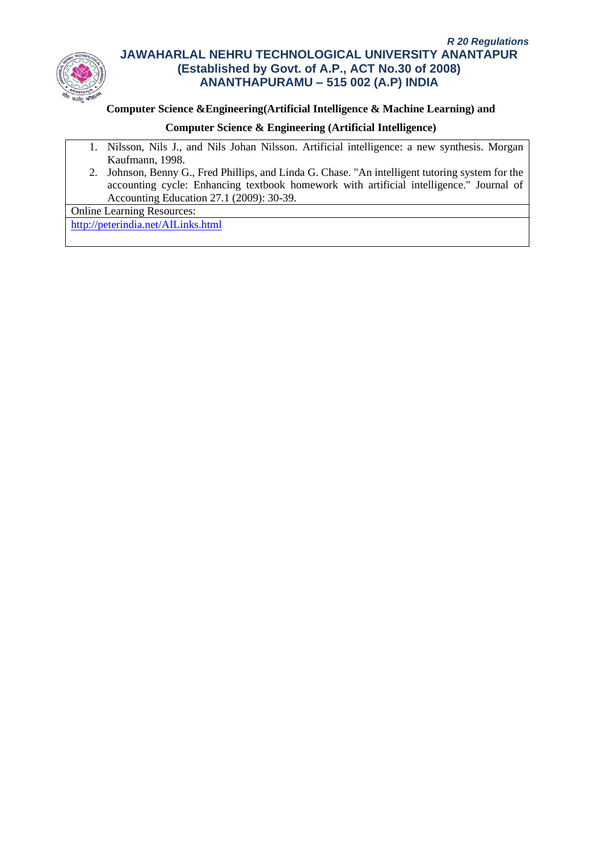

## **Computer Science &Engineering(Artificial Intelligence & Machine Learning) and**

# **Computer Science & Engineering (Artificial Intelligence)**

- 1. Nilsson, Nils J., and Nils Johan Nilsson. Artificial intelligence: a new synthesis. Morgan Kaufmann, 1998.
- 2. Johnson, Benny G., Fred Phillips, and Linda G. Chase. "An intelligent tutoring system for the accounting cycle: Enhancing textbook homework with artificial intelligence." Journal of Accounting Education 27.1 (2009): 30-39.

Online Learning Resources:

<http://peterindia.net/AILinks.html>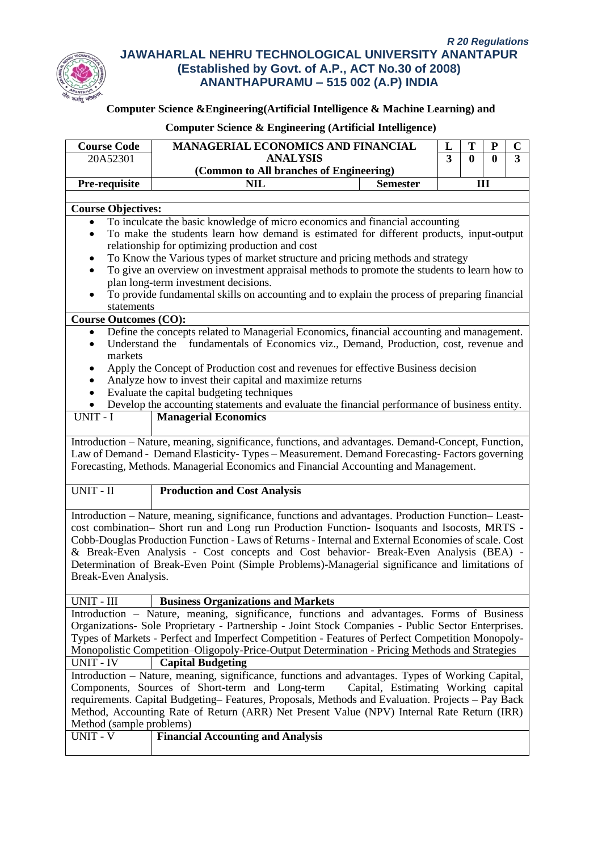

# **Computer Science &Engineering(Artificial Intelligence & Machine Learning) and**

| <b>Course Code</b>                                                                                                                                                                                 | <b>MANAGERIAL ECONOMICS AND FINANCIAL</b>                                                                                                                                          |  | T                                              | ${\bf P}$ | $\mathbf C$    |  |
|----------------------------------------------------------------------------------------------------------------------------------------------------------------------------------------------------|------------------------------------------------------------------------------------------------------------------------------------------------------------------------------------|--|------------------------------------------------|-----------|----------------|--|
| 20A52301                                                                                                                                                                                           | <b>ANALYSIS</b>                                                                                                                                                                    |  | $\overline{3}$<br>$\mathbf{0}$<br>$\mathbf{0}$ |           | $\overline{3}$ |  |
|                                                                                                                                                                                                    | (Common to All branches of Engineering)                                                                                                                                            |  |                                                |           |                |  |
| Pre-requisite                                                                                                                                                                                      | <b>NIL</b><br><b>Semester</b>                                                                                                                                                      |  | III                                            |           |                |  |
|                                                                                                                                                                                                    |                                                                                                                                                                                    |  |                                                |           |                |  |
| <b>Course Objectives:</b>                                                                                                                                                                          |                                                                                                                                                                                    |  |                                                |           |                |  |
|                                                                                                                                                                                                    | To inculcate the basic knowledge of micro economics and financial accounting                                                                                                       |  |                                                |           |                |  |
| To make the students learn how demand is estimated for different products, input-output                                                                                                            |                                                                                                                                                                                    |  |                                                |           |                |  |
| relationship for optimizing production and cost<br>To Know the Various types of market structure and pricing methods and strategy                                                                  |                                                                                                                                                                                    |  |                                                |           |                |  |
|                                                                                                                                                                                                    | To give an overview on investment appraisal methods to promote the students to learn how to                                                                                        |  |                                                |           |                |  |
|                                                                                                                                                                                                    | plan long-term investment decisions.                                                                                                                                               |  |                                                |           |                |  |
|                                                                                                                                                                                                    | To provide fundamental skills on accounting and to explain the process of preparing financial                                                                                      |  |                                                |           |                |  |
| statements                                                                                                                                                                                         |                                                                                                                                                                                    |  |                                                |           |                |  |
| <b>Course Outcomes (CO):</b>                                                                                                                                                                       |                                                                                                                                                                                    |  |                                                |           |                |  |
| $\bullet$                                                                                                                                                                                          | Define the concepts related to Managerial Economics, financial accounting and management.                                                                                          |  |                                                |           |                |  |
| Understand the                                                                                                                                                                                     | fundamentals of Economics viz., Demand, Production, cost, revenue and                                                                                                              |  |                                                |           |                |  |
| markets                                                                                                                                                                                            |                                                                                                                                                                                    |  |                                                |           |                |  |
|                                                                                                                                                                                                    | Apply the Concept of Production cost and revenues for effective Business decision                                                                                                  |  |                                                |           |                |  |
|                                                                                                                                                                                                    | Analyze how to invest their capital and maximize returns                                                                                                                           |  |                                                |           |                |  |
|                                                                                                                                                                                                    | Evaluate the capital budgeting techniques                                                                                                                                          |  |                                                |           |                |  |
|                                                                                                                                                                                                    | Develop the accounting statements and evaluate the financial performance of business entity.                                                                                       |  |                                                |           |                |  |
| UNIT - I                                                                                                                                                                                           | <b>Managerial Economics</b>                                                                                                                                                        |  |                                                |           |                |  |
|                                                                                                                                                                                                    |                                                                                                                                                                                    |  |                                                |           |                |  |
|                                                                                                                                                                                                    | Introduction - Nature, meaning, significance, functions, and advantages. Demand-Concept, Function,                                                                                 |  |                                                |           |                |  |
|                                                                                                                                                                                                    | Law of Demand - Demand Elasticity-Types - Measurement. Demand Forecasting-Factors governing<br>Forecasting, Methods. Managerial Economics and Financial Accounting and Management. |  |                                                |           |                |  |
|                                                                                                                                                                                                    |                                                                                                                                                                                    |  |                                                |           |                |  |
| UNIT - II                                                                                                                                                                                          | <b>Production and Cost Analysis</b>                                                                                                                                                |  |                                                |           |                |  |
|                                                                                                                                                                                                    |                                                                                                                                                                                    |  |                                                |           |                |  |
|                                                                                                                                                                                                    | Introduction - Nature, meaning, significance, functions and advantages. Production Function-Least-                                                                                 |  |                                                |           |                |  |
|                                                                                                                                                                                                    | cost combination- Short run and Long run Production Function- Isoquants and Isocosts, MRTS -                                                                                       |  |                                                |           |                |  |
|                                                                                                                                                                                                    | Cobb-Douglas Production Function - Laws of Returns - Internal and External Economies of scale. Cost                                                                                |  |                                                |           |                |  |
|                                                                                                                                                                                                    | & Break-Even Analysis - Cost concepts and Cost behavior- Break-Even Analysis (BEA) -                                                                                               |  |                                                |           |                |  |
|                                                                                                                                                                                                    | Determination of Break-Even Point (Simple Problems)-Managerial significance and limitations of                                                                                     |  |                                                |           |                |  |
| Break-Even Analysis.                                                                                                                                                                               |                                                                                                                                                                                    |  |                                                |           |                |  |
| UNIT - III                                                                                                                                                                                         | <b>Business Organizations and Markets</b>                                                                                                                                          |  |                                                |           |                |  |
|                                                                                                                                                                                                    | Introduction – Nature, meaning, significance, functions and advantages. Forms of Business                                                                                          |  |                                                |           |                |  |
|                                                                                                                                                                                                    | Organizations- Sole Proprietary - Partnership - Joint Stock Companies - Public Sector Enterprises.                                                                                 |  |                                                |           |                |  |
|                                                                                                                                                                                                    |                                                                                                                                                                                    |  |                                                |           |                |  |
| Types of Markets - Perfect and Imperfect Competition - Features of Perfect Competition Monopoly-<br>Monopolistic Competition-Oligopoly-Price-Output Determination - Pricing Methods and Strategies |                                                                                                                                                                                    |  |                                                |           |                |  |
| <b>UNIT - IV</b><br><b>Capital Budgeting</b>                                                                                                                                                       |                                                                                                                                                                                    |  |                                                |           |                |  |
| Introduction – Nature, meaning, significance, functions and advantages. Types of Working Capital,                                                                                                  |                                                                                                                                                                                    |  |                                                |           |                |  |
| Components, Sources of Short-term and Long-term<br>Capital, Estimating Working capital                                                                                                             |                                                                                                                                                                                    |  |                                                |           |                |  |
| requirements. Capital Budgeting-Features, Proposals, Methods and Evaluation. Projects - Pay Back                                                                                                   |                                                                                                                                                                                    |  |                                                |           |                |  |
|                                                                                                                                                                                                    | Method, Accounting Rate of Return (ARR) Net Present Value (NPV) Internal Rate Return (IRR)                                                                                         |  |                                                |           |                |  |
| Method (sample problems)                                                                                                                                                                           |                                                                                                                                                                                    |  |                                                |           |                |  |
| <b>UNIT - V</b>                                                                                                                                                                                    | <b>Financial Accounting and Analysis</b>                                                                                                                                           |  |                                                |           |                |  |
|                                                                                                                                                                                                    |                                                                                                                                                                                    |  |                                                |           |                |  |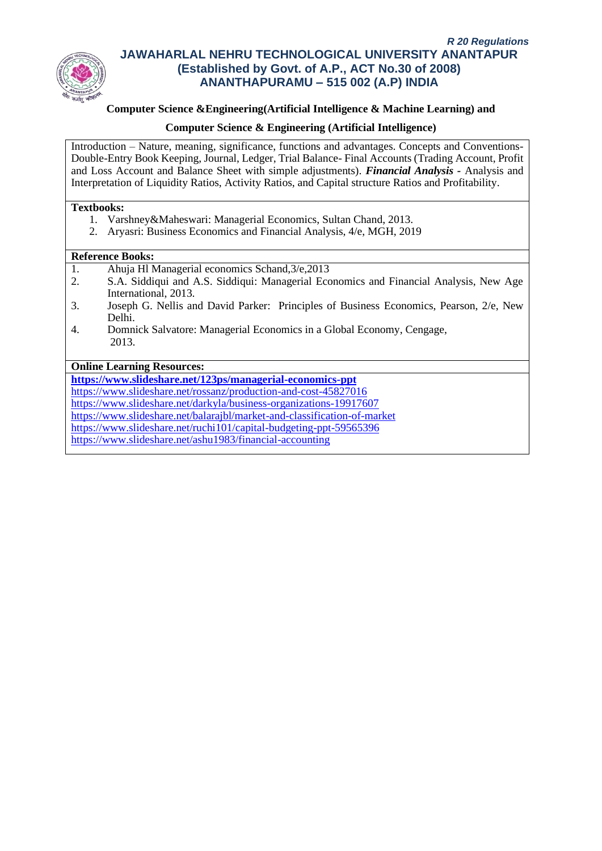

## **Computer Science &Engineering(Artificial Intelligence & Machine Learning) and**

### **Computer Science & Engineering (Artificial Intelligence)**

Introduction – Nature, meaning, significance, functions and advantages. Concepts and Conventions-Double-Entry Book Keeping, Journal, Ledger, Trial Balance- Final Accounts (Trading Account, Profit and Loss Account and Balance Sheet with simple adjustments). *Financial Analysis -* Analysis and Interpretation of Liquidity Ratios, Activity Ratios, and Capital structure Ratios and Profitability.

### **Textbooks:**

- 1. Varshney&Maheswari: Managerial Economics, Sultan Chand, 2013.
- 2. Aryasri: Business Economics and Financial Analysis, 4/e, MGH, 2019

### **Reference Books:**

- 1. Ahuja Hl Managerial economics Schand,3/e,2013
- 2. S.A. Siddiqui and A.S. Siddiqui: Managerial Economics and Financial Analysis, New Age International, 2013.
- 3. Joseph G. Nellis and David Parker: Principles of Business Economics, Pearson, 2/e, New Delhi.
- 4. Domnick Salvatore: Managerial Economics in a Global Economy, Cengage, 2013.

### **Online Learning Resources:**

**<https://www.slideshare.net/123ps/managerial-economics-ppt>**

<https://www.slideshare.net/rossanz/production-and-cost-45827016>

<https://www.slideshare.net/darkyla/business-organizations-19917607>

<https://www.slideshare.net/balarajbl/market-and-classification-of-market>

<https://www.slideshare.net/ruchi101/capital-budgeting-ppt-59565396>

<https://www.slideshare.net/ashu1983/financial-accounting>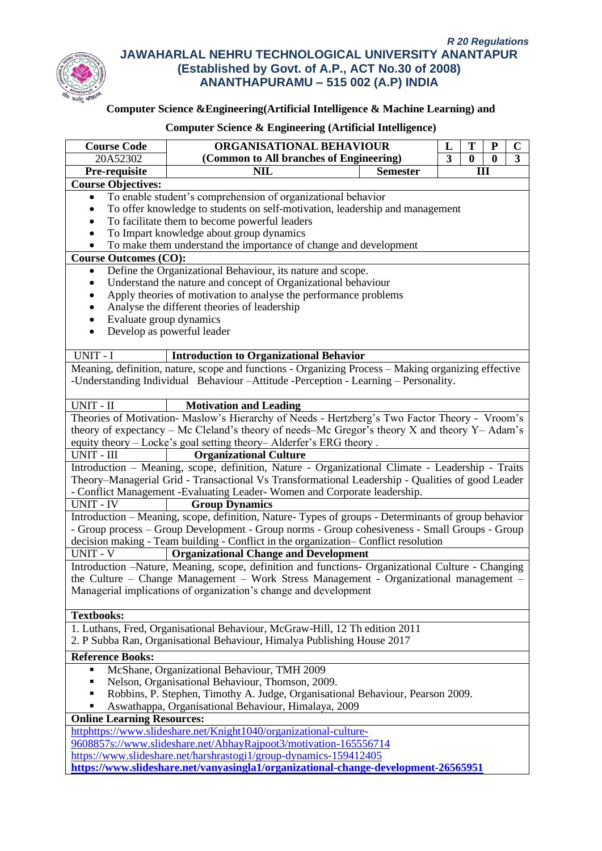

# **Computer Science &Engineering(Artificial Intelligence & Machine Learning) and**

| ORGANISATIONAL BEHAVIOUR<br>T<br><b>Course Code</b><br>L                                  |                                                                                                                             |                 | ${\bf P}$ | $\mathbf C$ |          |                         |
|-------------------------------------------------------------------------------------------|-----------------------------------------------------------------------------------------------------------------------------|-----------------|-----------|-------------|----------|-------------------------|
| 20A52302                                                                                  | (Common to All branches of Engineering)                                                                                     |                 |           | $\bf{0}$    | $\bf{0}$ | $\overline{\mathbf{3}}$ |
| Pre-requisite                                                                             | <b>NIL</b>                                                                                                                  | <b>Semester</b> |           | Ш           |          |                         |
| <b>Course Objectives:</b>                                                                 |                                                                                                                             |                 |           |             |          |                         |
| $\bullet$                                                                                 | To enable student's comprehension of organizational behavior                                                                |                 |           |             |          |                         |
|                                                                                           | To offer knowledge to students on self-motivation, leadership and management                                                |                 |           |             |          |                         |
|                                                                                           | To facilitate them to become powerful leaders                                                                               |                 |           |             |          |                         |
|                                                                                           | To Impart knowledge about group dynamics                                                                                    |                 |           |             |          |                         |
|                                                                                           | To make them understand the importance of change and development                                                            |                 |           |             |          |                         |
| <b>Course Outcomes (CO):</b>                                                              |                                                                                                                             |                 |           |             |          |                         |
| ٠                                                                                         | Define the Organizational Behaviour, its nature and scope.<br>Understand the nature and concept of Organizational behaviour |                 |           |             |          |                         |
|                                                                                           | Apply theories of motivation to analyse the performance problems                                                            |                 |           |             |          |                         |
|                                                                                           | Analyse the different theories of leadership                                                                                |                 |           |             |          |                         |
| Evaluate group dynamics                                                                   |                                                                                                                             |                 |           |             |          |                         |
| $\bullet$                                                                                 | Develop as powerful leader                                                                                                  |                 |           |             |          |                         |
|                                                                                           |                                                                                                                             |                 |           |             |          |                         |
| UNIT - I                                                                                  | <b>Introduction to Organizational Behavior</b>                                                                              |                 |           |             |          |                         |
|                                                                                           | Meaning, definition, nature, scope and functions - Organizing Process - Making organizing effective                         |                 |           |             |          |                         |
|                                                                                           | -Understanding Individual Behaviour – Attitude - Perception - Learning – Personality.                                       |                 |           |             |          |                         |
|                                                                                           |                                                                                                                             |                 |           |             |          |                         |
| UNIT - II                                                                                 | <b>Motivation and Leading</b>                                                                                               |                 |           |             |          |                         |
|                                                                                           | Theories of Motivation- Maslow's Hierarchy of Needs - Hertzberg's Two Factor Theory - Vroom's                               |                 |           |             |          |                         |
|                                                                                           | theory of expectancy – Mc Cleland's theory of needs–Mc Gregor's theory $X$ and theory $Y - \text{Adam's}$                   |                 |           |             |          |                         |
|                                                                                           | equity theory - Locke's goal setting theory- Alderfer's ERG theory.                                                         |                 |           |             |          |                         |
| UNIT - III                                                                                | <b>Organizational Culture</b>                                                                                               |                 |           |             |          |                         |
|                                                                                           | Introduction - Meaning, scope, definition, Nature - Organizational Climate - Leadership - Traits                            |                 |           |             |          |                         |
|                                                                                           | Theory–Managerial Grid - Transactional Vs Transformational Leadership - Qualities of good Leader                            |                 |           |             |          |                         |
|                                                                                           | - Conflict Management -Evaluating Leader-Women and Corporate leadership.                                                    |                 |           |             |          |                         |
| <b>UNIT - IV</b>                                                                          | <b>Group Dynamics</b>                                                                                                       |                 |           |             |          |                         |
|                                                                                           | Introduction - Meaning, scope, definition, Nature-Types of groups - Determinants of group behavior                          |                 |           |             |          |                         |
|                                                                                           | - Group process – Group Development - Group norms - Group cohesiveness - Small Groups - Group                               |                 |           |             |          |                         |
|                                                                                           | decision making - Team building - Conflict in the organization- Conflict resolution                                         |                 |           |             |          |                         |
| UNIT - V                                                                                  | <b>Organizational Change and Development</b>                                                                                |                 |           |             |          |                         |
|                                                                                           | Introduction -Nature, Meaning, scope, definition and functions- Organizational Culture - Changing                           |                 |           |             |          |                         |
|                                                                                           | the Culture – Change Management – Work Stress Management - Organizational management –                                      |                 |           |             |          |                         |
|                                                                                           | Managerial implications of organization's change and development                                                            |                 |           |             |          |                         |
| <b>Textbooks:</b>                                                                         |                                                                                                                             |                 |           |             |          |                         |
|                                                                                           | 1. Luthans, Fred, Organisational Behaviour, McGraw-Hill, 12 Th edition 2011                                                 |                 |           |             |          |                         |
|                                                                                           |                                                                                                                             |                 |           |             |          |                         |
| 2. P Subba Ran, Organisational Behaviour, Himalya Publishing House 2017                   |                                                                                                                             |                 |           |             |          |                         |
| <b>Reference Books:</b>                                                                   |                                                                                                                             |                 |           |             |          |                         |
|                                                                                           | McShane, Organizational Behaviour, TMH 2009                                                                                 |                 |           |             |          |                         |
|                                                                                           | Nelson, Organisational Behaviour, Thomson, 2009.                                                                            |                 |           |             |          |                         |
| Robbins, P. Stephen, Timothy A. Judge, Organisational Behaviour, Pearson 2009.            |                                                                                                                             |                 |           |             |          |                         |
| Aswathappa, Organisational Behaviour, Himalaya, 2009<br><b>Online Learning Resources:</b> |                                                                                                                             |                 |           |             |          |                         |
| httphttps://www.slideshare.net/Knight1040/organizational-culture-                         |                                                                                                                             |                 |           |             |          |                         |
| 9608857s://www.slideshare.net/AbhayRajpoot3/motivation-165556714                          |                                                                                                                             |                 |           |             |          |                         |
| https://www.slideshare.net/harshrastogi1/group-dynamics-159412405                         |                                                                                                                             |                 |           |             |          |                         |
| https://www.slideshare.net/vanyasingla1/organizational-change-development-26565951        |                                                                                                                             |                 |           |             |          |                         |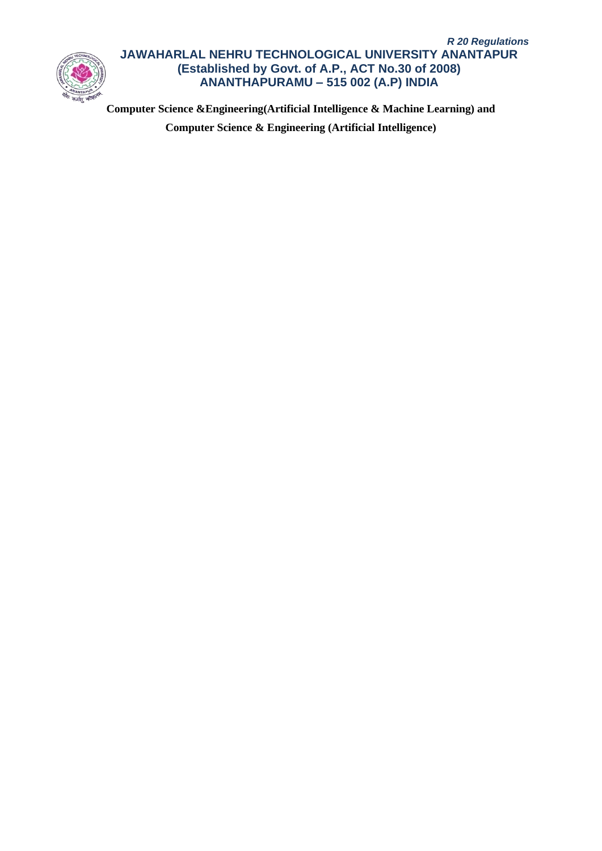

**Computer Science &Engineering(Artificial Intelligence & Machine Learning) and Computer Science & Engineering (Artificial Intelligence)**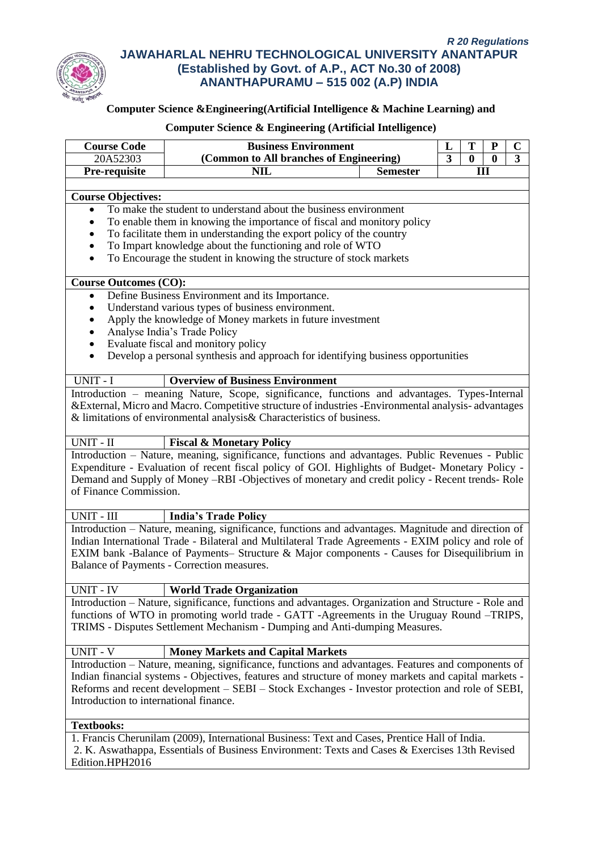

# **Computer Science &Engineering(Artificial Intelligence & Machine Learning) and**

| <b>Course Code</b><br>20A52303                                                                  | <b>Business Environment</b><br>(Common to All branches of Engineering)                                                                                                                                                                                                                                                                                |  |  | T        | ${\bf P}$       | $\mathbf C$<br>$\overline{\mathbf{3}}$ |  |  |
|-------------------------------------------------------------------------------------------------|-------------------------------------------------------------------------------------------------------------------------------------------------------------------------------------------------------------------------------------------------------------------------------------------------------------------------------------------------------|--|--|----------|-----------------|----------------------------------------|--|--|
| Pre-requisite                                                                                   | <b>NIL</b><br><b>Semester</b>                                                                                                                                                                                                                                                                                                                         |  |  | $\bf{0}$ | $\bf{0}$<br>III |                                        |  |  |
|                                                                                                 |                                                                                                                                                                                                                                                                                                                                                       |  |  |          |                 |                                        |  |  |
| <b>Course Objectives:</b>                                                                       |                                                                                                                                                                                                                                                                                                                                                       |  |  |          |                 |                                        |  |  |
|                                                                                                 | To make the student to understand about the business environment                                                                                                                                                                                                                                                                                      |  |  |          |                 |                                        |  |  |
|                                                                                                 | To enable them in knowing the importance of fiscal and monitory policy                                                                                                                                                                                                                                                                                |  |  |          |                 |                                        |  |  |
|                                                                                                 | To facilitate them in understanding the export policy of the country                                                                                                                                                                                                                                                                                  |  |  |          |                 |                                        |  |  |
| To Impart knowledge about the functioning and role of WTO<br>$\bullet$                          |                                                                                                                                                                                                                                                                                                                                                       |  |  |          |                 |                                        |  |  |
| $\bullet$                                                                                       | To Encourage the student in knowing the structure of stock markets                                                                                                                                                                                                                                                                                    |  |  |          |                 |                                        |  |  |
| <b>Course Outcomes (CO):</b>                                                                    |                                                                                                                                                                                                                                                                                                                                                       |  |  |          |                 |                                        |  |  |
| $\bullet$                                                                                       | Define Business Environment and its Importance.                                                                                                                                                                                                                                                                                                       |  |  |          |                 |                                        |  |  |
| $\bullet$                                                                                       | Understand various types of business environment.                                                                                                                                                                                                                                                                                                     |  |  |          |                 |                                        |  |  |
| $\bullet$                                                                                       | Apply the knowledge of Money markets in future investment                                                                                                                                                                                                                                                                                             |  |  |          |                 |                                        |  |  |
| ٠                                                                                               | Analyse India's Trade Policy                                                                                                                                                                                                                                                                                                                          |  |  |          |                 |                                        |  |  |
| $\bullet$                                                                                       | Evaluate fiscal and monitory policy                                                                                                                                                                                                                                                                                                                   |  |  |          |                 |                                        |  |  |
| $\bullet$                                                                                       | Develop a personal synthesis and approach for identifying business opportunities                                                                                                                                                                                                                                                                      |  |  |          |                 |                                        |  |  |
| UNIT - I                                                                                        | <b>Overview of Business Environment</b>                                                                                                                                                                                                                                                                                                               |  |  |          |                 |                                        |  |  |
|                                                                                                 | Introduction - meaning Nature, Scope, significance, functions and advantages. Types-Internal                                                                                                                                                                                                                                                          |  |  |          |                 |                                        |  |  |
|                                                                                                 | & External, Micro and Macro. Competitive structure of industries - Environmental analysis-advantages                                                                                                                                                                                                                                                  |  |  |          |                 |                                        |  |  |
|                                                                                                 | & limitations of environmental analysis& Characteristics of business.                                                                                                                                                                                                                                                                                 |  |  |          |                 |                                        |  |  |
| UNIT - II                                                                                       | <b>Fiscal &amp; Monetary Policy</b>                                                                                                                                                                                                                                                                                                                   |  |  |          |                 |                                        |  |  |
|                                                                                                 | Introduction - Nature, meaning, significance, functions and advantages. Public Revenues - Public                                                                                                                                                                                                                                                      |  |  |          |                 |                                        |  |  |
| of Finance Commission.                                                                          | Expenditure - Evaluation of recent fiscal policy of GOI. Highlights of Budget- Monetary Policy -<br>Demand and Supply of Money -RBI -Objectives of monetary and credit policy - Recent trends- Role                                                                                                                                                   |  |  |          |                 |                                        |  |  |
| $UNIT$ - $\rm III$                                                                              | <b>India's Trade Policy</b>                                                                                                                                                                                                                                                                                                                           |  |  |          |                 |                                        |  |  |
|                                                                                                 | Introduction - Nature, meaning, significance, functions and advantages. Magnitude and direction of<br>Indian International Trade - Bilateral and Multilateral Trade Agreements - EXIM policy and role of<br>EXIM bank -Balance of Payments- Structure & Major components - Causes for Disequilibrium in<br>Balance of Payments - Correction measures. |  |  |          |                 |                                        |  |  |
| UNIT - IV                                                                                       | <b>World Trade Organization</b>                                                                                                                                                                                                                                                                                                                       |  |  |          |                 |                                        |  |  |
|                                                                                                 | Introduction - Nature, significance, functions and advantages. Organization and Structure - Role and                                                                                                                                                                                                                                                  |  |  |          |                 |                                        |  |  |
|                                                                                                 | functions of WTO in promoting world trade - GATT -Agreements in the Uruguay Round –TRIPS,                                                                                                                                                                                                                                                             |  |  |          |                 |                                        |  |  |
|                                                                                                 | TRIMS - Disputes Settlement Mechanism - Dumping and Anti-dumping Measures.                                                                                                                                                                                                                                                                            |  |  |          |                 |                                        |  |  |
| <b>UNIT - V</b>                                                                                 | Money Markets and Capital Markets                                                                                                                                                                                                                                                                                                                     |  |  |          |                 |                                        |  |  |
|                                                                                                 |                                                                                                                                                                                                                                                                                                                                                       |  |  |          |                 |                                        |  |  |
|                                                                                                 | Introduction - Nature, meaning, significance, functions and advantages. Features and components of<br>Indian financial systems - Objectives, features and structure of money markets and capital markets -                                                                                                                                            |  |  |          |                 |                                        |  |  |
| Reforms and recent development – SEBI – Stock Exchanges - Investor protection and role of SEBI, |                                                                                                                                                                                                                                                                                                                                                       |  |  |          |                 |                                        |  |  |
| Introduction to international finance.                                                          |                                                                                                                                                                                                                                                                                                                                                       |  |  |          |                 |                                        |  |  |
| <b>Textbooks:</b>                                                                               |                                                                                                                                                                                                                                                                                                                                                       |  |  |          |                 |                                        |  |  |
|                                                                                                 | 1. Francis Cherunilam (2009), International Business: Text and Cases, Prentice Hall of India.                                                                                                                                                                                                                                                         |  |  |          |                 |                                        |  |  |
| 2. K. Aswathappa, Essentials of Business Environment: Texts and Cases & Exercises 13th Revised  |                                                                                                                                                                                                                                                                                                                                                       |  |  |          |                 |                                        |  |  |
| Edition.HPH2016                                                                                 |                                                                                                                                                                                                                                                                                                                                                       |  |  |          |                 |                                        |  |  |
|                                                                                                 |                                                                                                                                                                                                                                                                                                                                                       |  |  |          |                 |                                        |  |  |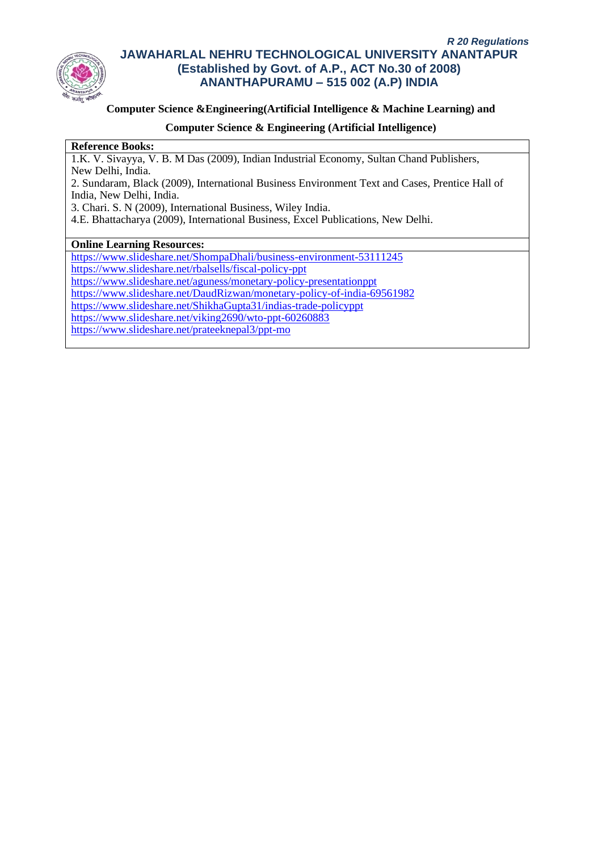

### **Computer Science &Engineering(Artificial Intelligence & Machine Learning) and**

### **Computer Science & Engineering (Artificial Intelligence)**

#### **Reference Books:**

1.K. V. Sivayya, V. B. M Das (2009), Indian Industrial Economy, Sultan Chand Publishers, New Delhi, India.

2. Sundaram, Black (2009), International Business Environment Text and Cases, Prentice Hall of India, New Delhi, India.

3. Chari. S. N (2009), International Business, Wiley India.

4.E. Bhattacharya (2009), International Business, Excel Publications, New Delhi.

### **Online Learning Resources:**

<https://www.slideshare.net/ShompaDhali/business-environment-53111245> <https://www.slideshare.net/rbalsells/fiscal-policy-ppt>

<https://www.slideshare.net/aguness/monetary-policy-presentationppt>

<https://www.slideshare.net/DaudRizwan/monetary-policy-of-india-69561982>

<https://www.slideshare.net/ShikhaGupta31/indias-trade-policyppt>

<https://www.slideshare.net/viking2690/wto-ppt-60260883>

<https://www.slideshare.net/prateeknepal3/ppt-mo>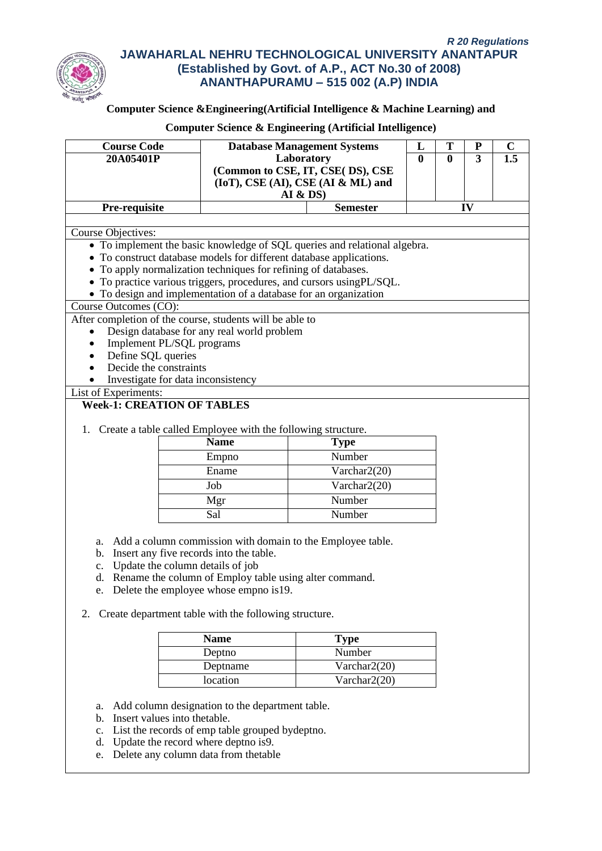

# **Computer Science &Engineering(Artificial Intelligence & Machine Learning) and**

# **Computer Science & Engineering (Artificial Intelligence)**

| <b>Course Code</b><br>20A05401P                                     |                                                                                   | <b>Database Management Systems</b><br>Laboratory                          | L<br>$\mathbf{0}$ | T<br>0 | ${\bf P}$<br>3 | $\mathbf C$<br>1.5 |  |
|---------------------------------------------------------------------|-----------------------------------------------------------------------------------|---------------------------------------------------------------------------|-------------------|--------|----------------|--------------------|--|
|                                                                     | (Common to CSE, IT, CSE(DS), CSE<br>(IoT), CSE (AI), CSE (AI & ML) and<br>AI & DS |                                                                           |                   |        |                |                    |  |
| Pre-requisite                                                       |                                                                                   | <b>Semester</b>                                                           |                   |        | IV             |                    |  |
|                                                                     |                                                                                   |                                                                           |                   |        |                |                    |  |
| Course Objectives:                                                  |                                                                                   | • To implement the basic knowledge of SQL queries and relational algebra. |                   |        |                |                    |  |
| • To construct database models for different database applications. |                                                                                   |                                                                           |                   |        |                |                    |  |
| • To apply normalization techniques for refining of databases.      |                                                                                   |                                                                           |                   |        |                |                    |  |
|                                                                     |                                                                                   | • To practice various triggers, procedures, and cursors using PL/SQL.     |                   |        |                |                    |  |
| • To design and implementation of a database for an organization    |                                                                                   |                                                                           |                   |        |                |                    |  |
| Course Outcomes (CO):                                               |                                                                                   |                                                                           |                   |        |                |                    |  |
| After completion of the course, students will be able to            |                                                                                   |                                                                           |                   |        |                |                    |  |
| $\bullet$                                                           | Design database for any real world problem                                        |                                                                           |                   |        |                |                    |  |
| Implement PL/SQL programs                                           |                                                                                   |                                                                           |                   |        |                |                    |  |
| Define SQL queries                                                  |                                                                                   |                                                                           |                   |        |                |                    |  |
| Decide the constraints<br>Investigate for data inconsistency        |                                                                                   |                                                                           |                   |        |                |                    |  |
| List of Experiments:                                                |                                                                                   |                                                                           |                   |        |                |                    |  |
| <b>Week-1: CREATION OF TABLES</b>                                   |                                                                                   |                                                                           |                   |        |                |                    |  |
|                                                                     |                                                                                   |                                                                           |                   |        |                |                    |  |
| 1. Create a table called Employee with the following structure.     |                                                                                   |                                                                           |                   |        |                |                    |  |
|                                                                     | <b>Name</b>                                                                       | <b>Type</b>                                                               |                   |        |                |                    |  |
|                                                                     | Empno                                                                             | Number                                                                    |                   |        |                |                    |  |
|                                                                     | Ename                                                                             | Varchar2(20)                                                              |                   |        |                |                    |  |
|                                                                     | Job                                                                               | Varchar2(20)                                                              |                   |        |                |                    |  |
|                                                                     | Mgr                                                                               | Number                                                                    |                   |        |                |                    |  |
|                                                                     | Sal                                                                               | Number                                                                    |                   |        |                |                    |  |
|                                                                     |                                                                                   |                                                                           |                   |        |                |                    |  |
| a.                                                                  |                                                                                   | Add a column commission with domain to the Employee table.                |                   |        |                |                    |  |
| b. Insert any five records into the table.                          |                                                                                   |                                                                           |                   |        |                |                    |  |
| Update the column details of job<br>$\mathbf{c}$ .                  |                                                                                   |                                                                           |                   |        |                |                    |  |
| d. Rename the column of Employ table using alter command.           |                                                                                   |                                                                           |                   |        |                |                    |  |
| e. Delete the employee whose empno is 19.                           |                                                                                   |                                                                           |                   |        |                |                    |  |
|                                                                     |                                                                                   |                                                                           |                   |        |                |                    |  |
| Create department table with the following structure.<br>2.         |                                                                                   |                                                                           |                   |        |                |                    |  |
|                                                                     | <b>Name</b>                                                                       | <b>Type</b>                                                               |                   |        |                |                    |  |
|                                                                     | Deptno                                                                            | $\overline{\text{Number}}$                                                |                   |        |                |                    |  |
|                                                                     | Varchar2(20)<br>Deptname                                                          |                                                                           |                   |        |                |                    |  |
| location<br>Varchar2(20)                                            |                                                                                   |                                                                           |                   |        |                |                    |  |
|                                                                     |                                                                                   |                                                                           |                   |        |                |                    |  |
| a.                                                                  | Add column designation to the department table.                                   |                                                                           |                   |        |                |                    |  |
| Insert values into thetable.<br>b.                                  |                                                                                   |                                                                           |                   |        |                |                    |  |
| $c_{\cdot}$                                                         | List the records of emp table grouped bydeptno.                                   |                                                                           |                   |        |                |                    |  |
| Update the record where deptno is9.<br>d.                           |                                                                                   |                                                                           |                   |        |                |                    |  |

e. Delete any column data from thetable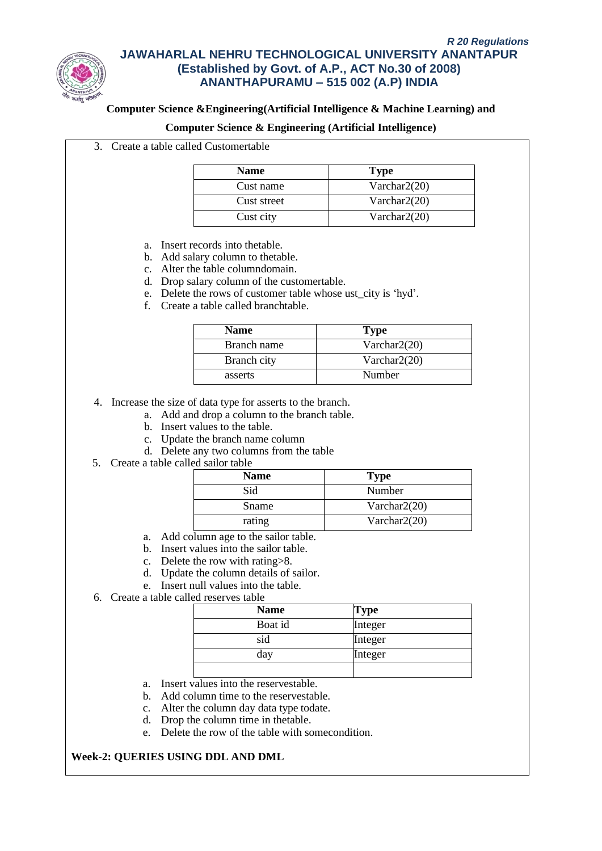

### **Computer Science &Engineering(Artificial Intelligence & Machine Learning) and**

#### **Computer Science & Engineering (Artificial Intelligence)**

3. Create a table called Customertable

| <b>Name</b> | <b>Type</b>     |
|-------------|-----------------|
| Cust name   | Varchar $2(20)$ |
| Cust street | Varchar $2(20)$ |
| Cust city   | Varchar $2(20)$ |

- a. Insert records into thetable.
- b. Add salary column to thetable.
- c. Alter the table columndomain.
- d. Drop salary column of the customertable.
- e. Delete the rows of customer table whose ust\_city is 'hyd'.
- f. Create a table called branchtable.

| <b>Name</b> | <b>Type</b>     |
|-------------|-----------------|
| Branch name | Varchar $2(20)$ |
| Branch city | Varchar $2(20)$ |
| asserts     | Number          |

4. Increase the size of data type for asserts to the branch.

- a. Add and drop a column to the branch table.
- b. Insert values to the table.
- c. Update the branch name column
- d. Delete any two columns from the table
- 5. Create a table called sailor table

| <b>Name</b> | <b>Type</b>     |
|-------------|-----------------|
| Sid         | Number          |
| Sname       | Varchar $2(20)$ |
| rating      | Varchar $2(20)$ |

- a. Add column age to the sailor table.
- b. Insert values into the sailor table.
- c. Delete the row with rating>8.
- d. Update the column details of sailor.
- e. Insert null values into the table.
- 6. Create a table called reserves table

| <b>Name</b> | Type    |
|-------------|---------|
| Boat id     | Integer |
| sid         | Integer |
| day         | Integer |
|             |         |

- a. Insert values into the reservestable.
- b. Add column time to the reservestable.
- c. Alter the column day data type todate.
- d. Drop the column time in thetable.
- e. Delete the row of the table with somecondition.

# **Week-2: QUERIES USING DDL AND DML**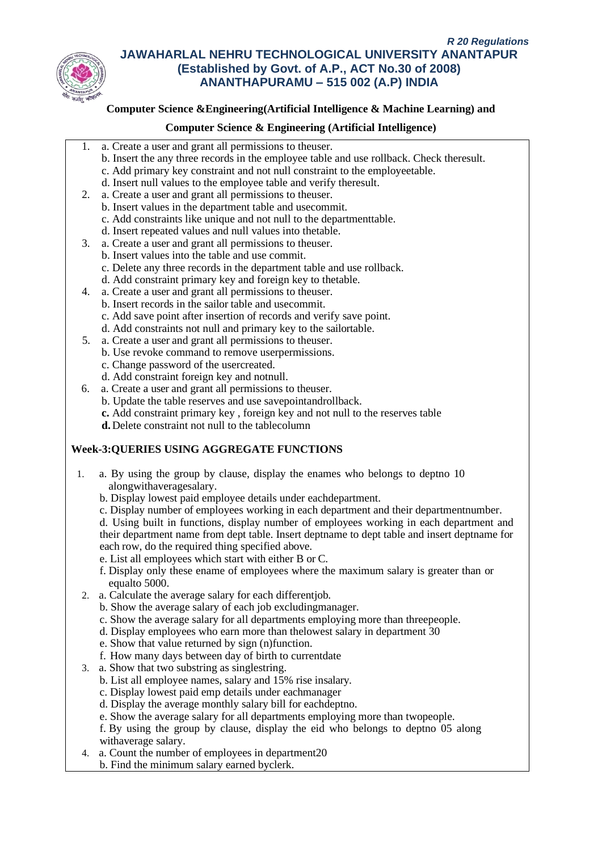

## **Computer Science &Engineering(Artificial Intelligence & Machine Learning) and**

### **Computer Science & Engineering (Artificial Intelligence)**

- 1. a. Create a user and grant all permissions to theuser.
	- b. Insert the any three records in the employee table and use rollback. Check theresult.
	- c. Add primary key constraint and not null constraint to the employeetable.
	- d. Insert null values to the employee table and verify theresult.
- 2. a. Create a user and grant all permissions to theuser.
	- b. Insert values in the department table and usecommit.
	- c. Add constraints like unique and not null to the departmenttable.
	- d. Insert repeated values and null values into thetable.
- 3. a. Create a user and grant all permissions to theuser.
	- b. Insert values into the table and use commit.
		- c. Delete any three records in the department table and use rollback.
	- d. Add constraint primary key and foreign key to thetable.
- 4. a. Create a user and grant all permissions to theuser. b. Insert records in the sailor table and usecommit. c. Add save point after insertion of records and verify save point. d. Add constraints not null and primary key to the sailortable.
- 5. a. Create a user and grant all permissions to theuser.
	- b. Use revoke command to remove userpermissions.
	- c. Change password of the usercreated.
	- d. Add constraint foreign key and notnull.
- 6. a. Create a user and grant all permissions to theuser.
	- b. Update the table reserves and use savepointandrollback.
	- **c.** Add constraint primary key , foreign key and not null to the reserves table
	- **d.**Delete constraint not null to the tablecolumn

# **Week-3:QUERIES USING AGGREGATE FUNCTIONS**

- 1. a. By using the group by clause, display the enames who belongs to deptno 10 alongwithaveragesalary.
	- b. Display lowest paid employee details under eachdepartment.
	- c. Display number of employees working in each department and their departmentnumber.

d. Using built in functions, display number of employees working in each department and their department name from dept table. Insert deptname to dept table and insert deptname for each row, do the required thing specified above.

- e. List all employees which start with either B or C.
- f. Display only these ename of employees where the maximum salary is greater than or equalto 5000.
- 2. a. Calculate the average salary for each differentjob.
	- b. Show the average salary of each job excludingmanager.
	- c. Show the average salary for all departments employing more than threepeople.
	- d. Display employees who earn more than thelowest salary in department 30
	- e. Show that value returned by sign (n)function.
	- f. How many days between day of birth to currentdate
- 3. a. Show that two substring as singlestring.
	- b. List all employee names, salary and 15% rise insalary.
	- c. Display lowest paid emp details under eachmanager
	- d. Display the average monthly salary bill for eachdeptno.
	- e. Show the average salary for all departments employing more than twopeople.
	- f. By using the group by clause, display the eid who belongs to deptno 05 along withaverage salary.
- 4. a. Count the number of employees in department20
	- b. Find the minimum salary earned byclerk.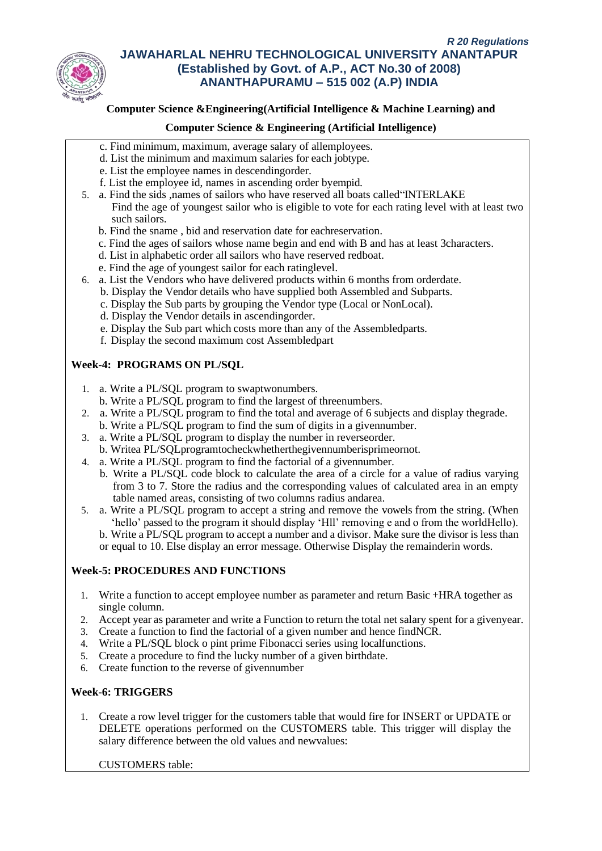

## **Computer Science &Engineering(Artificial Intelligence & Machine Learning) and**

### **Computer Science & Engineering (Artificial Intelligence)**

- c. Find minimum, maximum, average salary of allemployees.
- d. List the minimum and maximum salaries for each jobtype.
- e. List the employee names in descendingorder.
- f. List the employee id, names in ascending order byempid.
- 5. a. Find the sids ,names of sailors who have reserved all boats called"INTERLAKE Find the age of youngest sailor who is eligible to vote for each rating level with at least two such sailors.
	- b. Find the sname , bid and reservation date for eachreservation.
	- c. Find the ages of sailors whose name begin and end with B and has at least 3characters.
	- d. List in alphabetic order all sailors who have reserved redboat.
	- e. Find the age of youngest sailor for each ratinglevel.
- 6. a. List the Vendors who have delivered products within 6 months from orderdate.
	- b. Display the Vendor details who have supplied both Assembled and Subparts.
	- c. Display the Sub parts by grouping the Vendor type (Local or NonLocal).
	- d. Display the Vendor details in ascendingorder.
	- e. Display the Sub part which costs more than any of the Assembledparts.
	- f. Display the second maximum cost Assembledpart

# **Week-4: PROGRAMS ON PL/SQL**

- 1. a. Write a PL/SQL program to swaptwonumbers.
- b. Write a PL/SQL program to find the largest of threenumbers.
- 2. a. Write a PL/SQL program to find the total and average of 6 subjects and display thegrade.
- b. Write a PL/SQL program to find the sum of digits in a givennumber.
- 3. a. Write a PL/SQL program to display the number in reverseorder. b. Writea PL/SQLprogramtocheckwhetherthegivennumberisprimeornot.
- 4. a. Write a PL/SQL program to find the factorial of a givennumber.
	- b. Write a PL/SQL code block to calculate the area of a circle for a value of radius varying from 3 to 7. Store the radius and the corresponding values of calculated area in an empty table named areas, consisting of two columns radius andarea.
- 5. a. Write a PL/SQL program to accept a string and remove the vowels from the string. (When 'hello' passed to the program it should display 'Hll' removing e and o from the worldHello). b. Write a PL/SQL program to accept a number and a divisor. Make sure the divisor is less than or equal to 10. Else display an error message. Otherwise Display the remainderin words.

# **Week-5: PROCEDURES AND FUNCTIONS**

- 1. Write a function to accept employee number as parameter and return Basic +HRA together as single column.
- 2. Accept year as parameter and write a Function to return the total net salary spent for a givenyear.
- 3. Create a function to find the factorial of a given number and hence findNCR.
- 4. Write a PL/SQL block o pint prime Fibonacci series using localfunctions.
- 5. Create a procedure to find the lucky number of a given birthdate.
- 6. Create function to the reverse of givennumber

# **Week-6: TRIGGERS**

1. Create a row level trigger for the customers table that would fire for INSERT or UPDATE or DELETE operations performed on the CUSTOMERS table. This trigger will display the salary difference between the old values and newvalues:

CUSTOMERS table: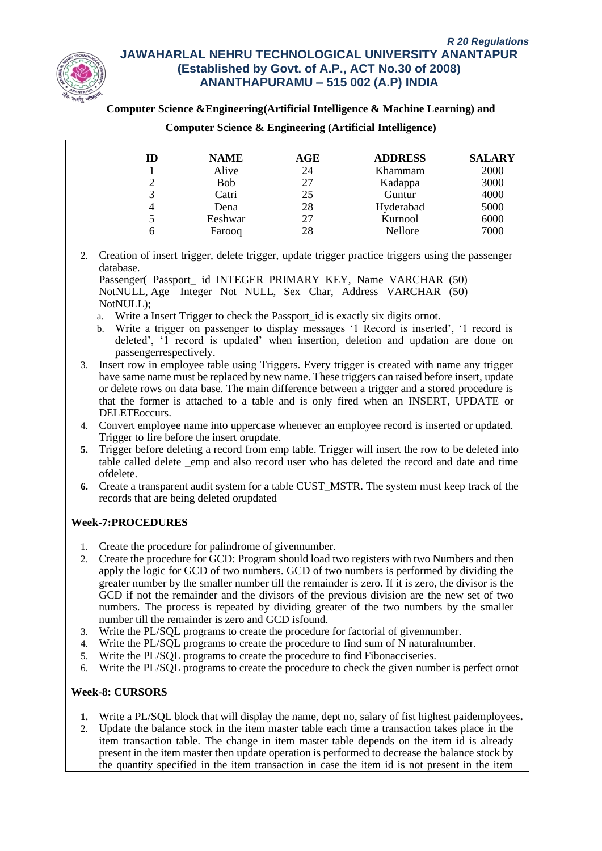

### **Computer Science &Engineering(Artificial Intelligence & Machine Learning) and**

| ID | <b>NAME</b> | AGE | <b>ADDRESS</b> | <b>SALARY</b> |
|----|-------------|-----|----------------|---------------|
|    | Alive       | 24  | Khammam        | 2000          |
|    | <b>Bob</b>  | 27  | Kadappa        | 3000          |
| 3  | Catri       | 25  | Guntur         | 4000          |
| 4  | Dena        | 28  | Hyderabad      | 5000          |
|    | Eeshwar     | 27  | Kurnool        | 6000          |
| 6  | Farooq      | 28  | Nellore        | 7000          |

#### **Computer Science & Engineering (Artificial Intelligence)**

2. Creation of insert trigger, delete trigger, update trigger practice triggers using the passenger database.

Passenger( Passport\_ id INTEGER PRIMARY KEY, Name VARCHAR (50) NotNULL, Age Integer Not NULL, Sex Char, Address VARCHAR (50) NotNULL);

- a. Write a Insert Trigger to check the Passport id is exactly six digits ornot.
- b. Write a trigger on passenger to display messages '1 Record is inserted', '1 record is deleted', '1 record is updated' when insertion, deletion and updation are done on passengerrespectively.
- 3. Insert row in employee table using Triggers. Every trigger is created with name any trigger have same name must be replaced by new name. These triggers can raised before insert, update or delete rows on data base. The main difference between a trigger and a stored procedure is that the former is attached to a table and is only fired when an INSERT, UPDATE or DELETEoccurs.
- 4. Convert employee name into uppercase whenever an employee record is inserted or updated. Trigger to fire before the insert orupdate.
- **5.** Trigger before deleting a record from emp table. Trigger will insert the row to be deleted into table called delete \_emp and also record user who has deleted the record and date and time ofdelete.
- **6.** Create a transparent audit system for a table CUST\_MSTR. The system must keep track of the records that are being deleted orupdated

### **Week-7:PROCEDURES**

- 1. Create the procedure for palindrome of givennumber.
- 2. Create the procedure for GCD: Program should load two registers with two Numbers and then apply the logic for GCD of two numbers. GCD of two numbers is performed by dividing the greater number by the smaller number till the remainder is zero. If it is zero, the divisor is the GCD if not the remainder and the divisors of the previous division are the new set of two numbers. The process is repeated by dividing greater of the two numbers by the smaller number till the remainder is zero and GCD isfound.
- 3. Write the PL/SQL programs to create the procedure for factorial of givennumber.
- 4. Write the PL/SQL programs to create the procedure to find sum of N naturalnumber.
- 5. Write the PL/SQL programs to create the procedure to find Fibonacciseries.
- 6. Write the PL/SQL programs to create the procedure to check the given number is perfect ornot

### **Week-8: CURSORS**

- **1.** Write a PL/SQL block that will display the name, dept no, salary of fist highest paidemployees**.**
- 2. Update the balance stock in the item master table each time a transaction takes place in the item transaction table. The change in item master table depends on the item id is already present in the item master then update operation is performed to decrease the balance stock by the quantity specified in the item transaction in case the item id is not present in the item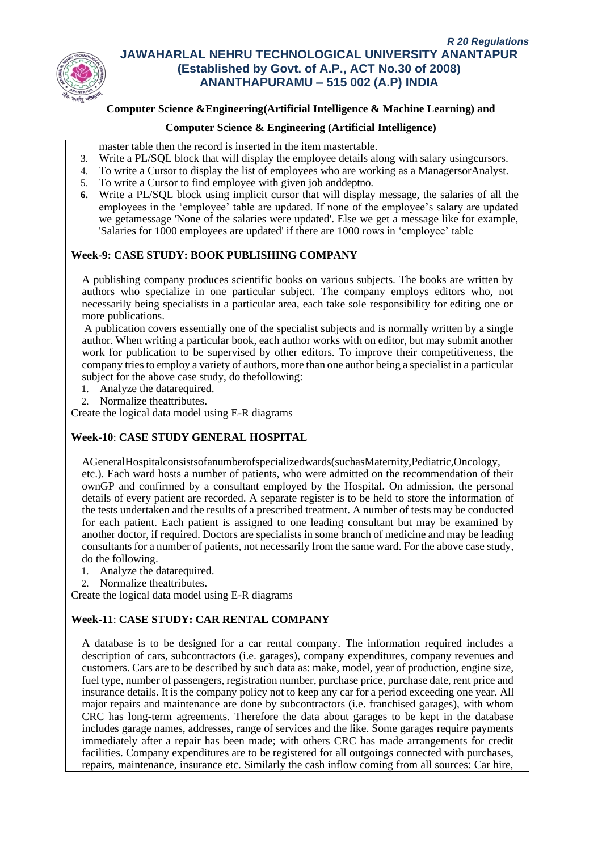

# **Computer Science &Engineering(Artificial Intelligence & Machine Learning) and**

### **Computer Science & Engineering (Artificial Intelligence)**

- master table then the record is inserted in the item mastertable.
- 3. Write a PL/SQL block that will display the employee details along with salary usingcursors.
- 4. To write a Cursor to display the list of employees who are working as a ManagersorAnalyst.
- 5. To write a Cursor to find employee with given job anddeptno.
- **6.** Write a PL/SQL block using implicit cursor that will display message, the salaries of all the employees in the 'employee' table are updated. If none of the employee's salary are updated we getamessage 'None of the salaries were updated'. Else we get a message like for example, 'Salaries for 1000 employees are updated' if there are 1000 rows in 'employee' table

## **Week-9: CASE STUDY: BOOK PUBLISHING COMPANY**

A publishing company produces scientific books on various subjects. The books are written by authors who specialize in one particular subject. The company employs editors who, not necessarily being specialists in a particular area, each take sole responsibility for editing one or more publications.

A publication covers essentially one of the specialist subjects and is normally written by a single author. When writing a particular book, each author works with on editor, but may submit another work for publication to be supervised by other editors. To improve their competitiveness, the company tries to employ a variety of authors, more than one author being a specialist in a particular subject for the above case study, do thefollowing:

- 1. Analyze the datarequired.
- 2. Normalize theattributes.

Create the logical data model using E-R diagrams

# **Week-10**: **CASE STUDY GENERAL HOSPITAL**

AGeneralHospitalconsistsofanumberofspecializedwards(suchasMaternity,Pediatric,Oncology, etc.). Each ward hosts a number of patients, who were admitted on the recommendation of their ownGP and confirmed by a consultant employed by the Hospital. On admission, the personal details of every patient are recorded. A separate register is to be held to store the information of the tests undertaken and the results of a prescribed treatment. A number of tests may be conducted for each patient. Each patient is assigned to one leading consultant but may be examined by another doctor, if required. Doctors are specialists in some branch of medicine and may be leading consultants for a number of patients, not necessarily from the same ward. For the above case study, do the following.

- 1. Analyze the datarequired.
- 2. Normalize theattributes.

Create the logical data model using E-R diagrams

# **Week-11**: **CASE STUDY: CAR RENTAL COMPANY**

A database is to be designed for a car rental company. The information required includes a description of cars, subcontractors (i.e. garages), company expenditures, company revenues and customers. Cars are to be described by such data as: make, model, year of production, engine size, fuel type, number of passengers, registration number, purchase price, purchase date, rent price and insurance details. It is the company policy not to keep any car for a period exceeding one year. All major repairs and maintenance are done by subcontractors (i.e. franchised garages), with whom CRC has long-term agreements. Therefore the data about garages to be kept in the database includes garage names, addresses, range of services and the like. Some garages require payments immediately after a repair has been made; with others CRC has made arrangements for credit facilities. Company expenditures are to be registered for all outgoings connected with purchases, repairs, maintenance, insurance etc. Similarly the cash inflow coming from all sources: Car hire,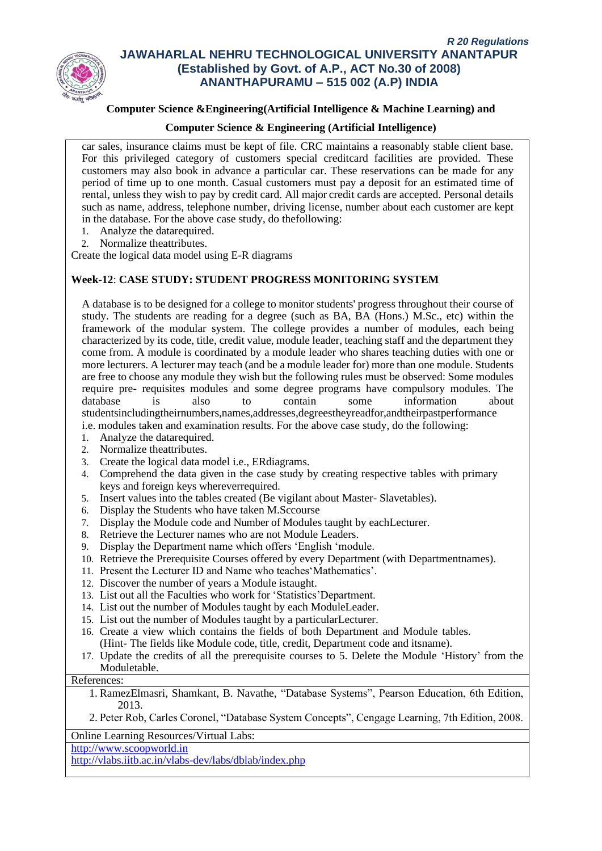

## **Computer Science &Engineering(Artificial Intelligence & Machine Learning) and**

### **Computer Science & Engineering (Artificial Intelligence)**

car sales, insurance claims must be kept of file. CRC maintains a reasonably stable client base. For this privileged category of customers special creditcard facilities are provided. These customers may also book in advance a particular car. These reservations can be made for any period of time up to one month. Casual customers must pay a deposit for an estimated time of rental, unless they wish to pay by credit card. All major credit cards are accepted. Personal details such as name, address, telephone number, driving license, number about each customer are kept in the database. For the above case study, do thefollowing:

- 1. Analyze the datarequired.
- 2. Normalize theattributes.

Create the logical data model using E-R diagrams

## **Week-12**: **CASE STUDY: STUDENT PROGRESS MONITORING SYSTEM**

A database is to be designed for a college to monitor students' progress throughout their course of study. The students are reading for a degree (such as BA, BA (Hons.) M.Sc., etc) within the framework of the modular system. The college provides a number of modules, each being characterized by its code, title, credit value, module leader, teaching staff and the department they come from. A module is coordinated by a module leader who shares teaching duties with one or more lecturers. A lecturer may teach (and be a module leader for) more than one module. Students are free to choose any module they wish but the following rules must be observed: Some modules require pre- requisites modules and some degree programs have compulsory modules. The database is also to contain some information about studentsincludingtheirnumbers,names,addresses,degreestheyreadfor,andtheirpastperformance

- i.e. modules taken and examination results. For the above case study, do the following:
- 1. Analyze the datarequired.
- 2. Normalize theattributes.
- 3. Create the logical data model i.e., ERdiagrams.
- 4. Comprehend the data given in the case study by creating respective tables with primary keys and foreign keys whereverrequired.
- 5. Insert values into the tables created (Be vigilant about Master- Slavetables).
- 6. Display the Students who have taken M.Sccourse
- 7. Display the Module code and Number of Modules taught by eachLecturer.
- 8. Retrieve the Lecturer names who are not Module Leaders.
- 9. Display the Department name which offers 'English 'module.
- 10. Retrieve the Prerequisite Courses offered by every Department (with Departmentnames).
- 11. Present the Lecturer ID and Name who teaches'Mathematics'.
- 12. Discover the number of years a Module istaught.
- 13. List out all the Faculties who work for 'Statistics'Department.
- 14. List out the number of Modules taught by each ModuleLeader.
- 15. List out the number of Modules taught by a particularLecturer.
- 16. Create a view which contains the fields of both Department and Module tables. (Hint- The fields like Module code, title, credit, Department code and itsname).
- 17. Update the credits of all the prerequisite courses to 5. Delete the Module 'History' from the Moduletable.

References:

- 1. RamezElmasri, Shamkant, B. Navathe, "Database Systems", Pearson Education, 6th Edition, 2013.
- 2. Peter Rob, Carles Coronel, "Database System Concepts", Cengage Learning, 7th Edition, 2008.

Online Learning Resources/Virtual Labs:

[http://www.scoopworld.in](http://www.scoopworld.in/)

<http://vlabs.iitb.ac.in/vlabs-dev/labs/dblab/index.php>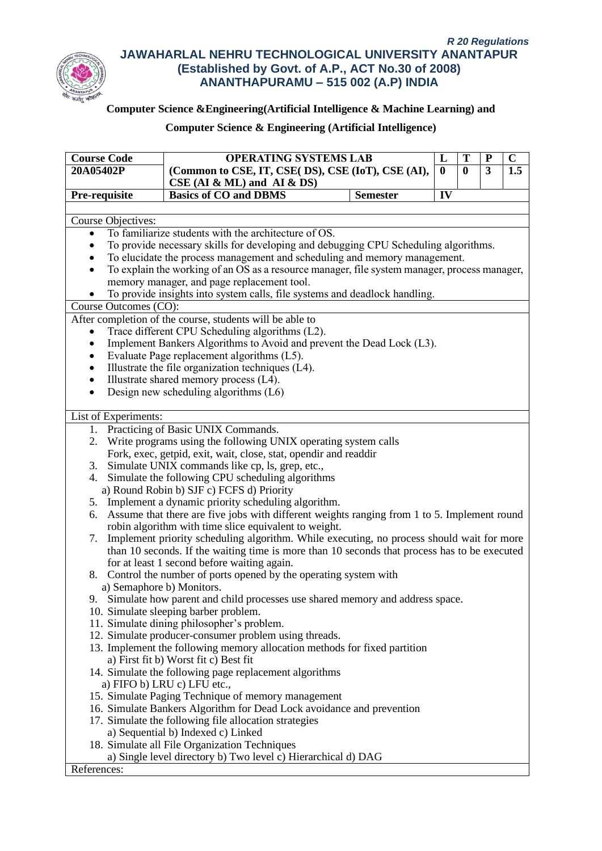

# **Computer Science &Engineering(Artificial Intelligence & Machine Learning) and**

| <b>Course Code</b>                                                                                                                                      | <b>OPERATING SYSTEMS LAB</b>                                                                 |                 | L            | T        | ${\bf P}$      | $\mathbf C$      |  |
|---------------------------------------------------------------------------------------------------------------------------------------------------------|----------------------------------------------------------------------------------------------|-----------------|--------------|----------|----------------|------------------|--|
| 20A05402P                                                                                                                                               | (Common to CSE, IT, CSE( DS), CSE (IoT), CSE (AI),                                           |                 | $\mathbf{0}$ | $\bf{0}$ | $\overline{3}$ | $\overline{1.5}$ |  |
|                                                                                                                                                         | $CSE$ (AI & ML) and AI & DS)                                                                 |                 |              |          |                |                  |  |
| Pre-requisite                                                                                                                                           | <b>Basics of CO and DBMS</b>                                                                 | <b>Semester</b> | IV           |          |                |                  |  |
|                                                                                                                                                         |                                                                                              |                 |              |          |                |                  |  |
| <b>Course Objectives:</b>                                                                                                                               |                                                                                              |                 |              |          |                |                  |  |
| $\bullet$                                                                                                                                               | To familiarize students with the architecture of OS.                                         |                 |              |          |                |                  |  |
|                                                                                                                                                         | To provide necessary skills for developing and debugging CPU Scheduling algorithms.          |                 |              |          |                |                  |  |
|                                                                                                                                                         | To elucidate the process management and scheduling and memory management.                    |                 |              |          |                |                  |  |
| $\bullet$                                                                                                                                               | To explain the working of an OS as a resource manager, file system manager, process manager, |                 |              |          |                |                  |  |
|                                                                                                                                                         | memory manager, and page replacement tool.                                                   |                 |              |          |                |                  |  |
|                                                                                                                                                         | To provide insights into system calls, file systems and deadlock handling.                   |                 |              |          |                |                  |  |
| Course Outcomes (CO):                                                                                                                                   |                                                                                              |                 |              |          |                |                  |  |
|                                                                                                                                                         | After completion of the course, students will be able to                                     |                 |              |          |                |                  |  |
| $\bullet$                                                                                                                                               | Trace different CPU Scheduling algorithms (L2).                                              |                 |              |          |                |                  |  |
| $\bullet$                                                                                                                                               | Implement Bankers Algorithms to Avoid and prevent the Dead Lock (L3).                        |                 |              |          |                |                  |  |
| ٠                                                                                                                                                       | Evaluate Page replacement algorithms (L5).                                                   |                 |              |          |                |                  |  |
| ٠                                                                                                                                                       | Illustrate the file organization techniques (L4).                                            |                 |              |          |                |                  |  |
| $\bullet$                                                                                                                                               | Illustrate shared memory process (L4).                                                       |                 |              |          |                |                  |  |
| $\bullet$                                                                                                                                               | Design new scheduling algorithms (L6)                                                        |                 |              |          |                |                  |  |
| List of Experiments:                                                                                                                                    |                                                                                              |                 |              |          |                |                  |  |
|                                                                                                                                                         | 1. Practicing of Basic UNIX Commands.                                                        |                 |              |          |                |                  |  |
|                                                                                                                                                         | 2. Write programs using the following UNIX operating system calls                            |                 |              |          |                |                  |  |
|                                                                                                                                                         |                                                                                              |                 |              |          |                |                  |  |
| Fork, exec, getpid, exit, wait, close, stat, opendir and readdir                                                                                        |                                                                                              |                 |              |          |                |                  |  |
| Simulate UNIX commands like cp, ls, grep, etc.,<br>3.<br>4. Simulate the following CPU scheduling algorithms                                            |                                                                                              |                 |              |          |                |                  |  |
| a) Round Robin b) SJF c) FCFS d) Priority                                                                                                               |                                                                                              |                 |              |          |                |                  |  |
|                                                                                                                                                         |                                                                                              |                 |              |          |                |                  |  |
| 5. Implement a dynamic priority scheduling algorithm.<br>6. Assume that there are five jobs with different weights ranging from 1 to 5. Implement round |                                                                                              |                 |              |          |                |                  |  |
|                                                                                                                                                         | robin algorithm with time slice equivalent to weight.                                        |                 |              |          |                |                  |  |
| Implement priority scheduling algorithm. While executing, no process should wait for more<br>7.                                                         |                                                                                              |                 |              |          |                |                  |  |
| than 10 seconds. If the waiting time is more than 10 seconds that process has to be executed                                                            |                                                                                              |                 |              |          |                |                  |  |
| for at least 1 second before waiting again.                                                                                                             |                                                                                              |                 |              |          |                |                  |  |
| 8. Control the number of ports opened by the operating system with                                                                                      |                                                                                              |                 |              |          |                |                  |  |
|                                                                                                                                                         | a) Semaphore b) Monitors.                                                                    |                 |              |          |                |                  |  |
|                                                                                                                                                         | 9. Simulate how parent and child processes use shared memory and address space.              |                 |              |          |                |                  |  |
|                                                                                                                                                         | 10. Simulate sleeping barber problem.                                                        |                 |              |          |                |                  |  |
|                                                                                                                                                         | 11. Simulate dining philosopher's problem.                                                   |                 |              |          |                |                  |  |
|                                                                                                                                                         | 12. Simulate producer-consumer problem using threads.                                        |                 |              |          |                |                  |  |
|                                                                                                                                                         | 13. Implement the following memory allocation methods for fixed partition                    |                 |              |          |                |                  |  |
|                                                                                                                                                         | a) First fit b) Worst fit c) Best fit                                                        |                 |              |          |                |                  |  |
|                                                                                                                                                         | 14. Simulate the following page replacement algorithms                                       |                 |              |          |                |                  |  |
|                                                                                                                                                         | a) FIFO b) LRU c) LFU etc.,                                                                  |                 |              |          |                |                  |  |
|                                                                                                                                                         | 15. Simulate Paging Technique of memory management                                           |                 |              |          |                |                  |  |
|                                                                                                                                                         | 16. Simulate Bankers Algorithm for Dead Lock avoidance and prevention                        |                 |              |          |                |                  |  |
|                                                                                                                                                         | 17. Simulate the following file allocation strategies                                        |                 |              |          |                |                  |  |
|                                                                                                                                                         | a) Sequential b) Indexed c) Linked                                                           |                 |              |          |                |                  |  |
|                                                                                                                                                         | 18. Simulate all File Organization Techniques                                                |                 |              |          |                |                  |  |
|                                                                                                                                                         | a) Single level directory b) Two level c) Hierarchical d) DAG                                |                 |              |          |                |                  |  |
| References:                                                                                                                                             |                                                                                              |                 |              |          |                |                  |  |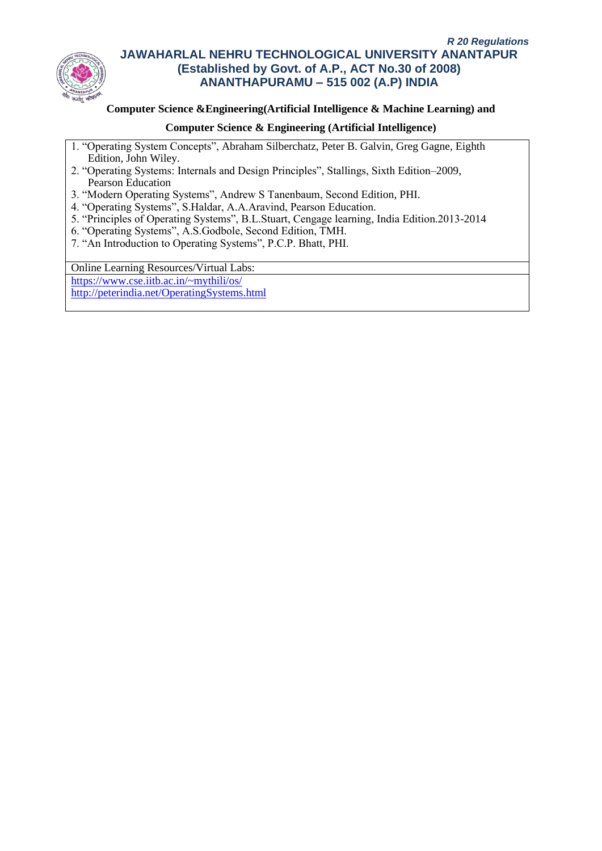

### **Computer Science &Engineering(Artificial Intelligence & Machine Learning) and**

### **Computer Science & Engineering (Artificial Intelligence)**

- 1. "Operating System Concepts", Abraham Silberchatz, Peter B. Galvin, Greg Gagne, Eighth Edition, John Wiley.
- 2. "Operating Systems: Internals and Design Principles", Stallings, Sixth Edition–2009, Pearson Education
- 3. "Modern Operating Systems", Andrew S Tanenbaum, Second Edition, PHI.
- 4. "Operating Systems", S.Haldar, A.A.Aravind, Pearson Education.
- 5. "Principles of Operating Systems", B.L.Stuart, Cengage learning, India Edition.2013-2014
- 6. "Operating Systems", A.S.Godbole, Second Edition, TMH.
- 7. "An Introduction to Operating Systems", P.C.P. Bhatt, PHI.

Online Learning Resources/Virtual Labs:

<https://www.cse.iitb.ac.in/~mythili/os/> <http://peterindia.net/OperatingSystems.html>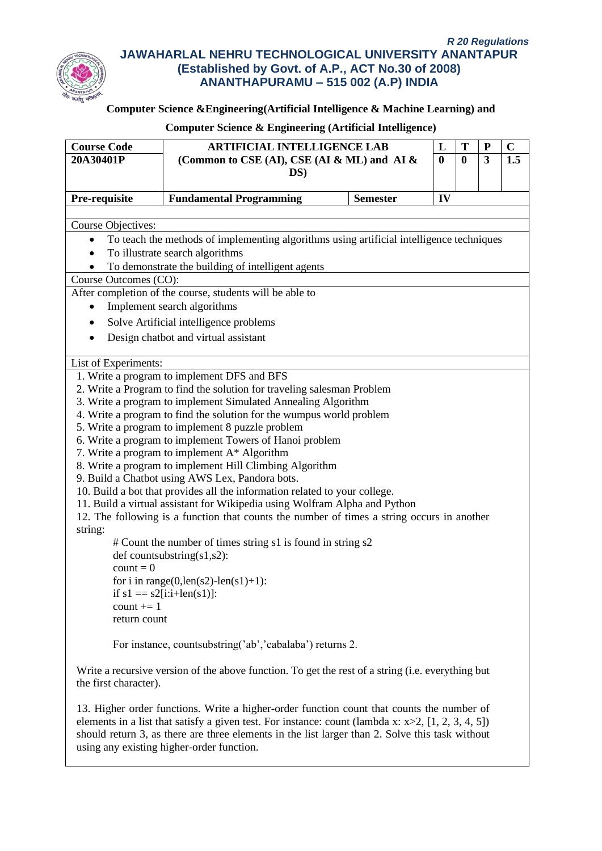

# **Computer Science &Engineering(Artificial Intelligence & Machine Learning) and**

| <b>Course Code</b>    |                                                                                                       |                 | L        | T        | ${\bf P}$ | $\mathbf C$ |
|-----------------------|-------------------------------------------------------------------------------------------------------|-----------------|----------|----------|-----------|-------------|
| 20A30401P             | <b>ARTIFICIAL INTELLIGENCE LAB</b><br>(Common to CSE (AI), CSE (AI $\&$ ML) and AI $\&$<br>DS)        |                 | $\bf{0}$ | $\bf{0}$ | 3         | 1.5         |
|                       |                                                                                                       |                 |          |          |           |             |
|                       |                                                                                                       |                 |          |          |           |             |
| Pre-requisite         | <b>Fundamental Programming</b>                                                                        | <b>Semester</b> | IV       |          |           |             |
|                       |                                                                                                       |                 |          |          |           |             |
| Course Objectives:    |                                                                                                       |                 |          |          |           |             |
|                       | To teach the methods of implementing algorithms using artificial intelligence techniques              |                 |          |          |           |             |
|                       | To illustrate search algorithms                                                                       |                 |          |          |           |             |
|                       | To demonstrate the building of intelligent agents                                                     |                 |          |          |           |             |
| Course Outcomes (CO): |                                                                                                       |                 |          |          |           |             |
|                       | After completion of the course, students will be able to                                              |                 |          |          |           |             |
| $\bullet$             | Implement search algorithms                                                                           |                 |          |          |           |             |
|                       | Solve Artificial intelligence problems                                                                |                 |          |          |           |             |
|                       | Design chatbot and virtual assistant                                                                  |                 |          |          |           |             |
|                       |                                                                                                       |                 |          |          |           |             |
| List of Experiments:  |                                                                                                       |                 |          |          |           |             |
|                       | 1. Write a program to implement DFS and BFS                                                           |                 |          |          |           |             |
|                       | 2. Write a Program to find the solution for traveling salesman Problem                                |                 |          |          |           |             |
|                       | 3. Write a program to implement Simulated Annealing Algorithm                                         |                 |          |          |           |             |
|                       | 4. Write a program to find the solution for the wumpus world problem                                  |                 |          |          |           |             |
|                       | 5. Write a program to implement 8 puzzle problem                                                      |                 |          |          |           |             |
|                       | 6. Write a program to implement Towers of Hanoi problem                                               |                 |          |          |           |             |
|                       | 7. Write a program to implement A* Algorithm                                                          |                 |          |          |           |             |
|                       | 8. Write a program to implement Hill Climbing Algorithm                                               |                 |          |          |           |             |
|                       | 9. Build a Chatbot using AWS Lex, Pandora bots.                                                       |                 |          |          |           |             |
|                       | 10. Build a bot that provides all the information related to your college.                            |                 |          |          |           |             |
|                       | 11. Build a virtual assistant for Wikipedia using Wolfram Alpha and Python                            |                 |          |          |           |             |
| string:               | 12. The following is a function that counts the number of times a string occurs in another            |                 |          |          |           |             |
|                       | # Count the number of times string s1 is found in string s2                                           |                 |          |          |           |             |
|                       | def countsubstring $(s1,s2)$ :                                                                        |                 |          |          |           |             |
| $count = 0$           |                                                                                                       |                 |          |          |           |             |
|                       | for i in range(0,len(s2)-len(s1)+1):                                                                  |                 |          |          |           |             |
|                       | if $s1 = s2[i:i+len(s1)]$ :                                                                           |                 |          |          |           |             |
| count $+= 1$          |                                                                                                       |                 |          |          |           |             |
| return count          |                                                                                                       |                 |          |          |           |             |
|                       |                                                                                                       |                 |          |          |           |             |
|                       | For instance, countsubstring('ab','cabalaba') returns 2.                                              |                 |          |          |           |             |
|                       |                                                                                                       |                 |          |          |           |             |
| the first character). | Write a recursive version of the above function. To get the rest of a string (i.e. everything but     |                 |          |          |           |             |
|                       |                                                                                                       |                 |          |          |           |             |
|                       | 13. Higher order functions. Write a higher-order function count that counts the number of             |                 |          |          |           |             |
|                       | elements in a list that satisfy a given test. For instance: count (lambda x: $x>2$ , [1, 2, 3, 4, 5]) |                 |          |          |           |             |
|                       | should return 3, as there are three elements in the list larger than 2. Solve this task without       |                 |          |          |           |             |
|                       | using any existing higher-order function.                                                             |                 |          |          |           |             |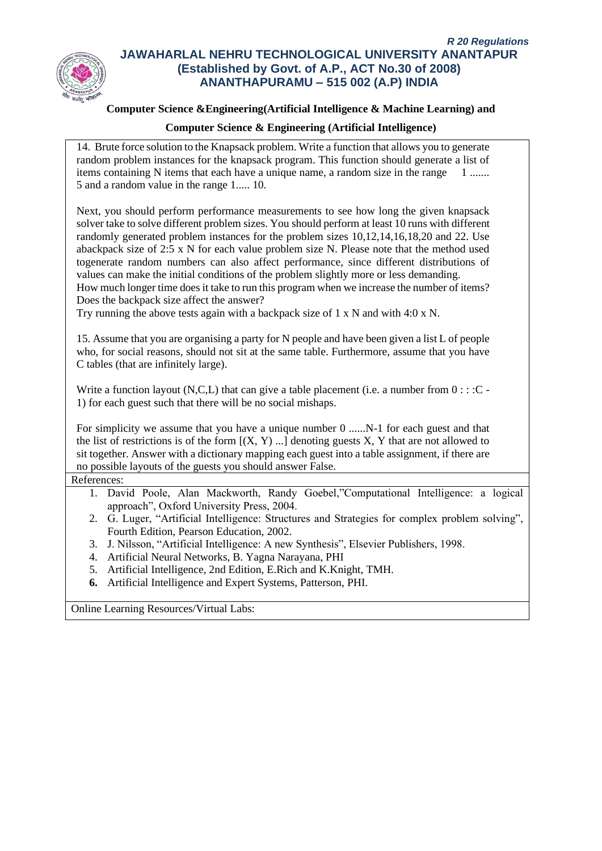

### **Computer Science &Engineering(Artificial Intelligence & Machine Learning) and**

### **Computer Science & Engineering (Artificial Intelligence)**

14. Brute force solution to the Knapsack problem. Write a function that allows you to generate random problem instances for the knapsack program. This function should generate a list of items containing N items that each have a unique name, a random size in the range  $1 \dots$ 5 and a random value in the range 1..... 10.

Next, you should perform performance measurements to see how long the given knapsack solver take to solve different problem sizes. You should perform at least 10 runs with different randomly generated problem instances for the problem sizes 10,12,14,16,18,20 and 22. Use abackpack size of 2:5 x N for each value problem size N. Please note that the method used togenerate random numbers can also affect performance, since different distributions of values can make the initial conditions of the problem slightly more or less demanding.

How much longer time does it take to run this program when we increase the number of items? Does the backpack size affect the answer?

Try running the above tests again with a backpack size of 1 x N and with 4:0 x N.

15. Assume that you are organising a party for N people and have been given a list L of people who, for social reasons, should not sit at the same table. Furthermore, assume that you have C tables (that are infinitely large).

Write a function layout  $(N, C, L)$  that can give a table placement (i.e. a number from  $0 : : :C$ 1) for each guest such that there will be no social mishaps.

For simplicity we assume that you have a unique number 0 ......N-1 for each guest and that the list of restrictions is of the form  $[(X, Y)$  ...] denoting guests X, Y that are not allowed to sit together. Answer with a dictionary mapping each guest into a table assignment, if there are no possible layouts of the guests you should answer False.

References:

- 1. David Poole, Alan Mackworth, Randy Goebel,"Computational Intelligence: a logical approach", Oxford University Press, 2004.
- 2. G. Luger, "Artificial Intelligence: Structures and Strategies for complex problem solving", Fourth Edition, Pearson Education, 2002.
- 3. J. Nilsson, "Artificial Intelligence: A new Synthesis", Elsevier Publishers, 1998.
- 4. Artificial Neural Networks, B. Yagna Narayana, PHI
- 5. Artificial Intelligence, 2nd Edition, E.Rich and K.Knight, TMH.
- **6.** Artificial Intelligence and Expert Systems, Patterson, PHI.

Online Learning Resources/Virtual Labs: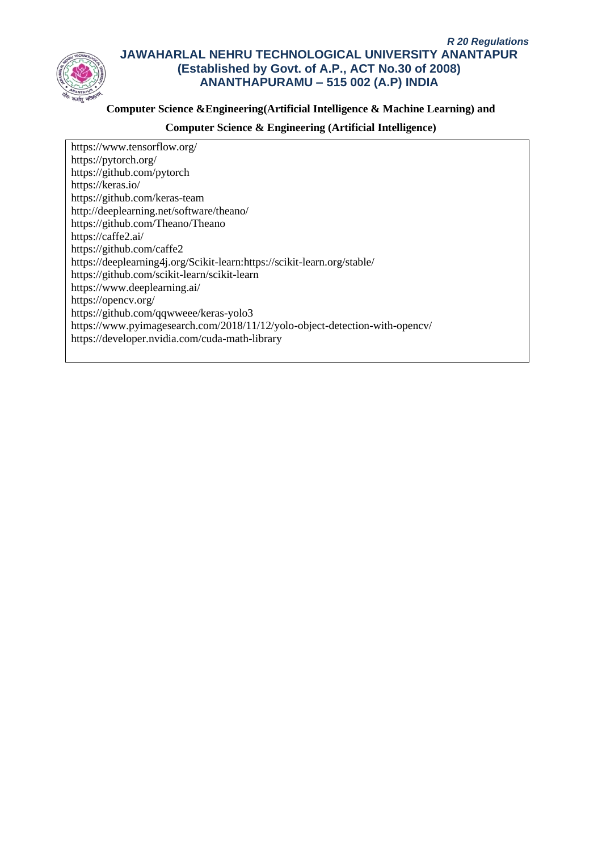

### **Computer Science &Engineering(Artificial Intelligence & Machine Learning) and**

### **Computer Science & Engineering (Artificial Intelligence)**

https://www.tensorflow.org/ https://pytorch.org/ https://github.com/pytorch https://keras.io/ https://github.com/keras-team http://deeplearning.net/software/theano/ https://github.com/Theano/Theano https://caffe2.ai/ https://github.com/caffe2 https://deeplearning4j.org/Scikit-learn:https://scikit-learn.org/stable/ https://github.com/scikit-learn/scikit-learn https://www.deeplearning.ai/ https://opencv.org/ https://github.com/qqwweee/keras-yolo3 https://www.pyimagesearch.com/2018/11/12/yolo-object-detection-with-opencv/ https://developer.nvidia.com/cuda-math-library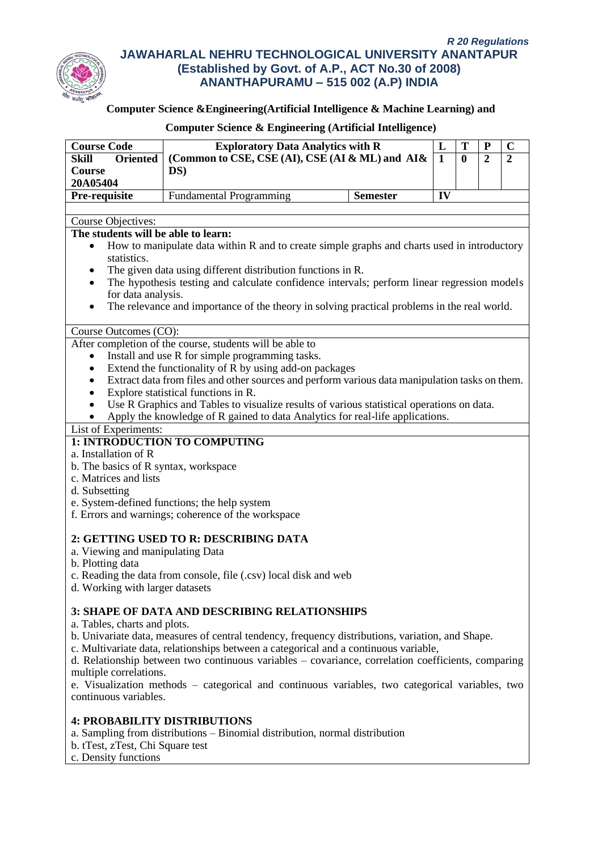

# **Computer Science &Engineering(Artificial Intelligence & Machine Learning) and**

| <b>Course Code</b>                                                                                       | <b>Exploratory Data Analytics with R</b>                                                           |                 | L            | T        | ${\bf P}$        | $\mathbf C$      |  |
|----------------------------------------------------------------------------------------------------------|----------------------------------------------------------------------------------------------------|-----------------|--------------|----------|------------------|------------------|--|
| Skill<br><b>Oriented</b>                                                                                 | (Common to CSE, CSE (AI), CSE (AI & ML) and AI&                                                    |                 |              | $\bf{0}$ | $\boldsymbol{2}$ | $\boldsymbol{2}$ |  |
| Course                                                                                                   | DS)                                                                                                |                 | $\mathbf{1}$ |          |                  |                  |  |
| 20A05404                                                                                                 |                                                                                                    |                 |              |          |                  |                  |  |
|                                                                                                          |                                                                                                    |                 | IV           |          |                  |                  |  |
| Pre-requisite                                                                                            | <b>Fundamental Programming</b>                                                                     | <b>Semester</b> |              |          |                  |                  |  |
|                                                                                                          |                                                                                                    |                 |              |          |                  |                  |  |
| Course Objectives:<br>The students will be able to learn:                                                |                                                                                                    |                 |              |          |                  |                  |  |
|                                                                                                          |                                                                                                    |                 |              |          |                  |                  |  |
| How to manipulate data within R and to create simple graphs and charts used in introductory<br>$\bullet$ |                                                                                                    |                 |              |          |                  |                  |  |
| statistics.                                                                                              |                                                                                                    |                 |              |          |                  |                  |  |
| ٠                                                                                                        | The given data using different distribution functions in R.                                        |                 |              |          |                  |                  |  |
| $\bullet$                                                                                                | The hypothesis testing and calculate confidence intervals; perform linear regression models        |                 |              |          |                  |                  |  |
| for data analysis.                                                                                       |                                                                                                    |                 |              |          |                  |                  |  |
| ٠                                                                                                        | The relevance and importance of the theory in solving practical problems in the real world.        |                 |              |          |                  |                  |  |
|                                                                                                          |                                                                                                    |                 |              |          |                  |                  |  |
| Course Outcomes (CO):                                                                                    |                                                                                                    |                 |              |          |                  |                  |  |
|                                                                                                          | After completion of the course, students will be able to                                           |                 |              |          |                  |                  |  |
| $\bullet$                                                                                                | Install and use R for simple programming tasks.                                                    |                 |              |          |                  |                  |  |
| ٠                                                                                                        | Extend the functionality of R by using add-on packages                                             |                 |              |          |                  |                  |  |
| Extract data from files and other sources and perform various data manipulation tasks on them.<br>٠      |                                                                                                    |                 |              |          |                  |                  |  |
| ٠                                                                                                        | Explore statistical functions in R.                                                                |                 |              |          |                  |                  |  |
| $\bullet$                                                                                                | Use R Graphics and Tables to visualize results of various statistical operations on data.          |                 |              |          |                  |                  |  |
|                                                                                                          | Apply the knowledge of R gained to data Analytics for real-life applications.                      |                 |              |          |                  |                  |  |
| List of Experiments:                                                                                     |                                                                                                    |                 |              |          |                  |                  |  |
|                                                                                                          | 1: INTRODUCTION TO COMPUTING                                                                       |                 |              |          |                  |                  |  |
| a. Installation of R                                                                                     |                                                                                                    |                 |              |          |                  |                  |  |
| b. The basics of R syntax, workspace                                                                     |                                                                                                    |                 |              |          |                  |                  |  |
| c. Matrices and lists                                                                                    |                                                                                                    |                 |              |          |                  |                  |  |
| d. Subsetting                                                                                            |                                                                                                    |                 |              |          |                  |                  |  |
| e. System-defined functions; the help system                                                             |                                                                                                    |                 |              |          |                  |                  |  |
| f. Errors and warnings; coherence of the workspace                                                       |                                                                                                    |                 |              |          |                  |                  |  |
|                                                                                                          |                                                                                                    |                 |              |          |                  |                  |  |
| 2: GETTING USED TO R: DESCRIBING DATA                                                                    |                                                                                                    |                 |              |          |                  |                  |  |
| a. Viewing and manipulating Data                                                                         |                                                                                                    |                 |              |          |                  |                  |  |
| b. Plotting data                                                                                         |                                                                                                    |                 |              |          |                  |                  |  |
| c. Reading the data from console, file (.csv) local disk and web                                         |                                                                                                    |                 |              |          |                  |                  |  |
| d. Working with larger datasets                                                                          |                                                                                                    |                 |              |          |                  |                  |  |
|                                                                                                          |                                                                                                    |                 |              |          |                  |                  |  |
|                                                                                                          | <b>3: SHAPE OF DATA AND DESCRIBING RELATIONSHIPS</b>                                               |                 |              |          |                  |                  |  |
| a. Tables, charts and plots.                                                                             |                                                                                                    |                 |              |          |                  |                  |  |
|                                                                                                          | b. Univariate data, measures of central tendency, frequency distributions, variation, and Shape.   |                 |              |          |                  |                  |  |
|                                                                                                          | c. Multivariate data, relationships between a categorical and a continuous variable,               |                 |              |          |                  |                  |  |
|                                                                                                          | d. Relationship between two continuous variables - covariance, correlation coefficients, comparing |                 |              |          |                  |                  |  |
| multiple correlations.                                                                                   |                                                                                                    |                 |              |          |                  |                  |  |
|                                                                                                          | e. Visualization methods - categorical and continuous variables, two categorical variables, two    |                 |              |          |                  |                  |  |
| continuous variables.                                                                                    |                                                                                                    |                 |              |          |                  |                  |  |
|                                                                                                          |                                                                                                    |                 |              |          |                  |                  |  |
| <b>4: PROBABILITY DISTRIBUTIONS</b>                                                                      |                                                                                                    |                 |              |          |                  |                  |  |

- a. Sampling from distributions Binomial distribution, normal distribution
- b. tTest, zTest, Chi Square test
- c. Density functions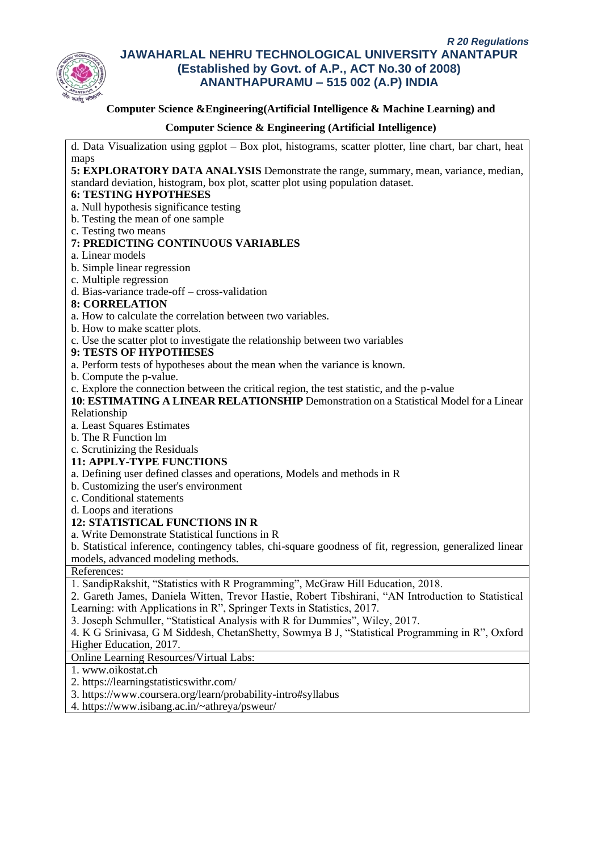

### **Computer Science &Engineering(Artificial Intelligence & Machine Learning) and**

### **Computer Science & Engineering (Artificial Intelligence)**

d. Data Visualization using ggplot – Box plot, histograms, scatter plotter, line chart, bar chart, heat maps

**5: EXPLORATORY DATA ANALYSIS** Demonstrate the range, summary, mean, variance, median, standard deviation, histogram, box plot, scatter plot using population dataset.

### **6: TESTING HYPOTHESES**

- a. Null hypothesis significance testing
- b. Testing the mean of one sample
- c. Testing two means

### **7: PREDICTING CONTINUOUS VARIABLES**

- a. Linear models
- b. Simple linear regression
- c. Multiple regression
- d. Bias-variance trade-off cross-validation

### **8: CORRELATION**

- a. How to calculate the correlation between two variables.
- b. How to make scatter plots.
- c. Use the scatter plot to investigate the relationship between two variables
- **9: TESTS OF HYPOTHESES**
- a. Perform tests of hypotheses about the mean when the variance is known.
- b. Compute the p-value.
- c. Explore the connection between the critical region, the test statistic, and the p-value

**10**: **ESTIMATING A LINEAR RELATIONSHIP** Demonstration on a Statistical Model for a Linear Relationship

- a. Least Squares Estimates
- b. The R Function lm
- c. Scrutinizing the Residuals

### **11: APPLY-TYPE FUNCTIONS**

a. Defining user defined classes and operations, Models and methods in R

- b. Customizing the user's environment
- c. Conditional statements
- d. Loops and iterations

### **12: STATISTICAL FUNCTIONS IN R**

a. Write Demonstrate Statistical functions in R

b. Statistical inference, contingency tables, chi-square goodness of fit, regression, generalized linear models, advanced modeling methods.

References:

1. SandipRakshit, "Statistics with R Programming", McGraw Hill Education, 2018.

2. Gareth James, Daniela Witten, Trevor Hastie, Robert Tibshirani, "AN Introduction to Statistical Learning: with Applications in R", Springer Texts in Statistics, 2017.

3. Joseph Schmuller, "Statistical Analysis with R for Dummies", Wiley, 2017.

4. K G Srinivasa, G M Siddesh, ChetanShetty, Sowmya B J, "Statistical Programming in R", Oxford Higher Education, 2017.

Online Learning Resources/Virtual Labs:

1. www.oikostat.ch

2. https://learningstatisticswithr.com/

- 3. https://www.coursera.org/learn/probability-intro#syllabus
- 4. https://www.isibang.ac.in/~athreya/psweur/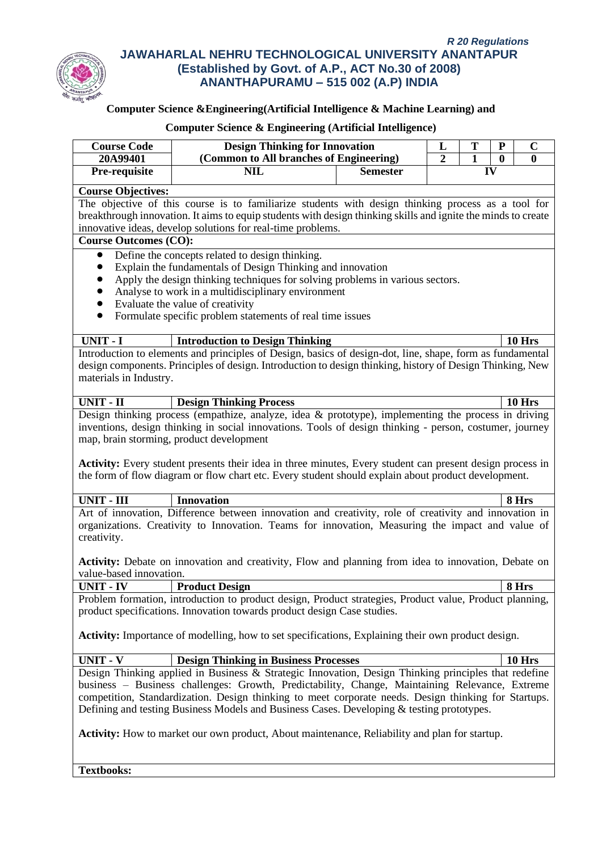

# **Computer Science &Engineering(Artificial Intelligence & Machine Learning) and**

## **Computer Science & Engineering (Artificial Intelligence)**

| <b>Course Code</b>                                                                                        | <b>Design Thinking for Innovation</b>                                                                                                       |                                         | L  | T                                                  | ${\bf P}$ | $\mathbf C$   |  |
|-----------------------------------------------------------------------------------------------------------|---------------------------------------------------------------------------------------------------------------------------------------------|-----------------------------------------|----|----------------------------------------------------|-----------|---------------|--|
| 20A99401                                                                                                  |                                                                                                                                             | (Common to All branches of Engineering) |    | $\overline{2}$<br>$\mathbf{1}$<br>$\boldsymbol{0}$ |           | $\mathbf{0}$  |  |
| Pre-requisite                                                                                             | <b>NIL</b>                                                                                                                                  | <b>Semester</b>                         | IV |                                                    |           |               |  |
| <b>Course Objectives:</b>                                                                                 |                                                                                                                                             |                                         |    |                                                    |           |               |  |
| The objective of this course is to familiarize students with design thinking process as a tool for        |                                                                                                                                             |                                         |    |                                                    |           |               |  |
|                                                                                                           | breakthrough innovation. It aims to equip students with design thinking skills and ignite the minds to create                               |                                         |    |                                                    |           |               |  |
|                                                                                                           | innovative ideas, develop solutions for real-time problems.                                                                                 |                                         |    |                                                    |           |               |  |
| <b>Course Outcomes (CO):</b>                                                                              |                                                                                                                                             |                                         |    |                                                    |           |               |  |
|                                                                                                           | Define the concepts related to design thinking.                                                                                             |                                         |    |                                                    |           |               |  |
|                                                                                                           | Explain the fundamentals of Design Thinking and innovation<br>Apply the design thinking techniques for solving problems in various sectors. |                                         |    |                                                    |           |               |  |
|                                                                                                           | Analyse to work in a multidisciplinary environment                                                                                          |                                         |    |                                                    |           |               |  |
|                                                                                                           | Evaluate the value of creativity                                                                                                            |                                         |    |                                                    |           |               |  |
| $\bullet$                                                                                                 | Formulate specific problem statements of real time issues                                                                                   |                                         |    |                                                    |           |               |  |
|                                                                                                           |                                                                                                                                             |                                         |    |                                                    |           |               |  |
| UNIT - I                                                                                                  | <b>Introduction to Design Thinking</b>                                                                                                      |                                         |    |                                                    |           | 10 Hrs        |  |
|                                                                                                           | Introduction to elements and principles of Design, basics of design-dot, line, shape, form as fundamental                                   |                                         |    |                                                    |           |               |  |
|                                                                                                           | design components. Principles of design. Introduction to design thinking, history of Design Thinking, New                                   |                                         |    |                                                    |           |               |  |
| materials in Industry.                                                                                    |                                                                                                                                             |                                         |    |                                                    |           |               |  |
| <b>UNIT - II</b>                                                                                          | <b>Design Thinking Process</b>                                                                                                              |                                         |    |                                                    |           | 10 Hrs        |  |
|                                                                                                           | Design thinking process (empathize, analyze, idea & prototype), implementing the process in driving                                         |                                         |    |                                                    |           |               |  |
|                                                                                                           | inventions, design thinking in social innovations. Tools of design thinking - person, costumer, journey                                     |                                         |    |                                                    |           |               |  |
|                                                                                                           | map, brain storming, product development                                                                                                    |                                         |    |                                                    |           |               |  |
|                                                                                                           |                                                                                                                                             |                                         |    |                                                    |           |               |  |
|                                                                                                           | <b>Activity:</b> Every student presents their idea in three minutes, Every student can present design process in                            |                                         |    |                                                    |           |               |  |
|                                                                                                           | the form of flow diagram or flow chart etc. Every student should explain about product development.                                         |                                         |    |                                                    |           |               |  |
| <b>UNIT - III</b>                                                                                         | <b>Innovation</b>                                                                                                                           |                                         |    |                                                    |           | 8 Hrs         |  |
|                                                                                                           | Art of innovation, Difference between innovation and creativity, role of creativity and innovation in                                       |                                         |    |                                                    |           |               |  |
|                                                                                                           | organizations. Creativity to Innovation. Teams for innovation, Measuring the impact and value of                                            |                                         |    |                                                    |           |               |  |
| creativity.                                                                                               |                                                                                                                                             |                                         |    |                                                    |           |               |  |
|                                                                                                           |                                                                                                                                             |                                         |    |                                                    |           |               |  |
|                                                                                                           | <b>Activity:</b> Debate on innovation and creativity, Flow and planning from idea to innovation, Debate on                                  |                                         |    |                                                    |           |               |  |
| value-based innovation.                                                                                   |                                                                                                                                             |                                         |    |                                                    |           |               |  |
| <b>UNIT - IV</b>                                                                                          | <b>Product Design</b>                                                                                                                       |                                         |    |                                                    |           | 8 Hrs         |  |
| Problem formation, introduction to product design, Product strategies, Product value, Product planning,   |                                                                                                                                             |                                         |    |                                                    |           |               |  |
| product specifications. Innovation towards product design Case studies.                                   |                                                                                                                                             |                                         |    |                                                    |           |               |  |
| <b>Activity:</b> Importance of modelling, how to set specifications, Explaining their own product design. |                                                                                                                                             |                                         |    |                                                    |           |               |  |
|                                                                                                           |                                                                                                                                             |                                         |    |                                                    |           |               |  |
| <b>UNIT - V</b>                                                                                           | <b>Design Thinking in Business Processes</b>                                                                                                |                                         |    |                                                    |           | <b>10 Hrs</b> |  |
| Design Thinking applied in Business & Strategic Innovation, Design Thinking principles that redefine      |                                                                                                                                             |                                         |    |                                                    |           |               |  |
| business – Business challenges: Growth, Predictability, Change, Maintaining Relevance, Extreme            |                                                                                                                                             |                                         |    |                                                    |           |               |  |
| competition, Standardization. Design thinking to meet corporate needs. Design thinking for Startups.      |                                                                                                                                             |                                         |    |                                                    |           |               |  |
| Defining and testing Business Models and Business Cases. Developing & testing prototypes.                 |                                                                                                                                             |                                         |    |                                                    |           |               |  |
|                                                                                                           | <b>Activity:</b> How to market our own product, About maintenance, Reliability and plan for startup.                                        |                                         |    |                                                    |           |               |  |
|                                                                                                           |                                                                                                                                             |                                         |    |                                                    |           |               |  |
|                                                                                                           |                                                                                                                                             |                                         |    |                                                    |           |               |  |

**Textbooks:**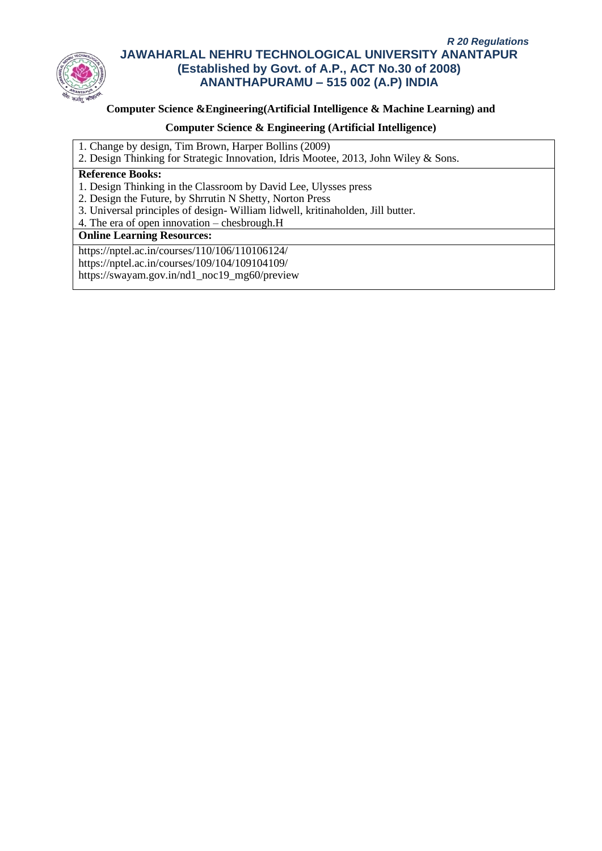

## **Computer Science &Engineering(Artificial Intelligence & Machine Learning) and**

### **Computer Science & Engineering (Artificial Intelligence)**

- 1. Change by design, Tim Brown, Harper Bollins (2009)
- 2. Design Thinking for Strategic Innovation, Idris Mootee, 2013, John Wiley & Sons.

## **Reference Books:**

- 1. Design Thinking in the Classroom by David Lee, Ulysses press
- 2. Design the Future, by Shrrutin N Shetty, Norton Press
- 3. Universal principles of design- William lidwell, kritinaholden, Jill butter.
- 4. The era of open innovation chesbrough.H

## **Online Learning Resources:**

https://nptel.ac.in/courses/110/106/110106124/ https://nptel.ac.in/courses/109/104/109104109/ https://swayam.gov.in/nd1\_noc19\_mg60/preview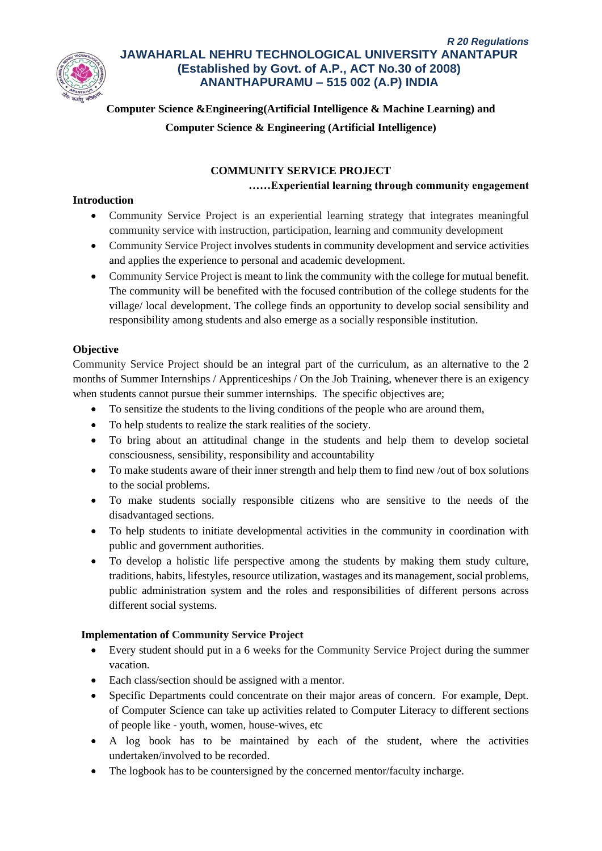

**Computer Science &Engineering(Artificial Intelligence & Machine Learning) and**

**Computer Science & Engineering (Artificial Intelligence)**

# **COMMUNITY SERVICE PROJECT**

# **……Experiential learning through community engagement**

# **Introduction**

- Community Service Project is an experiential learning strategy that integrates meaningful community service with instruction, participation, learning and community development
- Community Service Project involves students in community development and service activities and applies the experience to personal and academic development.
- Community Service Project is meant to link the community with the college for mutual benefit. The community will be benefited with the focused contribution of the college students for the village/ local development. The college finds an opportunity to develop social sensibility and responsibility among students and also emerge as a socially responsible institution.

# **Objective**

Community Service Project should be an integral part of the curriculum, as an alternative to the 2 months of Summer Internships / Apprenticeships / On the Job Training, whenever there is an exigency when students cannot pursue their summer internships. The specific objectives are;

- To sensitize the students to the living conditions of the people who are around them,
- To help students to realize the stark realities of the society.
- To bring about an attitudinal change in the students and help them to develop societal consciousness, sensibility, responsibility and accountability
- To make students aware of their inner strength and help them to find new /out of box solutions to the social problems.
- To make students socially responsible citizens who are sensitive to the needs of the disadvantaged sections.
- To help students to initiate developmental activities in the community in coordination with public and government authorities.
- To develop a holistic life perspective among the students by making them study culture, traditions, habits, lifestyles, resource utilization, wastages and its management, social problems, public administration system and the roles and responsibilities of different persons across different social systems.

# **Implementation of Community Service Project**

- Every student should put in a 6 weeks for the Community Service Project during the summer vacation.
- Each class/section should be assigned with a mentor.
- Specific Departments could concentrate on their major areas of concern. For example, Dept. of Computer Science can take up activities related to Computer Literacy to different sections of people like - youth, women, house-wives, etc
- A log book has to be maintained by each of the student, where the activities undertaken/involved to be recorded.
- The logbook has to be countersigned by the concerned mentor/faculty incharge.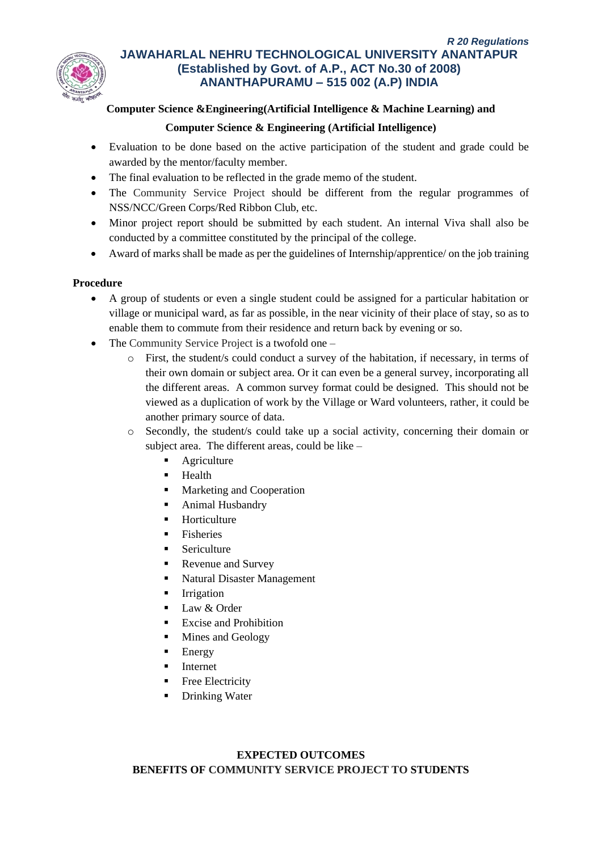

# **Computer Science &Engineering(Artificial Intelligence & Machine Learning) and**

## **Computer Science & Engineering (Artificial Intelligence)**

- Evaluation to be done based on the active participation of the student and grade could be awarded by the mentor/faculty member.
- The final evaluation to be reflected in the grade memo of the student.
- The Community Service Project should be different from the regular programmes of NSS/NCC/Green Corps/Red Ribbon Club, etc.
- Minor project report should be submitted by each student. An internal Viva shall also be conducted by a committee constituted by the principal of the college.
- Award of marks shall be made as per the guidelines of Internship/apprentice/ on the job training

## **Procedure**

- A group of students or even a single student could be assigned for a particular habitation or village or municipal ward, as far as possible, in the near vicinity of their place of stay, so as to enable them to commute from their residence and return back by evening or so.
- The Community Service Project is a twofold one
	- o First, the student/s could conduct a survey of the habitation, if necessary, in terms of their own domain or subject area. Or it can even be a general survey, incorporating all the different areas. A common survey format could be designed. This should not be viewed as a duplication of work by the Village or Ward volunteers, rather, it could be another primary source of data.
	- o Secondly, the student/s could take up a social activity, concerning their domain or subject area. The different areas, could be like –
		- Agriculture
		- Health
		- Marketing and Cooperation
		- Animal Husbandry
		- **Horticulture**
		- **Fisheries**
		- Sericulture
		- Revenue and Survey
		- Natural Disaster Management
		- **Irrigation**
		- Law & Order
		- **Excise and Prohibition**
		- Mines and Geology
		- **Energy**
		- **Internet**
		- Free Electricity
		- Drinking Water

# **EXPECTED OUTCOMES BENEFITS OF COMMUNITY SERVICE PROJECT TO STUDENTS**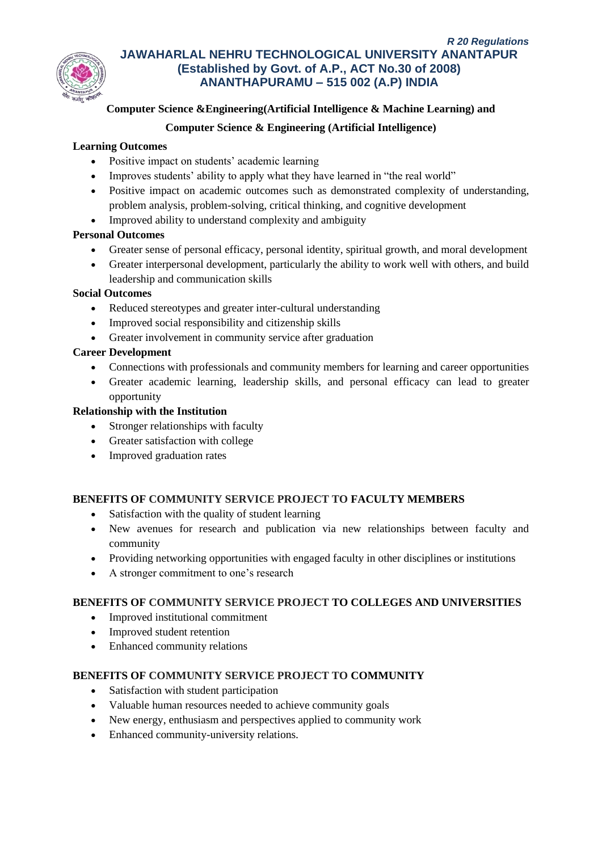

# **Computer Science &Engineering(Artificial Intelligence & Machine Learning) and**

# **Computer Science & Engineering (Artificial Intelligence)**

# **Learning Outcomes**

- Positive impact on students' academic learning
- Improves students' ability to apply what they have learned in "the real world"
- Positive impact on academic outcomes such as demonstrated complexity of understanding, problem analysis, problem-solving, critical thinking, and cognitive development
- Improved ability to understand complexity and ambiguity

# **Personal Outcomes**

- Greater sense of personal efficacy, personal identity, spiritual growth, and moral development
- Greater interpersonal development, particularly the ability to work well with others, and build leadership and communication skills

# **Social Outcomes**

- Reduced stereotypes and greater inter-cultural understanding
- Improved social responsibility and citizenship skills
- Greater involvement in community service after graduation

# **Career Development**

- Connections with professionals and community members for learning and career opportunities
- Greater academic learning, leadership skills, and personal efficacy can lead to greater opportunity

# **Relationship with the Institution**

- Stronger relationships with faculty
- Greater satisfaction with college
- Improved graduation rates

# **BENEFITS OF COMMUNITY SERVICE PROJECT TO FACULTY MEMBERS**

- Satisfaction with the quality of student learning
- New avenues for research and publication via new relationships between faculty and community
- Providing networking opportunities with engaged faculty in other disciplines or institutions
- A stronger commitment to one's research

# **BENEFITS OF COMMUNITY SERVICE PROJECT TO COLLEGES AND UNIVERSITIES**

- Improved institutional commitment
- Improved student retention
- Enhanced community relations

# **BENEFITS OF COMMUNITY SERVICE PROJECT TO COMMUNITY**

- Satisfaction with student participation
- Valuable human resources needed to achieve community goals
- New energy, enthusiasm and perspectives applied to community work
- Enhanced community-university relations.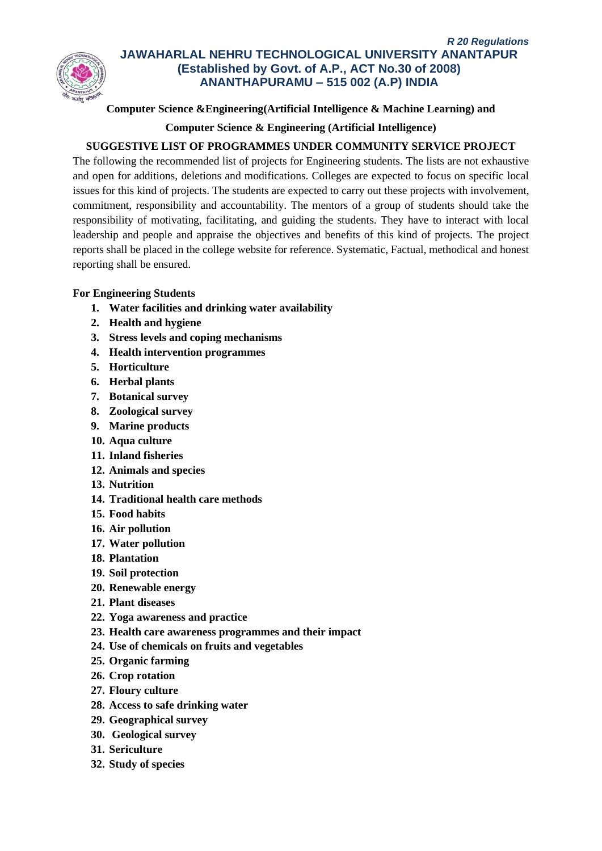

# **Computer Science &Engineering(Artificial Intelligence & Machine Learning) and**

# **Computer Science & Engineering (Artificial Intelligence)**

# **SUGGESTIVE LIST OF PROGRAMMES UNDER COMMUNITY SERVICE PROJECT**

The following the recommended list of projects for Engineering students. The lists are not exhaustive and open for additions, deletions and modifications. Colleges are expected to focus on specific local issues for this kind of projects. The students are expected to carry out these projects with involvement, commitment, responsibility and accountability. The mentors of a group of students should take the responsibility of motivating, facilitating, and guiding the students. They have to interact with local leadership and people and appraise the objectives and benefits of this kind of projects. The project reports shall be placed in the college website for reference. Systematic, Factual, methodical and honest reporting shall be ensured.

# **For Engineering Students**

- **1. Water facilities and drinking water availability**
- **2. Health and hygiene**
- **3. Stress levels and coping mechanisms**
- **4. Health intervention programmes**
- **5. Horticulture**
- **6. Herbal plants**
- **7. Botanical survey**
- **8. Zoological survey**
- **9. Marine products**
- **10. Aqua culture**
- **11. Inland fisheries**
- **12. Animals and species**
- **13. Nutrition**
- **14. Traditional health care methods**
- **15. Food habits**
- **16. Air pollution**
- **17. Water pollution**
- **18. Plantation**
- **19. Soil protection**
- **20. Renewable energy**
- **21. Plant diseases**
- **22. Yoga awareness and practice**
- **23. Health care awareness programmes and their impact**
- **24. Use of chemicals on fruits and vegetables**
- **25. Organic farming**
- **26. Crop rotation**
- **27. Floury culture**
- **28. Access to safe drinking water**
- **29. Geographical survey**
- **30. Geological survey**
- **31. Sericulture**
- **32. Study of species**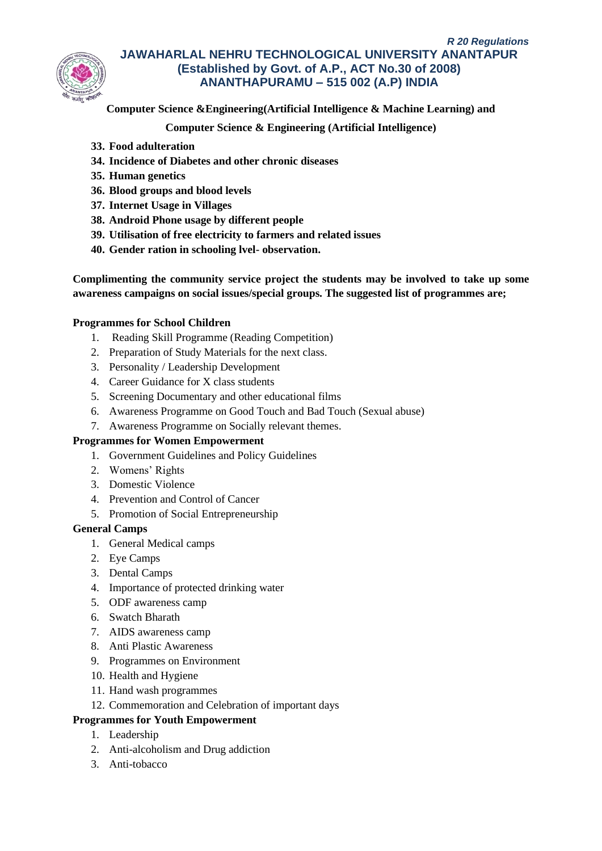

**Computer Science &Engineering(Artificial Intelligence & Machine Learning) and**

**Computer Science & Engineering (Artificial Intelligence)**

- **33. Food adulteration**
- **34. Incidence of Diabetes and other chronic diseases**
- **35. Human genetics**
- **36. Blood groups and blood levels**
- **37. Internet Usage in Villages**
- **38. Android Phone usage by different people**
- **39. Utilisation of free electricity to farmers and related issues**
- **40. Gender ration in schooling lvel- observation.**

**Complimenting the community service project the students may be involved to take up some awareness campaigns on social issues/special groups. The suggested list of programmes are;**

# **Programmes for School Children**

- 1. Reading Skill Programme (Reading Competition)
- 2. Preparation of Study Materials for the next class.
- 3. Personality / Leadership Development
- 4. Career Guidance for X class students
- 5. Screening Documentary and other educational films
- 6. Awareness Programme on Good Touch and Bad Touch (Sexual abuse)
- 7. Awareness Programme on Socially relevant themes.

### **Programmes for Women Empowerment**

- 1. Government Guidelines and Policy Guidelines
- 2. Womens' Rights
- 3. Domestic Violence
- 4. Prevention and Control of Cancer
- 5. Promotion of Social Entrepreneurship

# **General Camps**

- 1. General Medical camps
- 2. Eye Camps
- 3. Dental Camps
- 4. Importance of protected drinking water
- 5. ODF awareness camp
- 6. Swatch Bharath
- 7. AIDS awareness camp
- 8. Anti Plastic Awareness
- 9. Programmes on Environment
- 10. Health and Hygiene
- 11. Hand wash programmes
- 12. Commemoration and Celebration of important days

# **Programmes for Youth Empowerment**

- 1. Leadership
- 2. Anti-alcoholism and Drug addiction
- 3. Anti-tobacco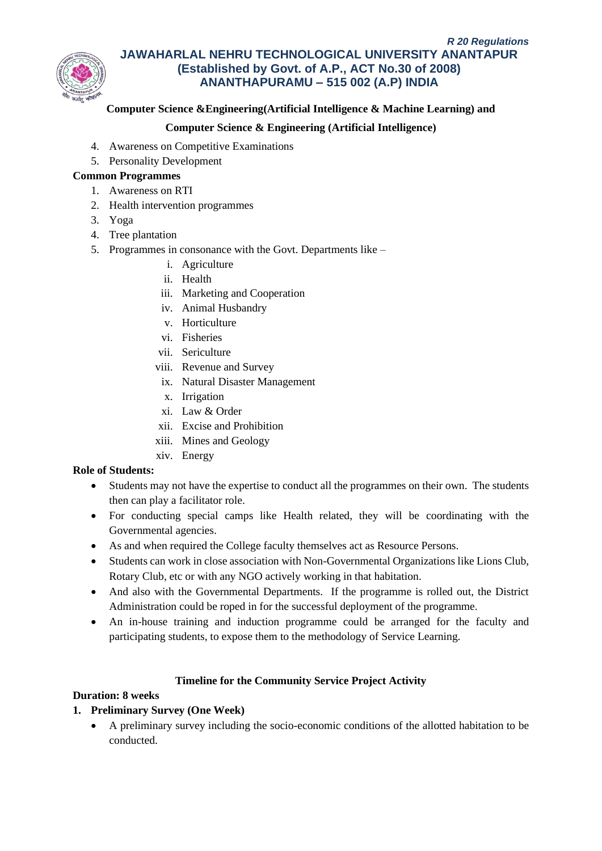

# **Computer Science &Engineering(Artificial Intelligence & Machine Learning) and**

# **Computer Science & Engineering (Artificial Intelligence)**

- 4. Awareness on Competitive Examinations
- 5. Personality Development

# **Common Programmes**

- 1. Awareness on RTI
- 2. Health intervention programmes
- 3. Yoga
- 4. Tree plantation
- 5. Programmes in consonance with the Govt. Departments like
	- i. Agriculture
	- ii. Health
	- iii. Marketing and Cooperation
	- iv. Animal Husbandry
	- v. Horticulture
	- vi. Fisheries
	- vii. Sericulture
	- viii. Revenue and Survey
	- ix. Natural Disaster Management
	- x. Irrigation
	- xi. Law & Order
	- xii. Excise and Prohibition
	- xiii. Mines and Geology
	- xiv. Energy

### **Role of Students:**

- Students may not have the expertise to conduct all the programmes on their own. The students then can play a facilitator role.
- For conducting special camps like Health related, they will be coordinating with the Governmental agencies.
- As and when required the College faculty themselves act as Resource Persons.
- Students can work in close association with Non-Governmental Organizations like Lions Club, Rotary Club, etc or with any NGO actively working in that habitation.
- And also with the Governmental Departments. If the programme is rolled out, the District Administration could be roped in for the successful deployment of the programme.
- An in-house training and induction programme could be arranged for the faculty and participating students, to expose them to the methodology of Service Learning.

### **Timeline for the Community Service Project Activity**

### **Duration: 8 weeks**

# **1. Preliminary Survey (One Week)**

• A preliminary survey including the socio-economic conditions of the allotted habitation to be conducted.